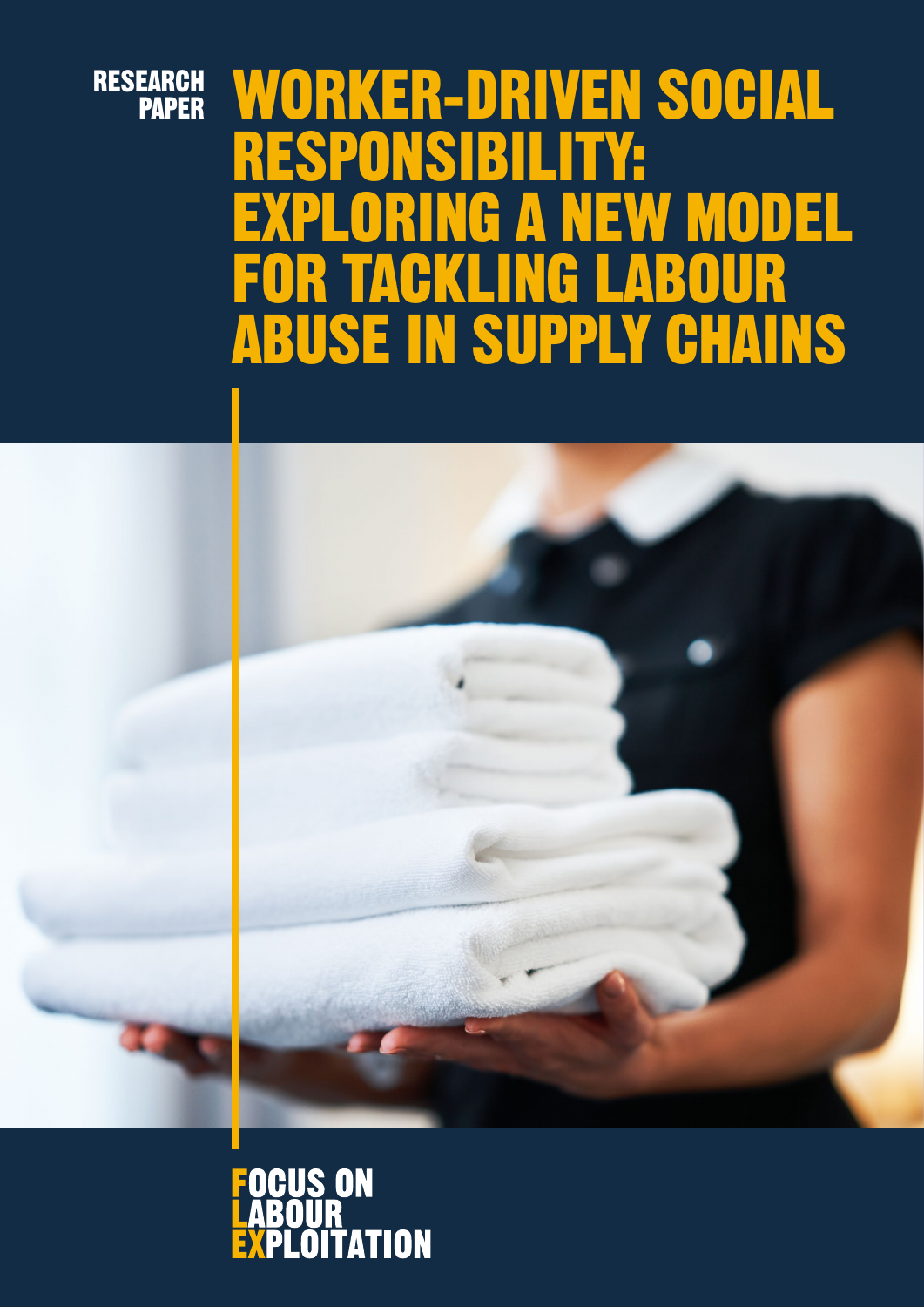# RESEARCH PAPER

# WORKER-DRIVEN SOCIAL<br>RESPONSIBILITY: RESPONSIBILITY: EXPLORING A NEW MODEL FOR TACKLING LABOUR ABUSE IN SUPPLY CHAINS



#### **OCUS ON** R V **OITATION** EXPI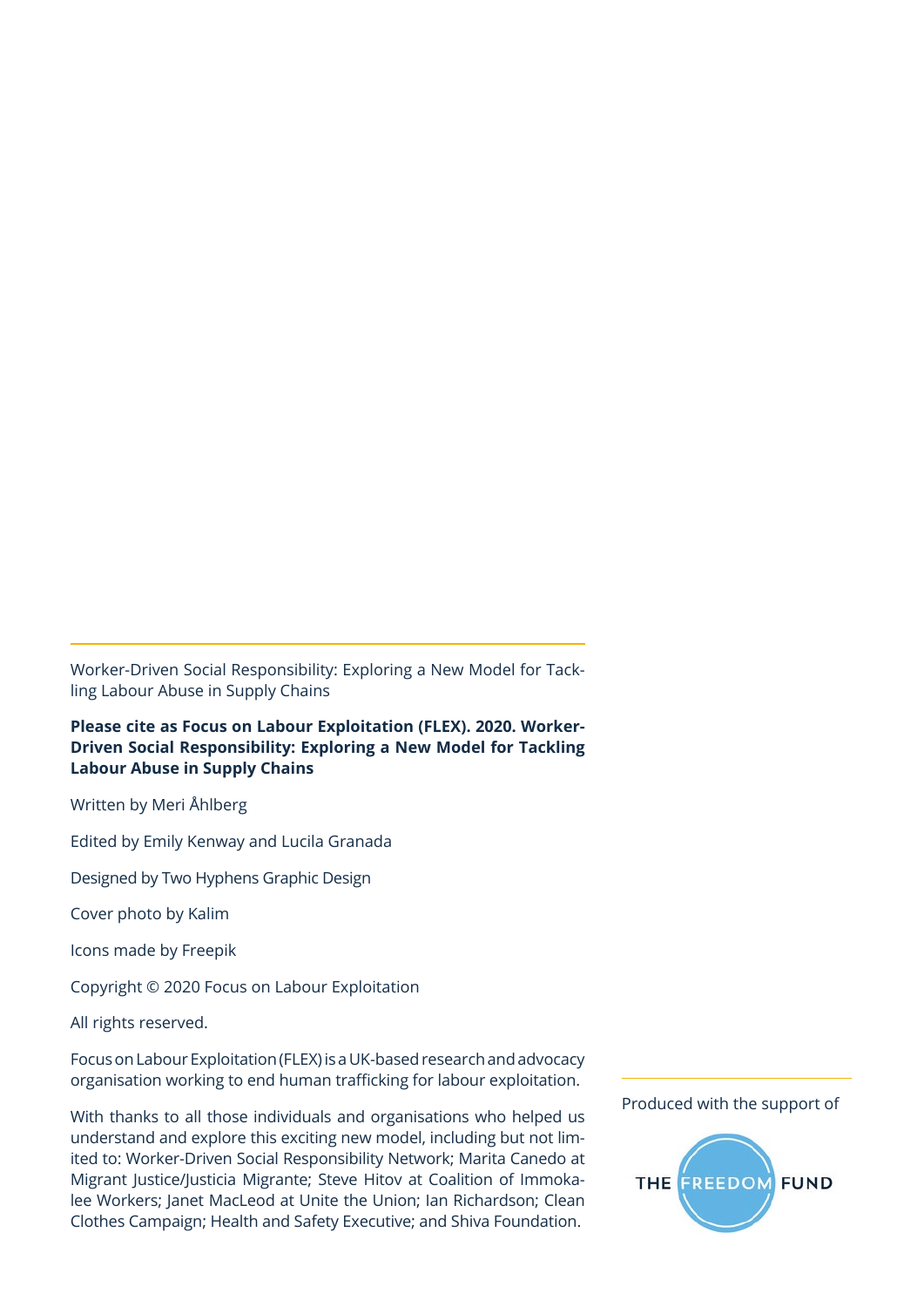Worker-Driven Social Responsibility: Exploring a New Model for Tackling Labour Abuse in Supply Chains

**Please cite as Focus on Labour Exploitation (FLEX). 2020. Worker-Driven Social Responsibility: Exploring a New Model for Tackling Labour Abuse in Supply Chains**

Written by Meri Åhlberg

Edited by Emily Kenway and Lucila Granada

Designed by Two Hyphens Graphic Design

Cover photo by Kalim

Icons made by Freepik

Copyright © 2020 Focus on Labour Exploitation

All rights reserved.

Focus on Labour Exploitation (FLEX) is a UK-based research and advocacy organisation working to end human trafficking for labour exploitation.

With thanks to all those individuals and organisations who helped us understand and explore this exciting new model, including but not limited to: Worker-Driven Social Responsibility Network; Marita Canedo at Migrant Justice/Justicia Migrante; Steve Hitov at Coalition of Immokalee Workers; Janet MacLeod at Unite the Union; Ian Richardson; Clean Clothes Campaign; Health and Safety Executive; and Shiva Foundation.

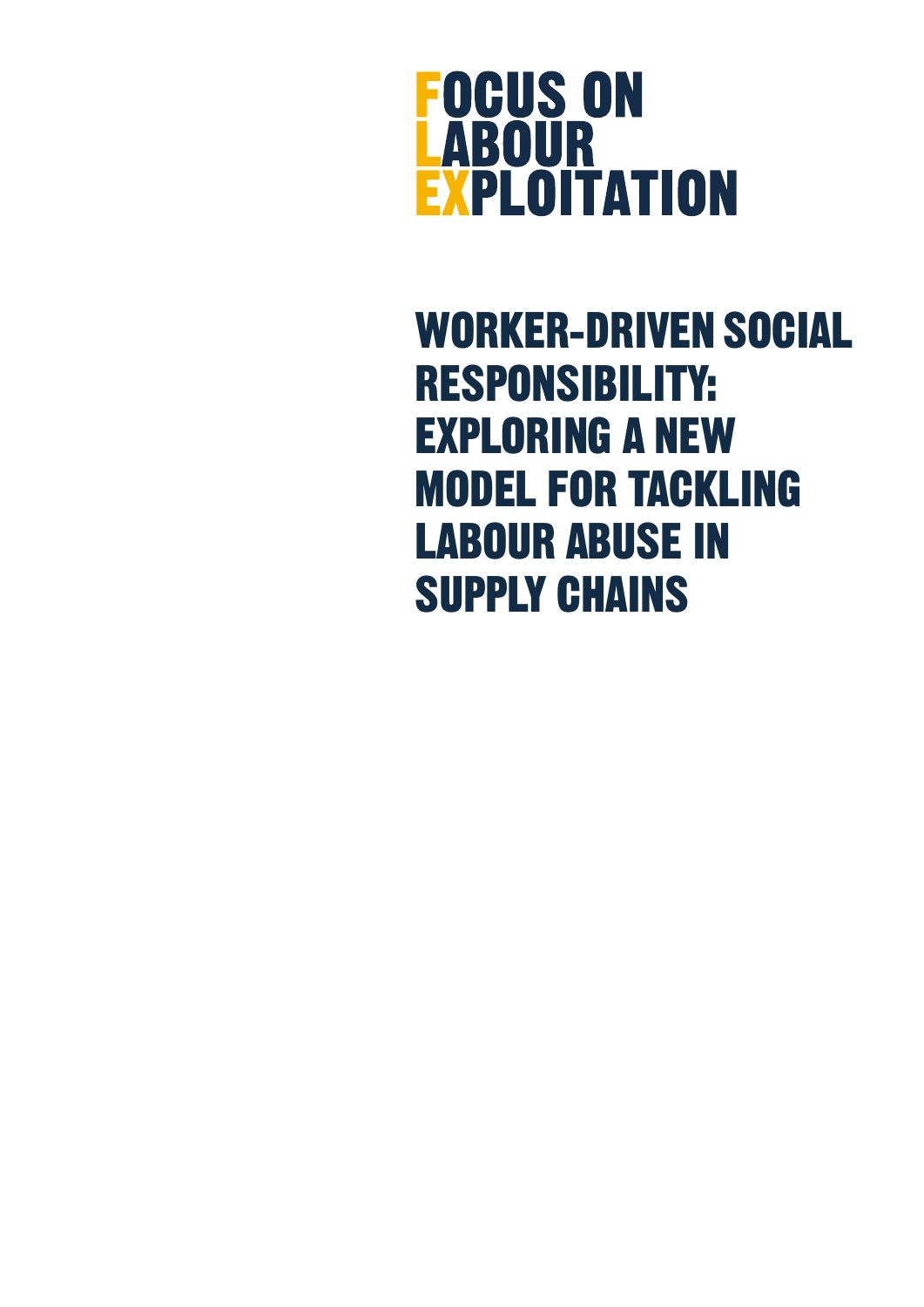

WORKER-DRIVEN SOCIAL RESPONSIBILITY: EXPLORING A NEW MODEL FOR TACKLING LABOUR ABUSE IN SUPPLY CHAINS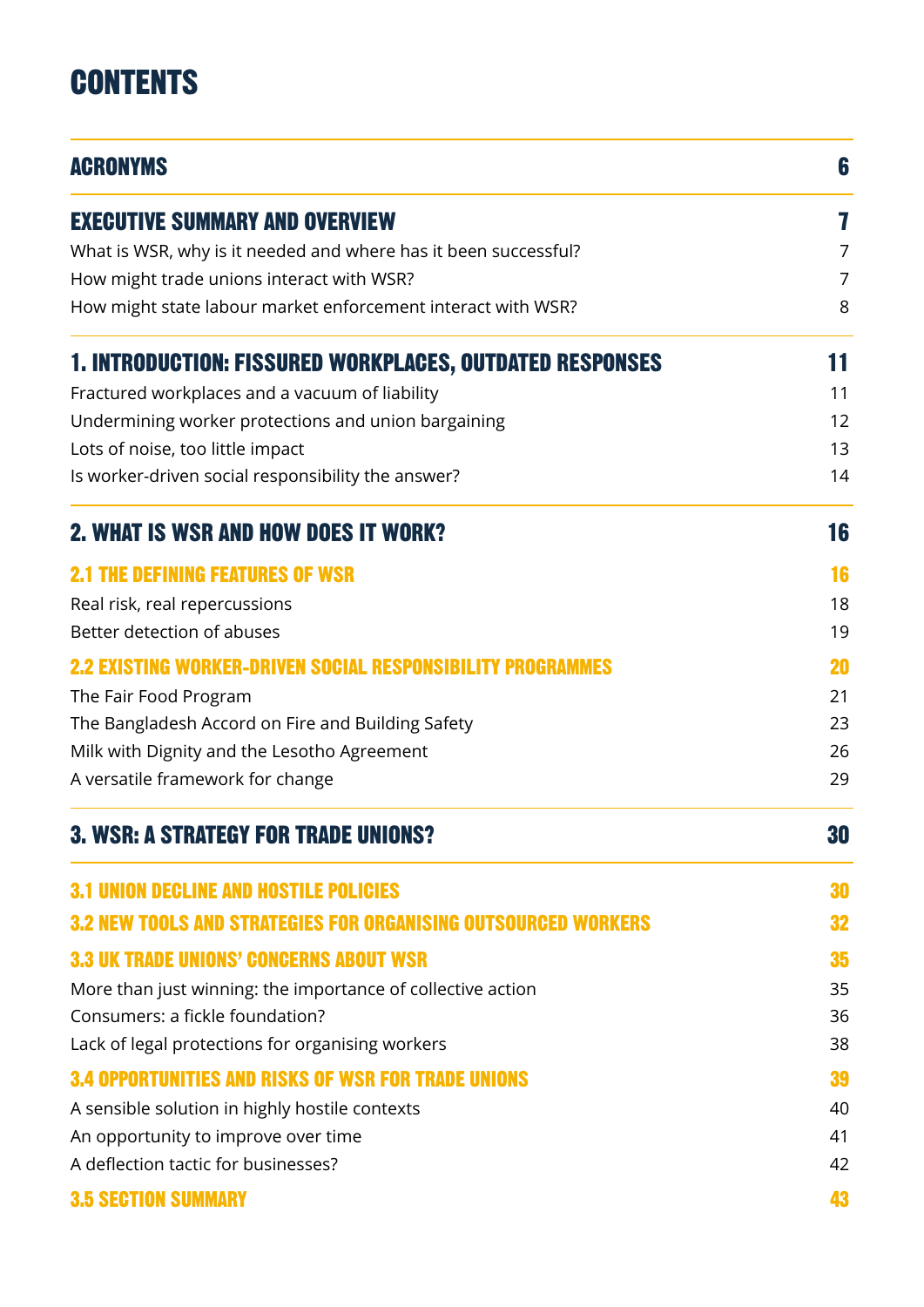# **CONTENTS**

| <b>ACRONYMS</b>                                                 |    |
|-----------------------------------------------------------------|----|
| <b>EXECUTIVE SUMMARY AND OVERVIEW</b>                           | 7  |
| What is WSR, why is it needed and where has it been successful? | 7  |
| How might trade unions interact with WSR?                       | 7  |
| How might state labour market enforcement interact with WSR?    | 8  |
| <b>1. INTRODUCTION: FISSURED WORKPLACES, OUTDATED RESPONSES</b> | 11 |
| Fractured workplaces and a vacuum of liability                  | 11 |
| Undermining worker protections and union bargaining             | 12 |
| Lots of noise, too little impact                                | 13 |
| Is worker-driven social responsibility the answer?              | 14 |
| <b>2. WHAT IS WSR AND HOW DOES IT WORK?</b>                     | 16 |
| <b>2.1 THE DEFINING FEATURES OF WSR</b>                         | 16 |
| Real risk, real repercussions                                   | 18 |
| Better detection of abuses                                      | 19 |
| 2.2 Existing Worker-Driven Social Responsibility                | 20 |
| The Fair Food Program                                           | 21 |
| The Bangladesh Accord on Fire and Building Safety               | 23 |
| Milk with Dignity and the Lesotho Agreement                     | 26 |
| A versatile framework for change                                | 29 |
| <b>3. WSR: A STRATEGY FOR TRADE UNIONS?</b>                     | 30 |
| <b>3.1 UNION DECLINE AND HOSTILE POLICIES</b>                   | 30 |
| 3.2 NEW TOOLS AND STRATEGIES FOR ORGANISING OUTSOURCED WORKERS  | 32 |
| <b>3.3 UK TRADE UNIONS' CONCERNS ABOUT WSR</b>                  | 35 |
| More than just winning: the importance of collective action     | 35 |
| Consumers: a fickle foundation?                                 | 36 |
| Lack of legal protections for organising workers                | 38 |
| <b>3.4 OPPORTUNITIES AND RISKS OF WSR FOR TRADE UNIONS</b>      | 39 |
| A sensible solution in highly hostile contexts                  | 40 |
| An opportunity to improve over time                             | 41 |
| A deflection tactic for businesses?                             | 42 |
| <b>3.5 SECTION SUMMARY</b>                                      | 43 |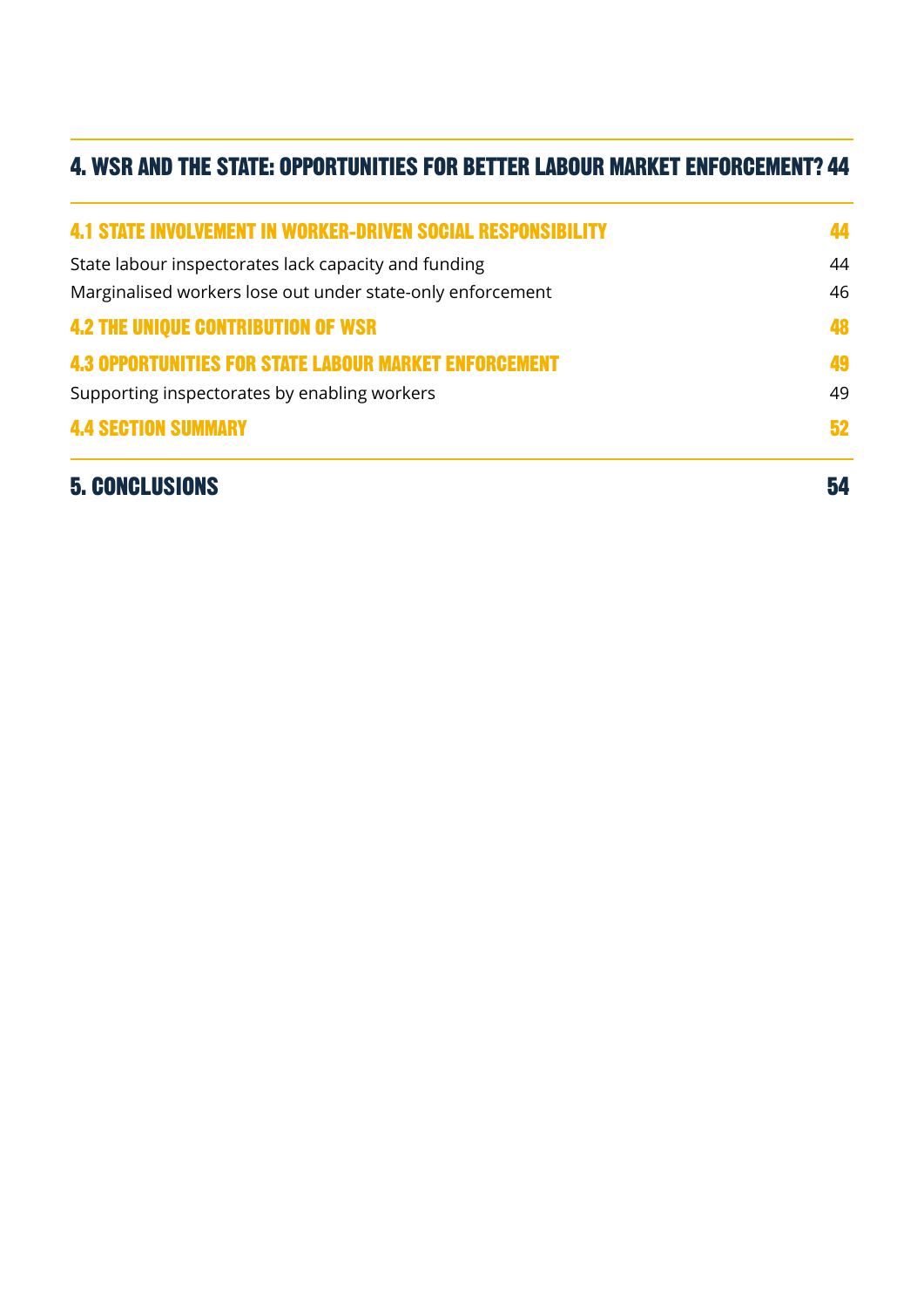# [4. WSR AND THE STATE: OPPORTUNITIES FOR BETTER LABOUR MARKET ENFORCEMENT?](#page-43-0) 44

| <b>5. CONCLUSIONS</b>                                               | 54 |
|---------------------------------------------------------------------|----|
| <b>4.4 SECTION SUMMARY</b>                                          | 52 |
| Supporting inspectorates by enabling workers                        | 49 |
| <b>4.3 OPPORTUNITIES FOR STATE LABOUR MARKET ENFORCEMENT</b>        | 49 |
| <b>4.2 THE UNIQUE CONTRIBUTION OF WSR</b>                           | 48 |
| Marginalised workers lose out under state-only enforcement          |    |
| State labour inspectorates lack capacity and funding                | 44 |
| <b>4.1 STATE INVOLVEMENT IN WORKER-DRIVEN SOCIAL RESPONSIBILITY</b> | 44 |
|                                                                     |    |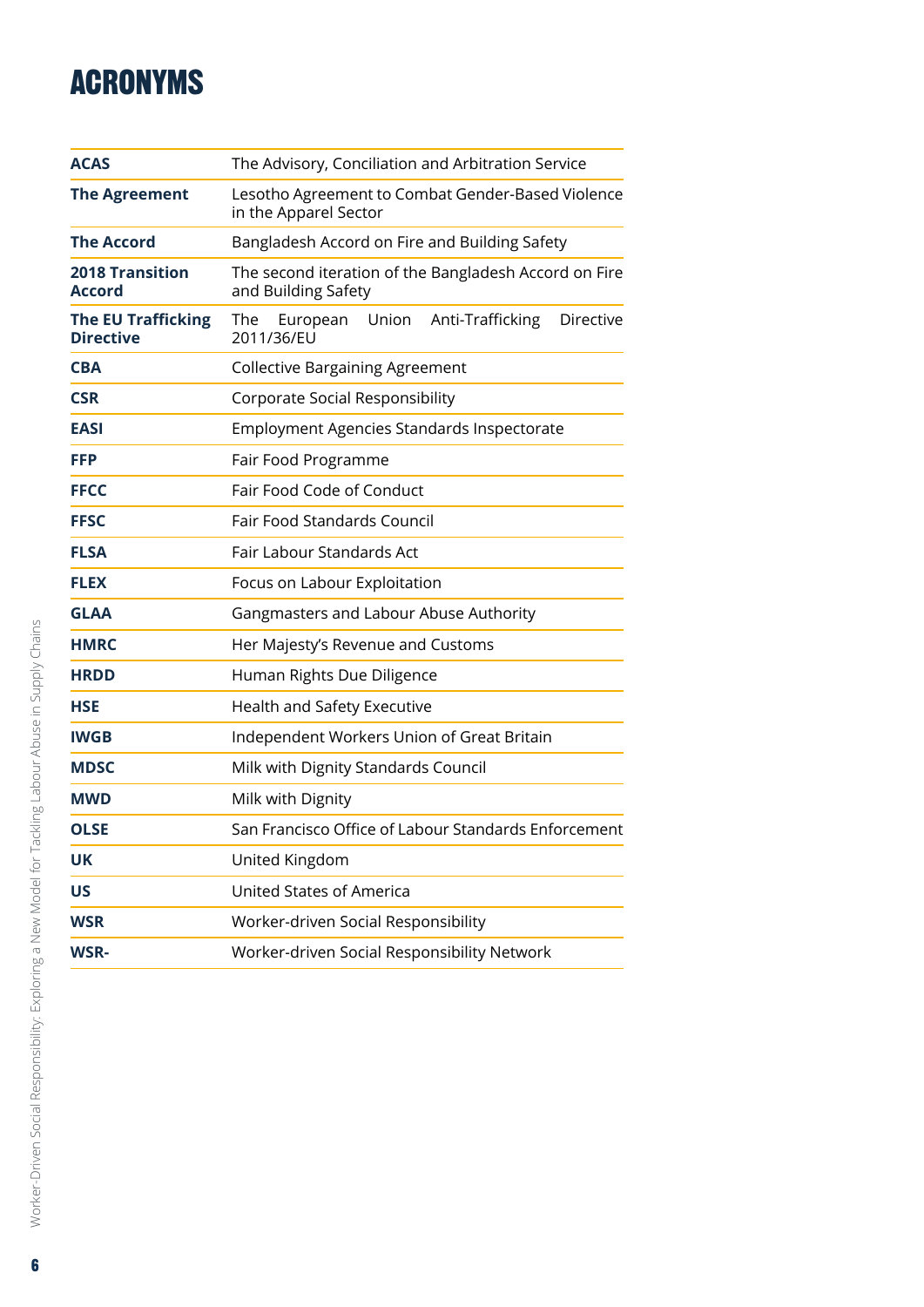# <span id="page-5-0"></span>ACRONYMS

| <b>ACAS</b>                                   | The Advisory, Conciliation and Arbitration Service                                    |  |
|-----------------------------------------------|---------------------------------------------------------------------------------------|--|
| <b>The Agreement</b>                          | Lesotho Agreement to Combat Gender-Based Violence<br>in the Apparel Sector            |  |
| <b>The Accord</b>                             | Bangladesh Accord on Fire and Building Safety                                         |  |
| <b>2018 Transition</b><br><b>Accord</b>       | The second iteration of the Bangladesh Accord on Fire<br>and Building Safety          |  |
| <b>The EU Trafficking</b><br><b>Directive</b> | Union<br>Anti-Trafficking<br><b>Directive</b><br><b>The</b><br>European<br>2011/36/EU |  |
| <b>CBA</b>                                    | <b>Collective Bargaining Agreement</b>                                                |  |
| <b>CSR</b>                                    | Corporate Social Responsibility                                                       |  |
| <b>EASI</b>                                   | Employment Agencies Standards Inspectorate                                            |  |
| <b>FFP</b>                                    | Fair Food Programme                                                                   |  |
| <b>FFCC</b>                                   | Fair Food Code of Conduct                                                             |  |
| <b>FFSC</b>                                   | <b>Fair Food Standards Council</b>                                                    |  |
| <b>FLSA</b>                                   | Fair Labour Standards Act                                                             |  |
| <b>FLEX</b>                                   | Focus on Labour Exploitation                                                          |  |
| <b>GLAA</b>                                   | Gangmasters and Labour Abuse Authority                                                |  |
| <b>HMRC</b>                                   | Her Majesty's Revenue and Customs                                                     |  |
| <b>HRDD</b>                                   | Human Rights Due Diligence                                                            |  |
| <b>HSE</b>                                    | Health and Safety Executive                                                           |  |
| <b>IWGB</b>                                   | Independent Workers Union of Great Britain                                            |  |
| <b>MDSC</b>                                   | Milk with Dignity Standards Council                                                   |  |
| MWD                                           | Milk with Dignity                                                                     |  |
| <b>OLSE</b>                                   | San Francisco Office of Labour Standards Enforcement                                  |  |
| UK                                            | United Kingdom                                                                        |  |
| <b>US</b>                                     | <b>United States of America</b>                                                       |  |
| <b>WSR</b>                                    | Worker-driven Social Responsibility                                                   |  |
| <b>WSR-</b>                                   | Worker-driven Social Responsibility Network                                           |  |
|                                               |                                                                                       |  |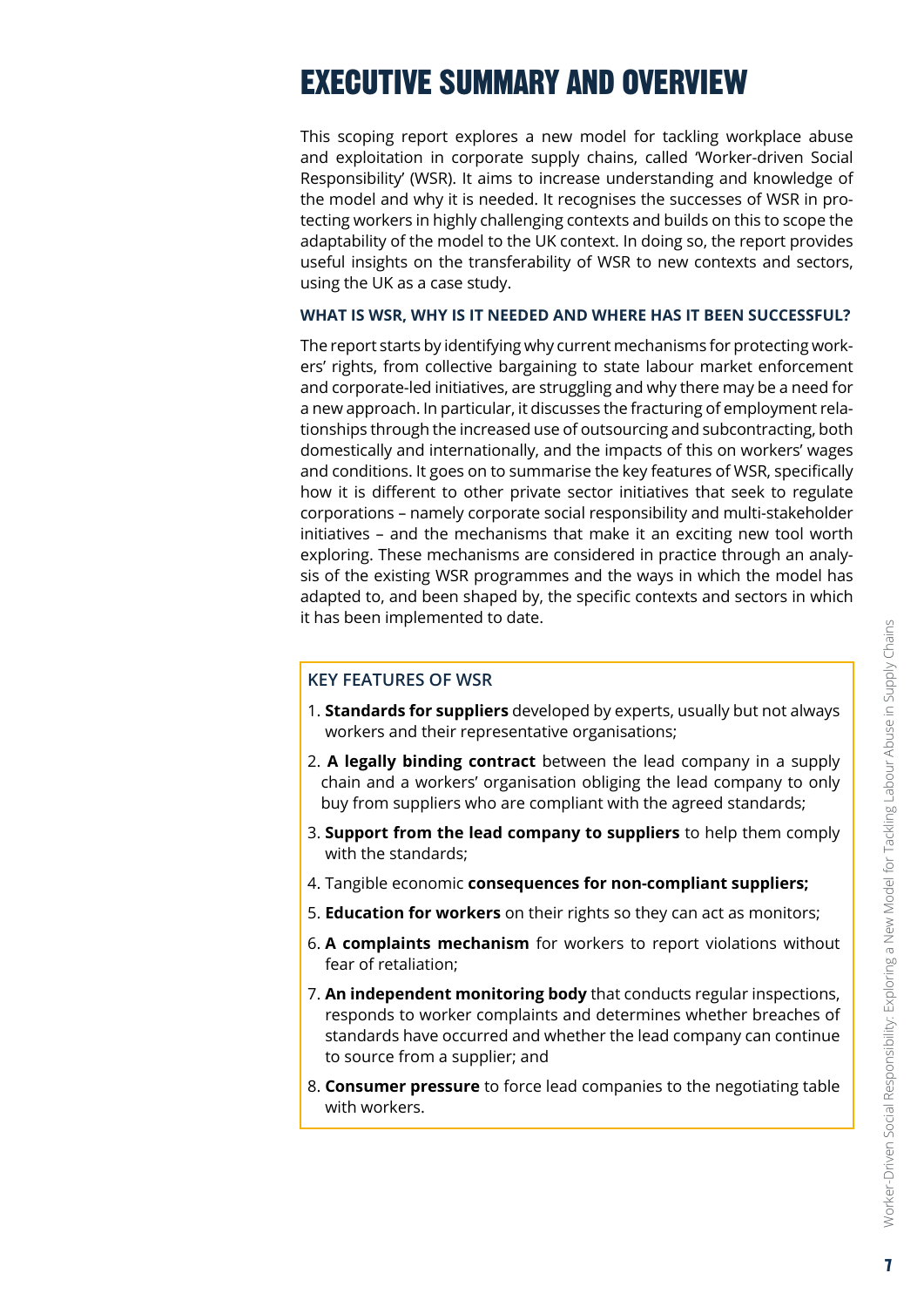# <span id="page-6-0"></span>EXECUTIVE SUMMARY AND OVERVIEW

This scoping report explores a new model for tackling workplace abuse and exploitation in corporate supply chains, called 'Worker-driven Social Responsibility' (WSR). It aims to increase understanding and knowledge of the model and why it is needed. It recognises the successes of WSR in protecting workers in highly challenging contexts and builds on this to scope the adaptability of the model to the UK context. In doing so, the report provides useful insights on the transferability of WSR to new contexts and sectors, using the UK as a case study.

#### **WHAT IS WSR, WHY IS IT NEEDED AND WHERE HAS IT BEEN SUCCESSFUL?**

The report starts by identifying why current mechanisms for protecting workers' rights, from collective bargaining to state labour market enforcement and corporate-led initiatives, are struggling and why there may be a need for a new approach. In particular, it discusses the fracturing of employment relationships through the increased use of outsourcing and subcontracting, both domestically and internationally, and the impacts of this on workers' wages and conditions. It goes on to summarise the key features of WSR, specifically how it is different to other private sector initiatives that seek to regulate corporations – namely corporate social responsibility and multi-stakeholder initiatives – and the mechanisms that make it an exciting new tool worth exploring. These mechanisms are considered in practice through an analysis of the existing WSR programmes and the ways in which the model has adapted to, and been shaped by, the specific contexts and sectors in which it has been implemented to date.

#### **KEY FEATURES OF WSR**

- 1. **Standards for suppliers** developed by experts, usually but not always workers and their representative organisations;
- 2. **A legally binding contract** between the lead company in a supply chain and a workers' organisation obliging the lead company to only buy from suppliers who are compliant with the agreed standards;
- 3. **Support from the lead company to suppliers** to help them comply with the standards;
- 4. Tangible economic **consequences for non-compliant suppliers;**
- 5. **Education for workers** on their rights so they can act as monitors;
- 6. **A complaints mechanism** for workers to report violations without fear of retaliation;
- 7. **An independent monitoring body** that conducts regular inspections, responds to worker complaints and determines whether breaches of standards have occurred and whether the lead company can continue to source from a supplier; and
- 8. **Consumer pressure** to force lead companies to the negotiating table with workers.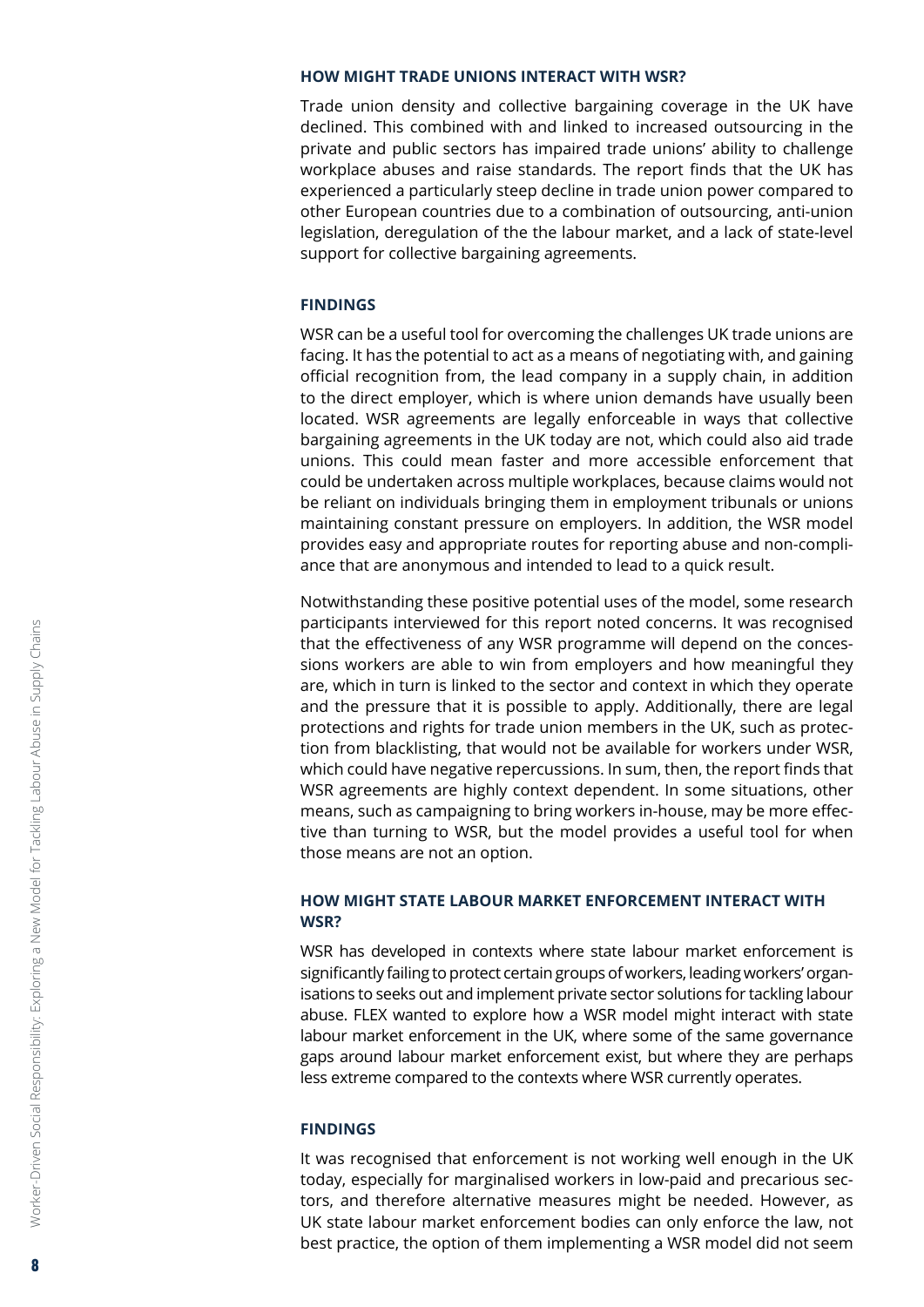#### <span id="page-7-0"></span>**HOW MIGHT TRADE UNIONS INTERACT WITH WSR?**

Trade union density and collective bargaining coverage in the UK have declined. This combined with and linked to increased outsourcing in the private and public sectors has impaired trade unions' ability to challenge workplace abuses and raise standards. The report finds that the UK has experienced a particularly steep decline in trade union power compared to other European countries due to a combination of outsourcing, anti-union legislation, deregulation of the the labour market, and a lack of state-level support for collective bargaining agreements.

#### **FINDINGS**

WSR can be a useful tool for overcoming the challenges UK trade unions are facing. It has the potential to act as a means of negotiating with, and gaining official recognition from, the lead company in a supply chain, in addition to the direct employer, which is where union demands have usually been located. WSR agreements are legally enforceable in ways that collective bargaining agreements in the UK today are not, which could also aid trade unions. This could mean faster and more accessible enforcement that could be undertaken across multiple workplaces, because claims would not be reliant on individuals bringing them in employment tribunals or unions maintaining constant pressure on employers. In addition, the WSR model provides easy and appropriate routes for reporting abuse and non-compliance that are anonymous and intended to lead to a quick result.

Notwithstanding these positive potential uses of the model, some research participants interviewed for this report noted concerns. It was recognised that the effectiveness of any WSR programme will depend on the concessions workers are able to win from employers and how meaningful they are, which in turn is linked to the sector and context in which they operate and the pressure that it is possible to apply. Additionally, there are legal protections and rights for trade union members in the UK, such as protection from blacklisting, that would not be available for workers under WSR, which could have negative repercussions. In sum, then, the report finds that WSR agreements are highly context dependent. In some situations, other means, such as campaigning to bring workers in-house, may be more effective than turning to WSR, but the model provides a useful tool for when those means are not an option.

#### **HOW MIGHT STATE LABOUR MARKET ENFORCEMENT INTERACT WITH WSR?**

WSR has developed in contexts where state labour market enforcement is significantly failing to protect certain groups of workers, leading workers' organisations to seeks out and implement private sector solutions for tackling labour abuse. FLEX wanted to explore how a WSR model might interact with state labour market enforcement in the UK, where some of the same governance gaps around labour market enforcement exist, but where they are perhaps less extreme compared to the contexts where WSR currently operates.

#### **FINDINGS**

It was recognised that enforcement is not working well enough in the UK today, especially for marginalised workers in low-paid and precarious sectors, and therefore alternative measures might be needed. However, as UK state labour market enforcement bodies can only enforce the law, not best practice, the option of them implementing a WSR model did not seem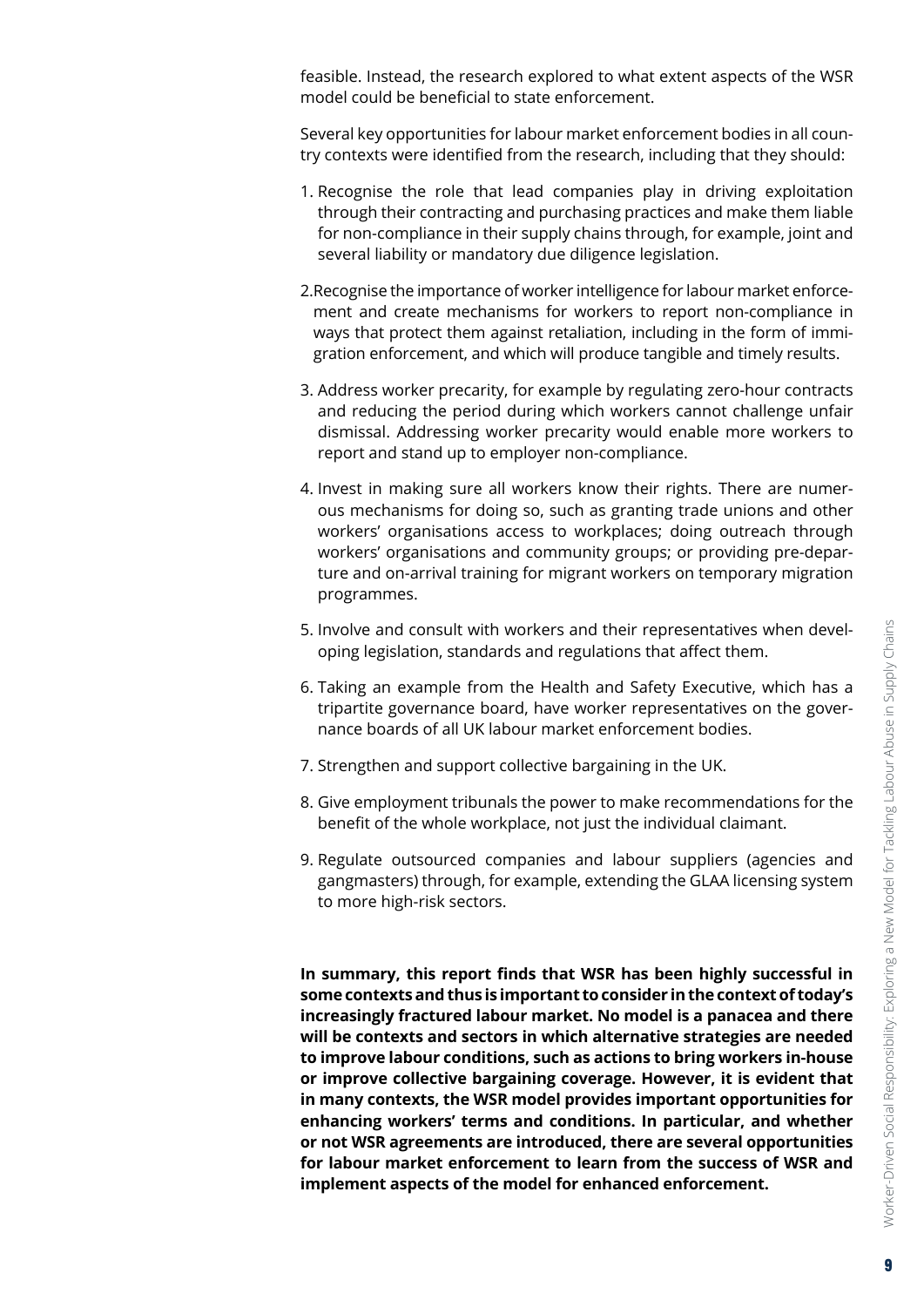feasible. Instead, the research explored to what extent aspects of the WSR model could be beneficial to state enforcement.

Several key opportunities for labour market enforcement bodies in all country contexts were identified from the research, including that they should:

- 1. Recognise the role that lead companies play in driving exploitation through their contracting and purchasing practices and make them liable for non-compliance in their supply chains through, for example, joint and several liability or mandatory due diligence legislation.
- 2.Recognise the importance of worker intelligence for labour market enforcement and create mechanisms for workers to report non-compliance in ways that protect them against retaliation, including in the form of immigration enforcement, and which will produce tangible and timely results.
- 3. Address worker precarity, for example by regulating zero-hour contracts and reducing the period during which workers cannot challenge unfair dismissal. Addressing worker precarity would enable more workers to report and stand up to employer non-compliance.
- 4. Invest in making sure all workers know their rights. There are numerous mechanisms for doing so, such as granting trade unions and other workers' organisations access to workplaces; doing outreach through workers' organisations and community groups; or providing pre-departure and on-arrival training for migrant workers on temporary migration programmes.
- 5. Involve and consult with workers and their representatives when developing legislation, standards and regulations that affect them.
- 6. Taking an example from the Health and Safety Executive, which has a tripartite governance board, have worker representatives on the governance boards of all UK labour market enforcement bodies.
- 7. Strengthen and support collective bargaining in the UK.
- 8. Give employment tribunals the power to make recommendations for the benefit of the whole workplace, not just the individual claimant.
- 9. Regulate outsourced companies and labour suppliers (agencies and gangmasters) through, for example, extending the GLAA licensing system to more high-risk sectors.

**In summary, this report finds that WSR has been highly successful in some contexts and thus is important to consider in the context of today's increasingly fractured labour market. No model is a panacea and there will be contexts and sectors in which alternative strategies are needed to improve labour conditions, such as actions to bring workers in-house or improve collective bargaining coverage. However, it is evident that in many contexts, the WSR model provides important opportunities for enhancing workers' terms and conditions. In particular, and whether or not WSR agreements are introduced, there are several opportunities for labour market enforcement to learn from the success of WSR and implement aspects of the model for enhanced enforcement.**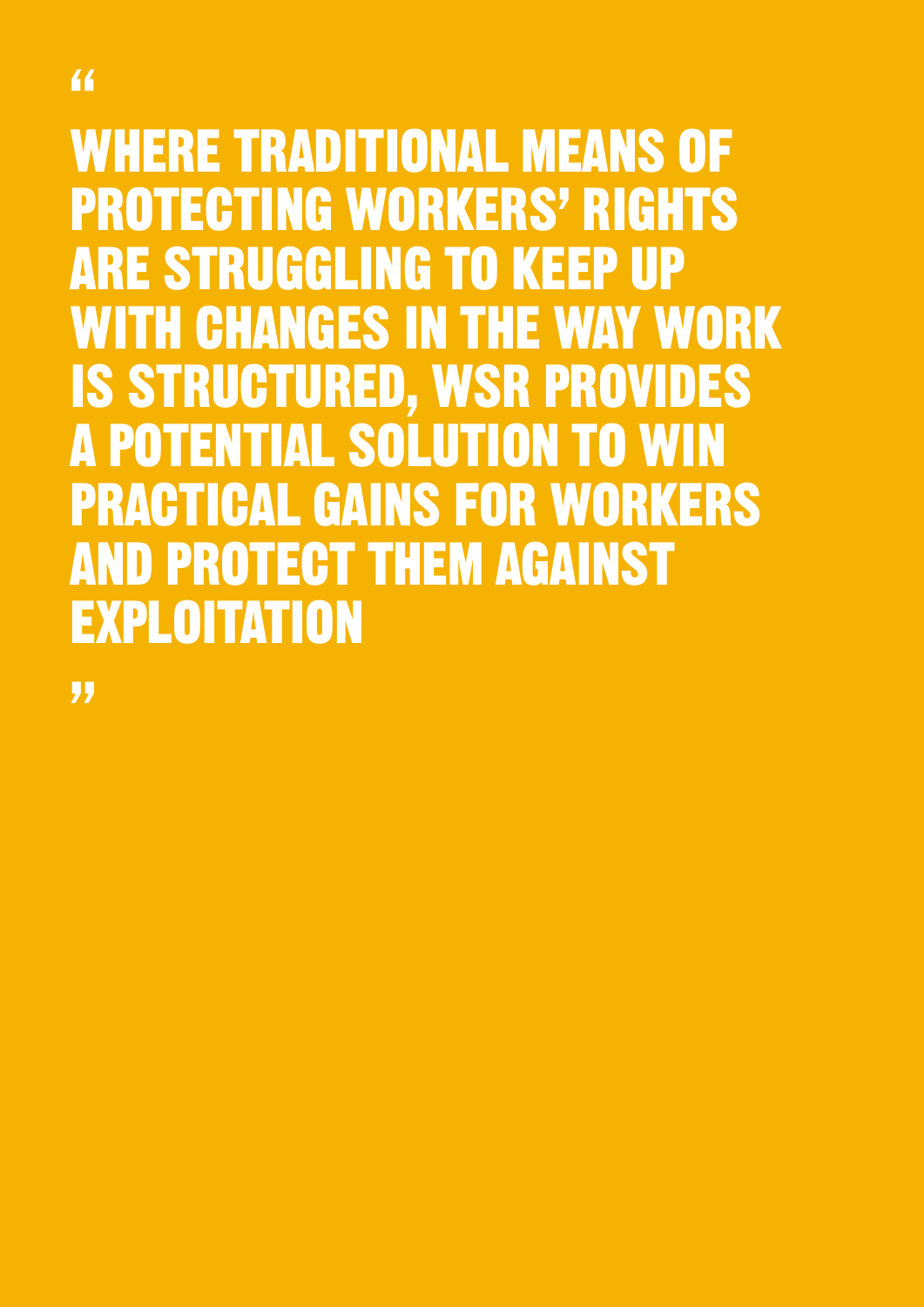# WHERE TRADITIONAL MEANS OF PROTECTING WORKERS' RIGHTS ARE STRUGGLING TO KEEP UP WITH CHANGES IN THE WAY WORK IS STRUCTURED, WSR PROVIDES A POTENTIAL SOLUTION TO WIN PRACTICAL GAINS FOR WORKERS AND PROTECT THEM AGAINST

"

EXPLOITATION

"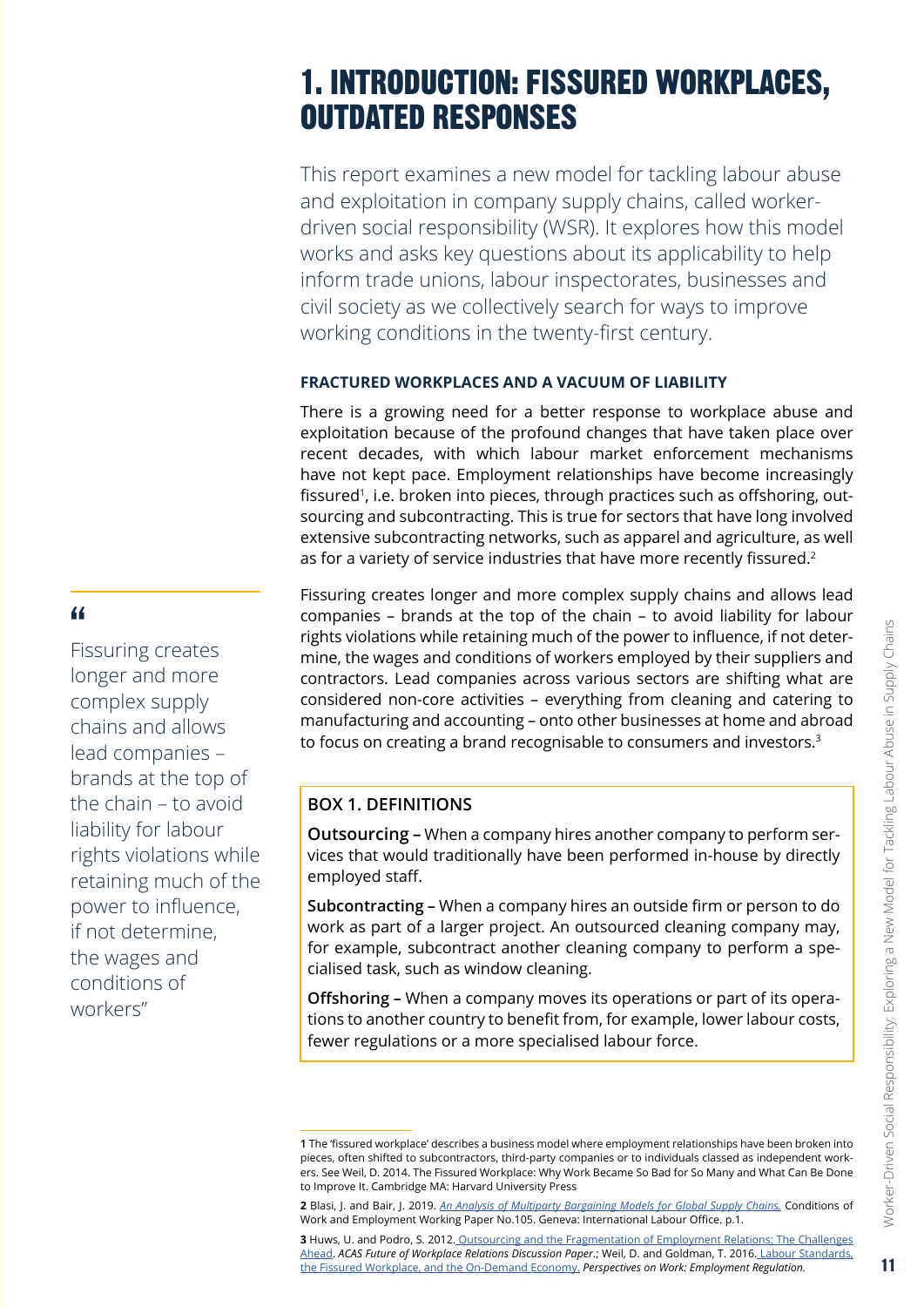# <span id="page-10-0"></span>1. INTRODUCTION: FISSURED WORKPLACES, OUTDATED RESPONSES

This report examines a new model for tackling labour abuse and exploitation in company supply chains, called workerdriven social responsibility (WSR). It explores how this model works and asks key questions about its applicability to help inform trade unions, labour inspectorates, businesses and civil society as we collectively search for ways to improve working conditions in the twenty-first century.

#### **FRACTURED WORKPLACES AND A VACUUM OF LIABILITY**

There is a growing need for a better response to workplace abuse and exploitation because of the profound changes that have taken place over recent decades, with which labour market enforcement mechanisms have not kept pace. Employment relationships have become increasingly fissured<sup>1</sup>, i.e. broken into pieces, through practices such as offshoring, outsourcing and subcontracting. This is true for sectors that have long involved extensive subcontracting networks, such as apparel and agriculture, as well as for a variety of service industries that have more recently fissured.<sup>2</sup>

Fissuring creates longer and more complex supply chains and allows lead companies – brands at the top of the chain – to avoid liability for labour rights violations while retaining much of the power to influence, if not determine, the wages and conditions of workers employed by their suppliers and contractors. Lead companies across various sectors are shifting what are considered non-core activities – everything from cleaning and catering to manufacturing and accounting – onto other businesses at home and abroad to focus on creating a brand recognisable to consumers and investors.<sup>3</sup>

#### **BOX 1. DEFINITIONS**

**Outsourcing –** When a company hires another company to perform services that would traditionally have been performed in-house by directly employed staff.

**Subcontracting –** When a company hires an outside firm or person to do work as part of a larger project. An outsourced cleaning company may, for example, subcontract another cleaning company to perform a specialised task, such as window cleaning.

**Offshoring –** When a company moves its operations or part of its operations to another country to benefit from, for example, lower labour costs, fewer regulations or a more specialised labour force.

# "

Fissuring creates longer and more complex supply chains and allows lead companies – brands at the top of the chain – to avoid liability for labour rights violations while retaining much of the power to influence, if not determine, the wages and conditions of workers"

**<sup>1</sup>** The 'fissured workplace' describes a business model where employment relationships have been broken into pieces, often shifted to subcontractors, third-party companies or to individuals classed as independent workers. See Weil, D. 2014. The Fissured Workplace: Why Work Became So Bad for So Many and What Can Be Done to Improve It. Cambridge MA: Harvard University Press

**<sup>2</sup>** Blasi, J. and Bair, J. 2019. *[An Analysis of Multiparty Bargaining Models for Global Supply Chains.](https://www.ilo.org/wcmsp5/groups/public/---ed_protect/---protrav/---travail/documents/publication/wcms_655541.pdf)* Conditions of Work and Employment Working Paper No.105. Geneva: International Labour Office. p.1.

**<sup>3</sup>** Huws, U. and Podro, S. 2012. Outsourcing and the Fragmentation of Employment Relations: The Challenges Ahead. *ACAS Future of Workplace Relations Discussion Paper*.; Weil, D. and Goldman, T. 2016. Labour Standards, the Fissured Workplace, and the On-Demand Economy. *Perspectives on Work: Employment Regulation.*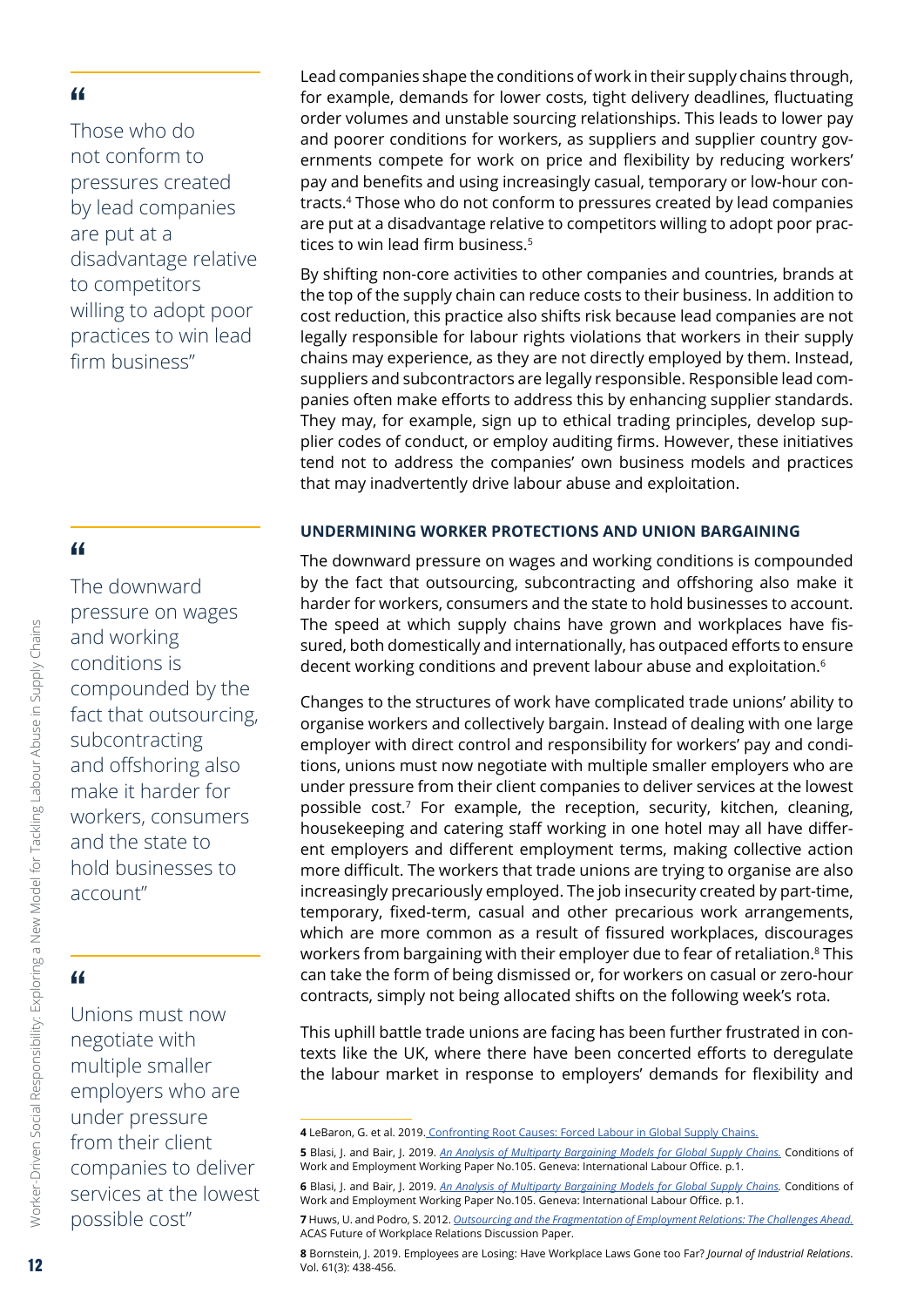<span id="page-11-0"></span>Those who do not conform to pressures created by lead companies are put at a disadvantage relative to competitors willing to adopt poor practices to win lead firm business"

#### "

The downward pressure on wages and working conditions is compounded by the fact that outsourcing, subcontracting and offshoring also make it harder for workers, consumers and the state to hold businesses to account"

# "

Unions must now negotiate with multiple smaller employers who are under pressure from their client companies to deliver services at the lowest possible cost"

Lead companies shape the conditions of work in their supply chains through, for example, demands for lower costs, tight delivery deadlines, fluctuating order volumes and unstable sourcing relationships. This leads to lower pay and poorer conditions for workers, as suppliers and supplier country governments compete for work on price and flexibility by reducing workers' pay and benefits and using increasingly casual, temporary or low-hour contracts.4 Those who do not conform to pressures created by lead companies are put at a disadvantage relative to competitors willing to adopt poor practices to win lead firm business.<sup>5</sup>

By shifting non-core activities to other companies and countries, brands at the top of the supply chain can reduce costs to their business. In addition to cost reduction, this practice also shifts risk because lead companies are not legally responsible for labour rights violations that workers in their supply chains may experience, as they are not directly employed by them. Instead, suppliers and subcontractors are legally responsible. Responsible lead companies often make efforts to address this by enhancing supplier standards. They may, for example, sign up to ethical trading principles, develop supplier codes of conduct, or employ auditing firms. However, these initiatives tend not to address the companies' own business models and practices that may inadvertently drive labour abuse and exploitation.

#### **UNDERMINING WORKER PROTECTIONS AND UNION BARGAINING**

The downward pressure on wages and working conditions is compounded by the fact that outsourcing, subcontracting and offshoring also make it harder for workers, consumers and the state to hold businesses to account. The speed at which supply chains have grown and workplaces have fissured, both domestically and internationally, has outpaced efforts to ensure decent working conditions and prevent labour abuse and exploitation.<sup>6</sup>

Changes to the structures of work have complicated trade unions' ability to organise workers and collectively bargain. Instead of dealing with one large employer with direct control and responsibility for workers' pay and conditions, unions must now negotiate with multiple smaller employers who are under pressure from their client companies to deliver services at the lowest possible cost.<sup>7</sup> For example, the reception, security, kitchen, cleaning, housekeeping and catering staff working in one hotel may all have different employers and different employment terms, making collective action more difficult. The workers that trade unions are trying to organise are also increasingly precariously employed. The job insecurity created by part-time, temporary, fixed-term, casual and other precarious work arrangements, which are more common as a result of fissured workplaces, discourages workers from bargaining with their employer due to fear of retaliation.<sup>8</sup> This can take the form of being dismissed or, for workers on casual or zero-hour contracts, simply not being allocated shifts on the following week's rota.

This uphill battle trade unions are facing has been further frustrated in contexts like the UK, where there have been concerted efforts to deregulate the labour market in response to employers' demands for flexibility and

**<sup>4</sup>** LeBaron, G. et al. 2019. [Confronting Root Causes: Forced Labour in Global Supply Chains.](https://www.opendemocracy.net/en/beyond-trafficking-and-slavery/confronting-root-causes/)

**<sup>5</sup>** Blasi, J. and Bair, J. 2019. *[An Analysis of Multiparty Bargaining Models for Global Supply Chains.](https://www.ilo.org/wcmsp5/groups/public/---ed_protect/---protrav/---travail/documents/publication/wcms_655541.pdf)* Conditions of Work and Employment Working Paper No.105. Geneva: International Labour Office. p.1.

**<sup>6</sup>** Blasi, J. and Bair, J. 2019. *[An Analysis of Multiparty Bargaining Models for Global Supply Chains.](https://www.ilo.org/wcmsp5/groups/public/---ed_protect/---protrav/---travail/documents/publication/wcms_655541.pdf)* Conditions of Work and Employment Working Paper No.105. Geneva: International Labour Office. p.1.

**<sup>7</sup>** Huws, U. and Podro, S. 2012. *[Outsourcing and the Fragmentation of Employment Relations: The Challenges Ahead.](https://archive.acas.org.uk/media/3474/Outsourcing-and-the-fragmentation-of-employment-relations-the-challenges-ahead/pdf/Outsourcing-and-the-fragmentation-of-employment-relations-the-challenges-ahead.pdf)*  ACAS Future of Workplace Relations Discussion Paper.

**<sup>8</sup>** Bornstein, J. 2019. Employees are Losing: Have Workplace Laws Gone too Far? *Journal of Industrial Relations*. Vol. 61(3): 438-456.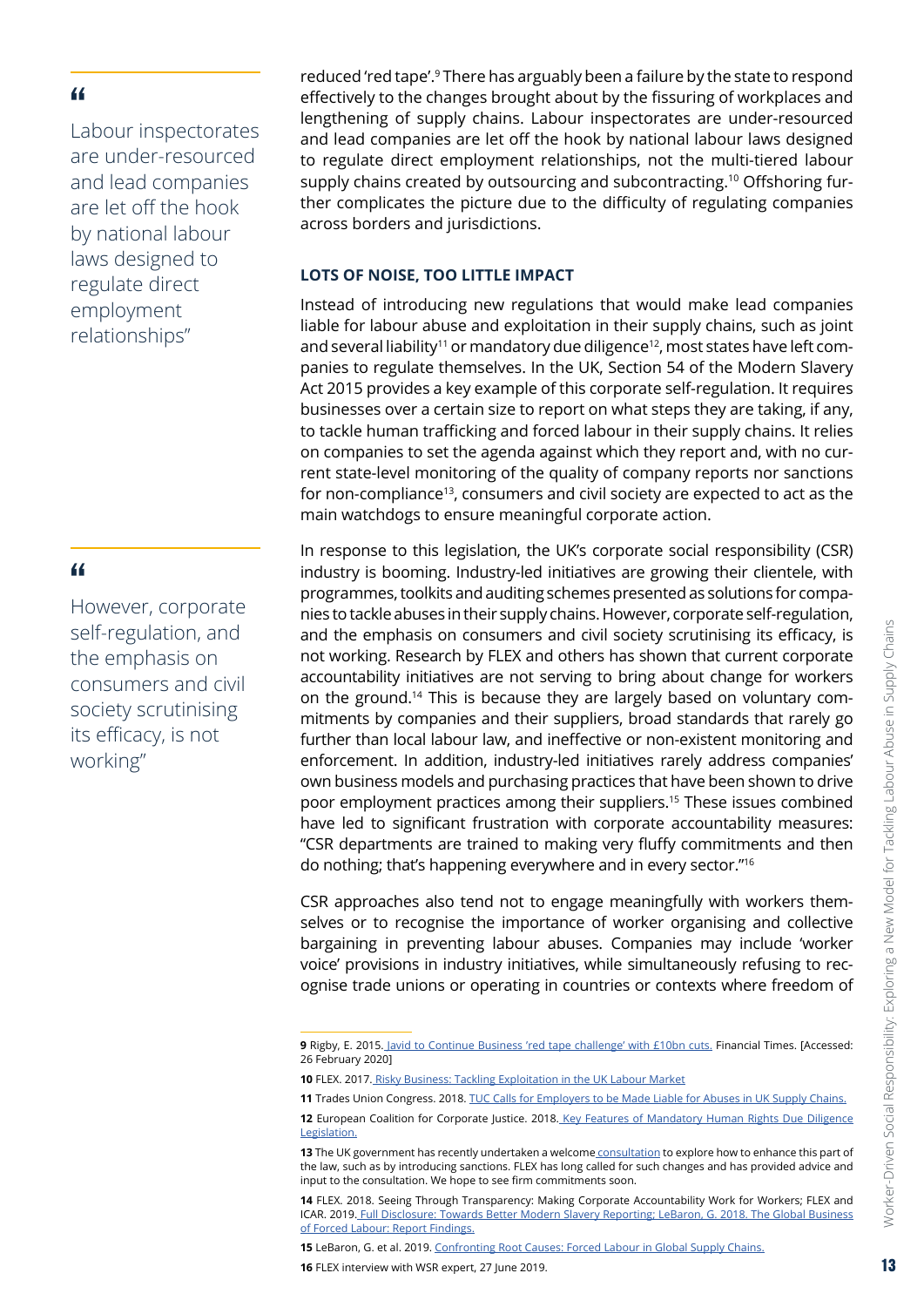<span id="page-12-0"></span>Labour inspectorates are under-resourced and lead companies are let off the hook by national labour laws designed to regulate direct employment relationships"

#### "

However, corporate self-regulation, and the emphasis on consumers and civil society scrutinising its efficacy, is not working"

reduced 'red tape'.9 There has arguably been a failure by the state to respond effectively to the changes brought about by the fissuring of workplaces and lengthening of supply chains. Labour inspectorates are under-resourced and lead companies are let off the hook by national labour laws designed to regulate direct employment relationships, not the multi-tiered labour supply chains created by outsourcing and subcontracting.10 Offshoring further complicates the picture due to the difficulty of regulating companies across borders and jurisdictions.

#### **LOTS OF NOISE, TOO LITTLE IMPACT**

Instead of introducing new regulations that would make lead companies liable for labour abuse and exploitation in their supply chains, such as joint and several liability<sup>11</sup> or mandatory due diligence<sup>12</sup>, most states have left companies to regulate themselves. In the UK, Section 54 of the Modern Slavery Act 2015 provides a key example of this corporate self-regulation. It requires businesses over a certain size to report on what steps they are taking, if any, to tackle human trafficking and forced labour in their supply chains. It relies on companies to set the agenda against which they report and, with no current state-level monitoring of the quality of company reports nor sanctions for non-compliance<sup>13</sup>, consumers and civil society are expected to act as the main watchdogs to ensure meaningful corporate action.

In response to this legislation, the UK's corporate social responsibility (CSR) industry is booming. Industry-led initiatives are growing their clientele, with programmes, toolkits and auditing schemes presented as solutions for companies to tackle abuses in their supply chains. However, corporate self-regulation, and the emphasis on consumers and civil society scrutinising its efficacy, is not working. Research by FLEX and others has shown that current corporate accountability initiatives are not serving to bring about change for workers on the ground.14 This is because they are largely based on voluntary commitments by companies and their suppliers, broad standards that rarely go further than local labour law, and ineffective or non-existent monitoring and enforcement. In addition, industry-led initiatives rarely address companies' own business models and purchasing practices that have been shown to drive poor employment practices among their suppliers.15 These issues combined have led to significant frustration with corporate accountability measures: "CSR departments are trained to making very fluffy commitments and then do nothing; that's happening everywhere and in every sector."16

CSR approaches also tend not to engage meaningfully with workers themselves or to recognise the importance of worker organising and collective bargaining in preventing labour abuses. Companies may include 'worker voice' provisions in industry initiatives, while simultaneously refusing to recognise trade unions or operating in countries or contexts where freedom of

**15** LeBaron, G. et al. 2019. [Confronting Root Causes: Forced Labour in Global Supply Chains.](https://www.opendemocracy.net/en/beyond-trafficking-and-slavery/confronting-root-causes/)

**16** FLEX interview with WSR expert, 27 June 2019.

**<sup>9</sup>** Rigby, E. 2015[. Javid to Continue Business 'red tape challenge' with £10bn cuts.](https://www.ft.com/content/6e5c1882-fd75-11e4-9e96-00144feabdc0) Financial Times. [Accessed: 26 February 2020]

**<sup>10</sup>** FLEX. 2017. [Risky Business: Tackling Exploitation in the UK Labour Market](https://www.labourexploitation.org/publications/risky-business-tackling-exploitation-uk-labour-market)

**<sup>11</sup>** Trades Union Congress. 2018. [TUC Calls for Employers to be Made Liable for Abuses in UK Supply Chains.](https://www.tuc.org.uk/news/tuc-calls-employers-be-made-liable-abuses-uk-supply-chains)

<sup>12</sup> European Coalition for Corporate Justice. 2018. Key Features of Mandatory Human Rights Due Diligence [Legislation.](https://corporatejustice.org/documents/publications/eccj/2018eccj-position-paper-mhrdd-final_june2018.pdf)

**<sup>13</sup>** The UK government has recently undertaken a welcome [consultation](https://assets.publishing.service.gov.uk/government/uploads/system/uploads/attachment_data/file/816348/Transparency_in_supply_chains_consultation.pdf) to explore how to enhance this part of the law, such as by introducing sanctions. FLEX has long called for such changes and has provided advice and input to the consultation. We hope to see firm commitments soon.

**<sup>14</sup>** FLEX. 2018[. Seeing Through Transparency: Making Corporate Accountability Work for Workers;](https://www.labourexploitation.org/publications/seeing-through-transparency-making-corporate-accountability-work-workers) FLEX and ICAR. 2019[. Full Disclosure: Towards Better Modern Slavery Reporting;](https://www.labourexploitation.org/publications/full-disclosure-towards-better-modern-slavery-reporting) LeBaron, G. 2018[. The Global Business](http://globalbusinessofforcedlabour.ac.uk/wp-content/uploads/2018/05/Report-of-Findings-Global-Business-of-Forced-Labour.pdf)  [of Forced Labour: Report Findings.](http://globalbusinessofforcedlabour.ac.uk/wp-content/uploads/2018/05/Report-of-Findings-Global-Business-of-Forced-Labour.pdf)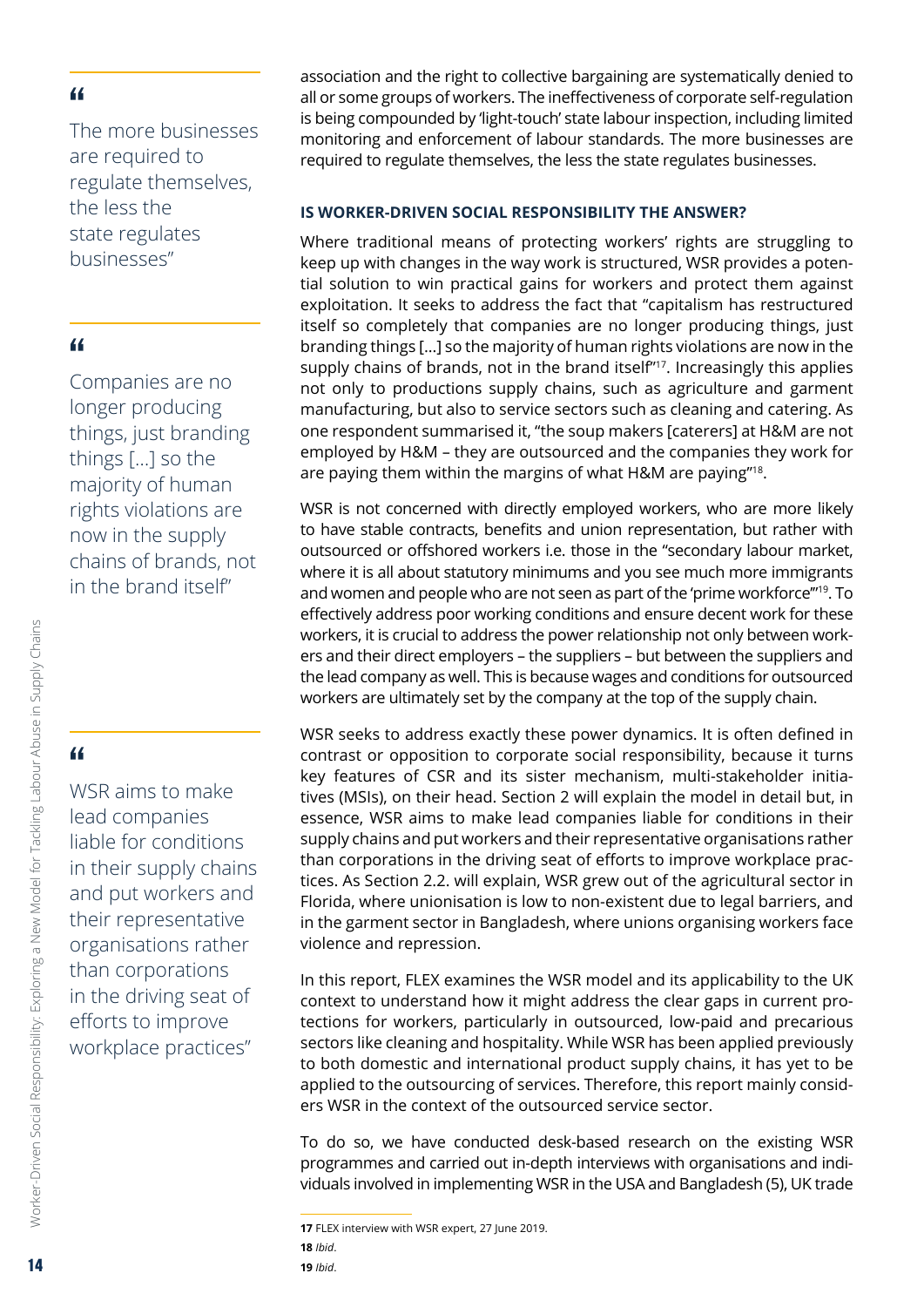<span id="page-13-0"></span>The more businesses are required to regulate themselves, the less the state regulates businesses"

#### "

Companies are no longer producing things, just branding things […] so the majority of human rights violations are now in the supply chains of brands, not in the brand itself"

# "

WSR aims to make lead companies liable for conditions in their supply chains and put workers and their representative organisations rather than corporations in the driving seat of efforts to improve workplace practices"

association and the right to collective bargaining are systematically denied to all or some groups of workers. The ineffectiveness of corporate self-regulation is being compounded by 'light-touch' state labour inspection, including limited monitoring and enforcement of labour standards. The more businesses are required to regulate themselves, the less the state regulates businesses.

#### **IS WORKER-DRIVEN SOCIAL RESPONSIBILITY THE ANSWER?**

Where traditional means of protecting workers' rights are struggling to keep up with changes in the way work is structured, WSR provides a potential solution to win practical gains for workers and protect them against exploitation. It seeks to address the fact that "capitalism has restructured itself so completely that companies are no longer producing things, just branding things […] so the majority of human rights violations are now in the supply chains of brands, not in the brand itself"<sup>17</sup>. Increasingly this applies not only to productions supply chains, such as agriculture and garment manufacturing, but also to service sectors such as cleaning and catering. As one respondent summarised it, "the soup makers [caterers] at H&M are not employed by H&M – they are outsourced and the companies they work for are paying them within the margins of what H&M are paying"18.

WSR is not concerned with directly employed workers, who are more likely to have stable contracts, benefits and union representation, but rather with outsourced or offshored workers i.e. those in the "secondary labour market, where it is all about statutory minimums and you see much more immigrants and women and people who are not seen as part of the 'prime workforce'"19. To effectively address poor working conditions and ensure decent work for these workers, it is crucial to address the power relationship not only between workers and their direct employers – the suppliers – but between the suppliers and the lead company as well. This is because wages and conditions for outsourced workers are ultimately set by the company at the top of the supply chain.

WSR seeks to address exactly these power dynamics. It is often defined in contrast or opposition to corporate social responsibility, because it turns key features of CSR and its sister mechanism, multi-stakeholder initiatives (MSIs), on their head. Section 2 will explain the model in detail but, in essence, WSR aims to make lead companies liable for conditions in their supply chains and put workers and their representative organisations rather than corporations in the driving seat of efforts to improve workplace practices. As Section 2.2. will explain, WSR grew out of the agricultural sector in Florida, where unionisation is low to non-existent due to legal barriers, and in the garment sector in Bangladesh, where unions organising workers face violence and repression.

In this report, FLEX examines the WSR model and its applicability to the UK context to understand how it might address the clear gaps in current protections for workers, particularly in outsourced, low-paid and precarious sectors like cleaning and hospitality. While WSR has been applied previously to both domestic and international product supply chains, it has yet to be applied to the outsourcing of services. Therefore, this report mainly considers WSR in the context of the outsourced service sector.

To do so, we have conducted desk-based research on the existing WSR programmes and carried out in-depth interviews with organisations and individuals involved in implementing WSR in the USA and Bangladesh (5), UK trade

**<sup>17</sup>** FLEX interview with WSR expert, 27 June 2019. **18** *Ibid*.

**<sup>19</sup>** *Ibid*.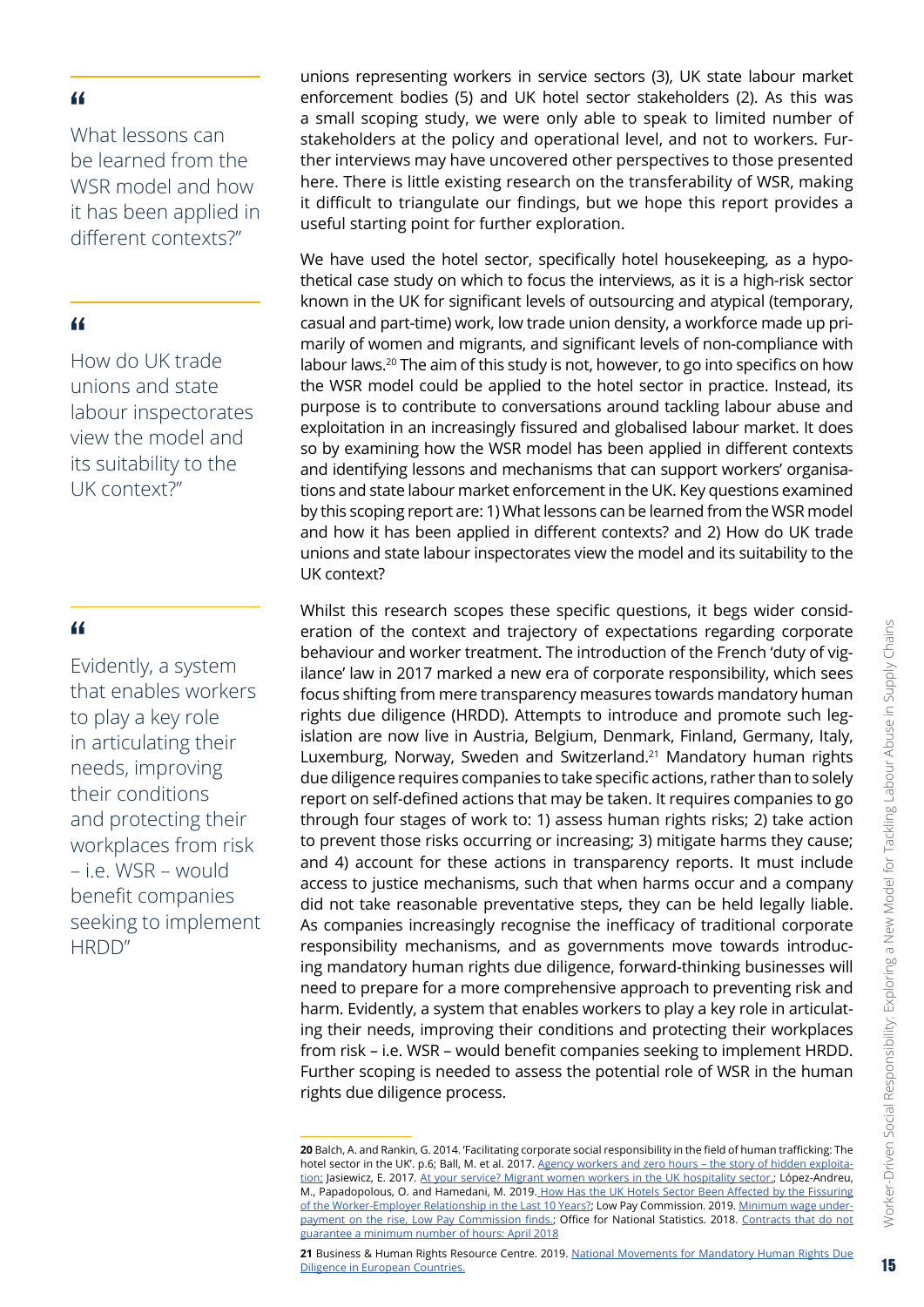What lessons can be learned from the WSR model and how it has been applied in different contexts?"

#### "

How do UK trade unions and state labour inspectorates view the model and its suitability to the UK context?"

#### "

Evidently, a system that enables workers to play a key role in articulating their needs, improving their conditions and protecting their workplaces from risk – i.e. WSR – would benefit companies seeking to implement HRDD"

unions representing workers in service sectors (3), UK state labour market enforcement bodies (5) and UK hotel sector stakeholders (2). As this was a small scoping study, we were only able to speak to limited number of stakeholders at the policy and operational level, and not to workers. Further interviews may have uncovered other perspectives to those presented here. There is little existing research on the transferability of WSR, making it difficult to triangulate our findings, but we hope this report provides a useful starting point for further exploration.

We have used the hotel sector, specifically hotel housekeeping, as a hypothetical case study on which to focus the interviews, as it is a high-risk sector known in the UK for significant levels of outsourcing and atypical (temporary, casual and part-time) work, low trade union density, a workforce made up primarily of women and migrants, and significant levels of non-compliance with labour laws.20 The aim of this study is not, however, to go into specifics on how the WSR model could be applied to the hotel sector in practice. Instead, its purpose is to contribute to conversations around tackling labour abuse and exploitation in an increasingly fissured and globalised labour market. It does so by examining how the WSR model has been applied in different contexts and identifying lessons and mechanisms that can support workers' organisations and state labour market enforcement in the UK. Key questions examined by this scoping report are: 1) What lessons can be learned from the WSR model and how it has been applied in different contexts? and 2) How do UK trade unions and state labour inspectorates view the model and its suitability to the UK context?

Whilst this research scopes these specific questions, it begs wider consideration of the context and trajectory of expectations regarding corporate behaviour and worker treatment. The introduction of the French 'duty of vigilance' law in 2017 marked a new era of corporate responsibility, which sees focus shifting from mere transparency measures towards mandatory human rights due diligence (HRDD). Attempts to introduce and promote such legislation are now live in Austria, Belgium, Denmark, Finland, Germany, Italy, Luxemburg, Norway, Sweden and Switzerland.21 Mandatory human rights due diligence requires companies to take specific actions, rather than to solely report on self-defined actions that may be taken. It requires companies to go through four stages of work to: 1) assess human rights risks; 2) take action to prevent those risks occurring or increasing; 3) mitigate harms they cause; and 4) account for these actions in transparency reports. It must include access to justice mechanisms, such that when harms occur and a company did not take reasonable preventative steps, they can be held legally liable. As companies increasingly recognise the inefficacy of traditional corporate responsibility mechanisms, and as governments move towards introducing mandatory human rights due diligence, forward-thinking businesses will need to prepare for a more comprehensive approach to preventing risk and harm. Evidently, a system that enables workers to play a key role in articulating their needs, improving their conditions and protecting their workplaces from risk – i.e. WSR – would benefit companies seeking to implement HRDD. Further scoping is needed to assess the potential role of WSR in the human rights due diligence process.

**<sup>20</sup>** Balch, A. and Rankin, G. 2014. 'Facilitating corporate social responsibility in the field of human trafficking: The hotel sector in the UK'. p.6; Ball, M. et al. 2017. [Agency workers and zero hours – the story of hidden exploita](http://shura.shu.ac.uk/16682/1/Report final.pdf)[tion;](http://shura.shu.ac.uk/16682/1/Report final.pdf) Jasiewicz, E. 2017. [At your service? Migrant women workers in the UK hospitality sector.;](https://novaramedia.com/2017/03/10/at-your-service-migrant-women-workers-in-the-uk-hospitality-sector/) López-Andreu, M., Papadopolous, O. and Hamedani, M. 2019. [How Has the UK Hotels Sector Been Affected by the Fissuring](https://assets.publishing.service.gov.uk/government/uploads/system/uploads/attachment_data/file/814594/UK_Hotels_Sector_Director_of_labour_market_enforcement_July_2019.pdf)  [of the Worker-Employer Relationship in the Last 10 Years?;](https://assets.publishing.service.gov.uk/government/uploads/system/uploads/attachment_data/file/814594/UK_Hotels_Sector_Director_of_labour_market_enforcement_July_2019.pdf) Low Pay Commission. 2019. [Minimum wage under](https://www.gov.uk/government/news/minimum-wage-underpayment-on-the-rise-low-pay-commission-finds)[payment on the rise, Low Pay Commission finds.](https://www.gov.uk/government/news/minimum-wage-underpayment-on-the-rise-low-pay-commission-finds); Office for National Statistics. 2018. [Contracts that do not](https://www.ons.gov.uk/employmentandlabourmarket/peopleinwork/earningsandworkinghours/articles/contractsthatdonotguaranteeaminimumnumberofhours/april2018#what-are-the-characteristics-of-people-e)  [guarantee a minimum number of hours: April 2018](https://www.ons.gov.uk/employmentandlabourmarket/peopleinwork/earningsandworkinghours/articles/contractsthatdonotguaranteeaminimumnumberofhours/april2018#what-are-the-characteristics-of-people-e)

<sup>21</sup> Business & Human Rights Resource Centre. 2019. National Movements for Mandatory Human Rights Due [Diligence in European Countries.](https://www.business-humanrights.org/en/national-movements-for-mandatory-human-rights-due-diligence-in-european-countries)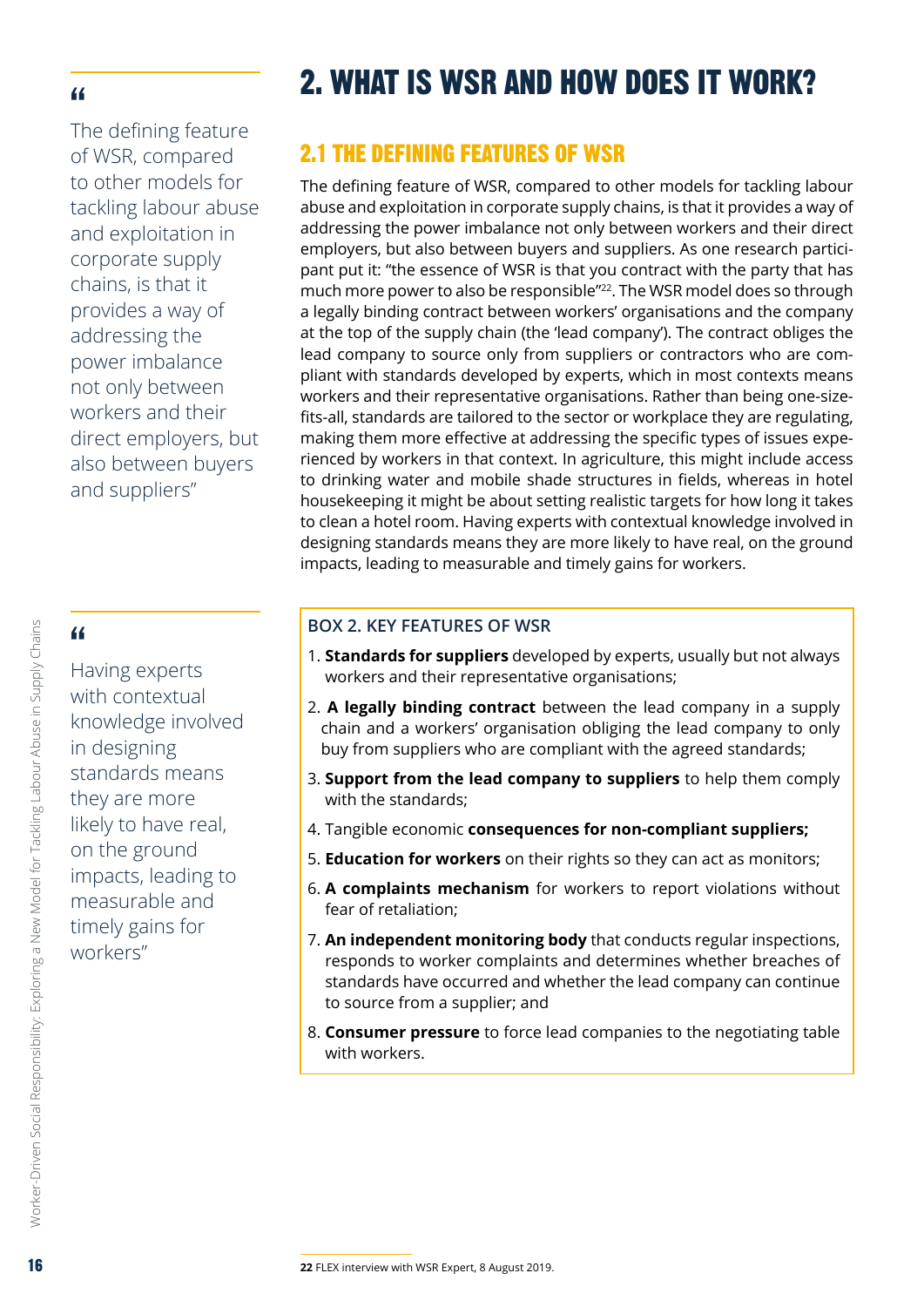<span id="page-15-0"></span>The defining feature of WSR, compared to other models for tackling labour abuse and exploitation in corporate supply chains, is that it provides a way of addressing the power imbalance not only between workers and their direct employers, but also between buyers and suppliers"

# "

Having experts with contextual knowledge involved in designing standards means they are more likely to have real, on the ground impacts, leading to measurable and timely gains for workers"

# 2. WHAT IS WSR AND HOW DOES IT WORK?

# 2.1 THE DEFINING FEATURES OF WSR

The defining feature of WSR, compared to other models for tackling labour abuse and exploitation in corporate supply chains, is that it provides a way of addressing the power imbalance not only between workers and their direct employers, but also between buyers and suppliers. As one research participant put it: "the essence of WSR is that you contract with the party that has much more power to also be responsible"<sup>22</sup>. The WSR model does so through a legally binding contract between workers' organisations and the company at the top of the supply chain (the 'lead company'). The contract obliges the lead company to source only from suppliers or contractors who are compliant with standards developed by experts, which in most contexts means workers and their representative organisations. Rather than being one-sizefits-all, standards are tailored to the sector or workplace they are regulating, making them more effective at addressing the specific types of issues experienced by workers in that context. In agriculture, this might include access to drinking water and mobile shade structures in fields, whereas in hotel housekeeping it might be about setting realistic targets for how long it takes to clean a hotel room. Having experts with contextual knowledge involved in designing standards means they are more likely to have real, on the ground impacts, leading to measurable and timely gains for workers.

#### **BOX 2. KEY FEATURES OF WSR**

- 1. **Standards for suppliers** developed by experts, usually but not always workers and their representative organisations;
- 2. **A legally binding contract** between the lead company in a supply chain and a workers' organisation obliging the lead company to only buy from suppliers who are compliant with the agreed standards;
- 3. **Support from the lead company to suppliers** to help them comply with the standards;
- 4. Tangible economic **consequences for non-compliant suppliers;**
- 5. **Education for workers** on their rights so they can act as monitors;
- 6. **A complaints mechanism** for workers to report violations without fear of retaliation;
- 7. **An independent monitoring body** that conducts regular inspections, responds to worker complaints and determines whether breaches of standards have occurred and whether the lead company can continue to source from a supplier; and
- 8. **Consumer pressure** to force lead companies to the negotiating table with workers.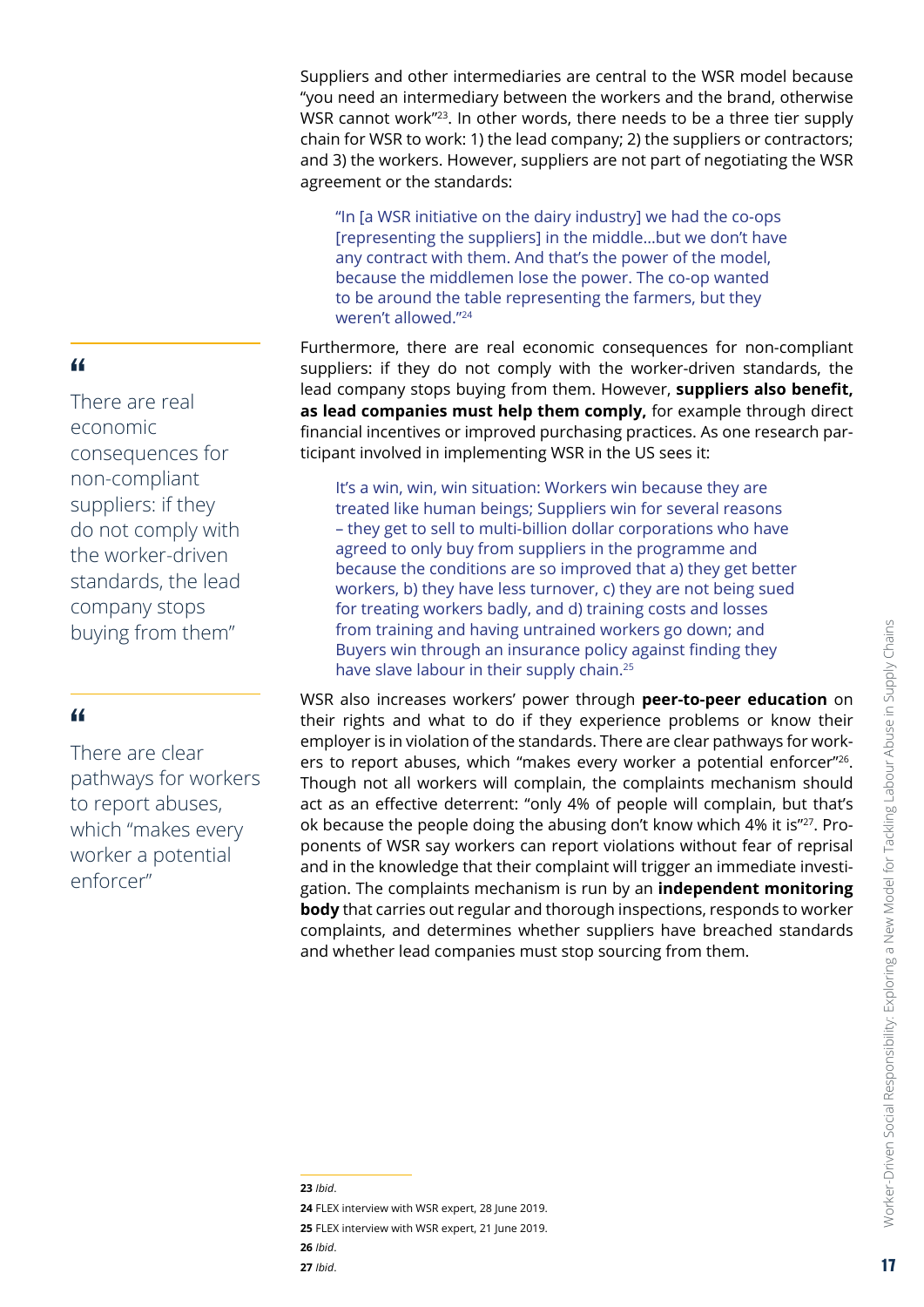Suppliers and other intermediaries are central to the WSR model because "you need an intermediary between the workers and the brand, otherwise WSR cannot work"<sup>23</sup>. In other words, there needs to be a three tier supply chain for WSR to work: 1) the lead company; 2) the suppliers or contractors; and 3) the workers. However, suppliers are not part of negotiating the WSR agreement or the standards:

"In [a WSR initiative on the dairy industry] we had the co-ops [representing the suppliers] in the middle…but we don't have any contract with them. And that's the power of the model, because the middlemen lose the power. The co-op wanted to be around the table representing the farmers, but they weren't allowed."24

Furthermore, there are real economic consequences for non-compliant suppliers: if they do not comply with the worker-driven standards, the lead company stops buying from them. However, **suppliers also benefit, as lead companies must help them comply,** for example through direct financial incentives or improved purchasing practices. As one research participant involved in implementing WSR in the US sees it:

It's a win, win, win situation: Workers win because they are treated like human beings; Suppliers win for several reasons – they get to sell to multi-billion dollar corporations who have agreed to only buy from suppliers in the programme and because the conditions are so improved that a) they get better workers, b) they have less turnover, c) they are not being sued for treating workers badly, and d) training costs and losses from training and having untrained workers go down; and Buyers win through an insurance policy against finding they have slave labour in their supply chain.<sup>25</sup>

WSR also increases workers' power through **peer-to-peer education** on their rights and what to do if they experience problems or know their employer is in violation of the standards. There are clear pathways for workers to report abuses, which "makes every worker a potential enforcer"<sup>26</sup>. Though not all workers will complain, the complaints mechanism should act as an effective deterrent: "only 4% of people will complain, but that's ok because the people doing the abusing don't know which 4% it is"27. Proponents of WSR say workers can report violations without fear of reprisal and in the knowledge that their complaint will trigger an immediate investigation. The complaints mechanism is run by an **independent monitoring body** that carries out regular and thorough inspections, responds to worker complaints, and determines whether suppliers have breached standards and whether lead companies must stop sourcing from them.

"

There are real economic consequences for non-compliant suppliers: if they do not comply with the worker-driven standards, the lead company stops buying from them"

#### "

There are clear pathways for workers to report abuses, which "makes every worker a potential enforcer"

#### **23** *Ibid*.

**24** FLEX interview with WSR expert, 28 June 2019. **25** FLEX interview with WSR expert, 21 June 2019. **26** *Ibid*. **27** *Ibid*.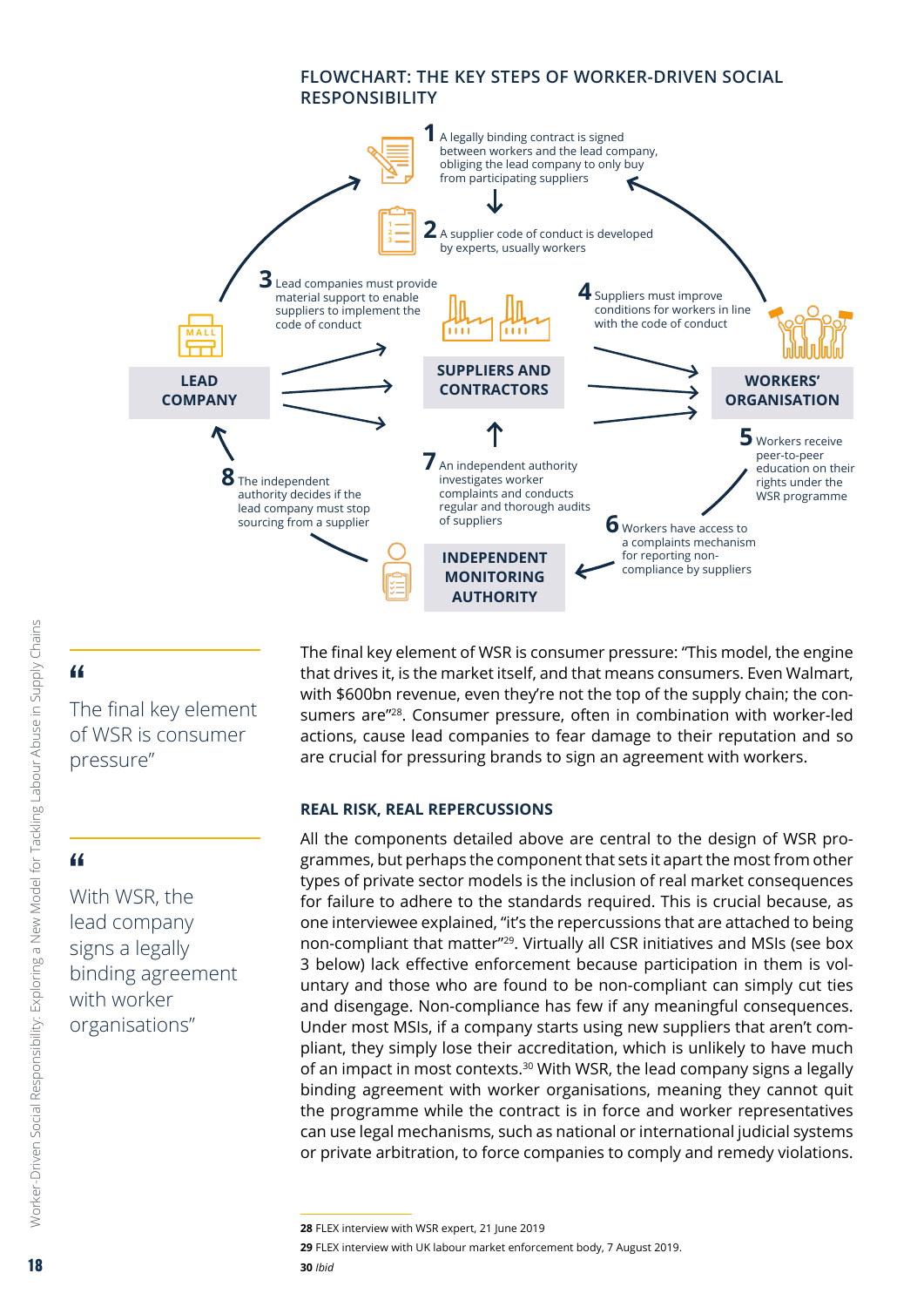#### **FLOWCHART: THE KEY STEPS OF WORKER-DRIVEN SOCIAL RESPONSIBILITY**

<span id="page-17-0"></span>

## "

The final key element of WSR is consumer pressure"

# "

Worker-Driven Social Responsibility: Exploring a New Model for Tackling Labour Abuse in Supply Chains

Worker-Driven Social Responsibility: Exploring a New Model for Tackling Labour Abuse in Supply Chains

With WSR, the lead company signs a legally binding agreement with worker organisations"

The final key element of WSR is consumer pressure: "This model, the engine that drives it, is the market itself, and that means consumers. Even Walmart, with \$600bn revenue, even they're not the top of the supply chain; the consumers are"28. Consumer pressure, often in combination with worker-led actions, cause lead companies to fear damage to their reputation and so are crucial for pressuring brands to sign an agreement with workers.

#### **REAL RISK, REAL REPERCUSSIONS**

All the components detailed above are central to the design of WSR programmes, but perhaps the component that sets it apart the most from other types of private sector models is the inclusion of real market consequences for failure to adhere to the standards required. This is crucial because, as one interviewee explained, "it's the repercussions that are attached to being non-compliant that matter<sup>"29</sup>. Virtually all CSR initiatives and MSIs (see box 3 below) lack effective enforcement because participation in them is voluntary and those who are found to be non-compliant can simply cut ties and disengage. Non-compliance has few if any meaningful consequences. Under most MSIs, if a company starts using new suppliers that aren't compliant, they simply lose their accreditation, which is unlikely to have much of an impact in most contexts.<sup>30</sup> With WSR, the lead company signs a legally binding agreement with worker organisations, meaning they cannot quit the programme while the contract is in force and worker representatives can use legal mechanisms, such as national or international judicial systems or private arbitration, to force companies to comply and remedy violations.

**<sup>28</sup>** FLEX interview with WSR expert, 21 June 2019

**<sup>29</sup>** FLEX interview with UK labour market enforcement body, 7 August 2019.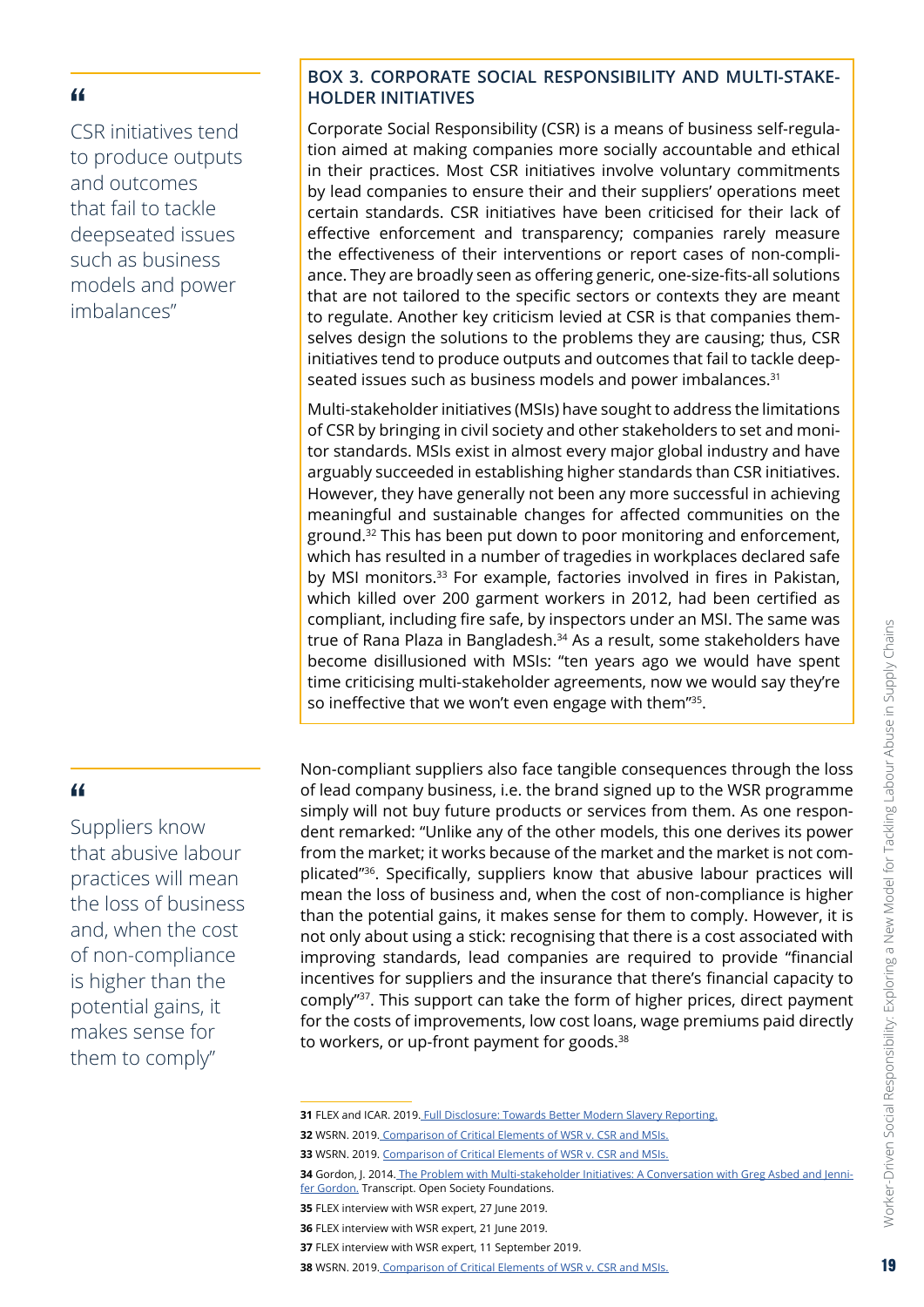<span id="page-18-0"></span>CSR initiatives tend to produce outputs and outcomes that fail to tackle deepseated issues such as business models and power imbalances"

## "

Suppliers know that abusive labour practices will mean the loss of business and, when the cost of non-compliance is higher than the potential gains, it makes sense for them to comply"

#### **BOX 3. CORPORATE SOCIAL RESPONSIBILITY AND MULTI-STAKE-HOLDER INITIATIVES**

Corporate Social Responsibility (CSR) is a means of business self-regulation aimed at making companies more socially accountable and ethical in their practices. Most CSR initiatives involve voluntary commitments by lead companies to ensure their and their suppliers' operations meet certain standards. CSR initiatives have been criticised for their lack of effective enforcement and transparency; companies rarely measure the effectiveness of their interventions or report cases of non-compliance. They are broadly seen as offering generic, one-size-fits-all solutions that are not tailored to the specific sectors or contexts they are meant to regulate. Another key criticism levied at CSR is that companies themselves design the solutions to the problems they are causing; thus, CSR initiatives tend to produce outputs and outcomes that fail to tackle deepseated issues such as business models and power imbalances.<sup>31</sup>

Multi-stakeholder initiatives (MSIs) have sought to address the limitations of CSR by bringing in civil society and other stakeholders to set and monitor standards. MSIs exist in almost every major global industry and have arguably succeeded in establishing higher standards than CSR initiatives. However, they have generally not been any more successful in achieving meaningful and sustainable changes for affected communities on the ground.32 This has been put down to poor monitoring and enforcement, which has resulted in a number of tragedies in workplaces declared safe by MSI monitors.<sup>33</sup> For example, factories involved in fires in Pakistan, which killed over 200 garment workers in 2012, had been certified as compliant, including fire safe, by inspectors under an MSI. The same was true of Rana Plaza in Bangladesh.34 As a result, some stakeholders have become disillusioned with MSIs: "ten years ago we would have spent time criticising multi-stakeholder agreements, now we would say they're so ineffective that we won't even engage with them"<sup>35</sup>.

Non-compliant suppliers also face tangible consequences through the loss of lead company business, i.e. the brand signed up to the WSR programme simply will not buy future products or services from them. As one respondent remarked: "Unlike any of the other models, this one derives its power from the market; it works because of the market and the market is not complicated"36. Specifically, suppliers know that abusive labour practices will mean the loss of business and, when the cost of non-compliance is higher than the potential gains, it makes sense for them to comply. However, it is not only about using a stick: recognising that there is a cost associated with improving standards, lead companies are required to provide "financial incentives for suppliers and the insurance that there's financial capacity to comply"37. This support can take the form of higher prices, direct payment for the costs of improvements, low cost loans, wage premiums paid directly to workers, or up-front payment for goods.<sup>38</sup>

**34** Gordon, J. 2014. [The Problem with Multi-stakeholder Initiatives: A Conversation with Greg Asbed and Jenni](https://www.opensocietyfoundations.org/uploads/50b316d3-b90f-468a-ba85-5520e33f1f61/problem-multi-stakeholder-initiatives-20140611_0.pdf)[fer Gordon.](https://www.opensocietyfoundations.org/uploads/50b316d3-b90f-468a-ba85-5520e33f1f61/problem-multi-stakeholder-initiatives-20140611_0.pdf) Transcript. Open Society Foundations.

**<sup>31</sup> FLEX and ICAR. 2019[. Full Disclosure: Towards Better Modern Slavery Reporting.](https://www.labourexploitation.org/publications/full-disclosure-towards-better-modern-slavery-reporting)** 

**<sup>32</sup>** WSRN. 2019. [Comparison of Critical Elements of WSR v. CSR and MSIs.](https://wsr-network.org/what-is-wsr/csr-and-msis/)

**<sup>33</sup>** WSRN. 2019. [Comparison of Critical Elements of WSR v. CSR and MSIs.](https://wsr-network.org/what-is-wsr/csr-and-msis/)

**<sup>35</sup>** FLEX interview with WSR expert, 27 June 2019.

**<sup>36</sup>** FLEX interview with WSR expert, 21 June 2019.

**<sup>37</sup>** FLEX interview with WSR expert, 11 September 2019.

**<sup>38</sup>** WSRN. 2019. [Comparison of Critical Elements of WSR v. CSR and MSIs.](https://wsr-network.org/what-is-wsr/csr-and-msis/)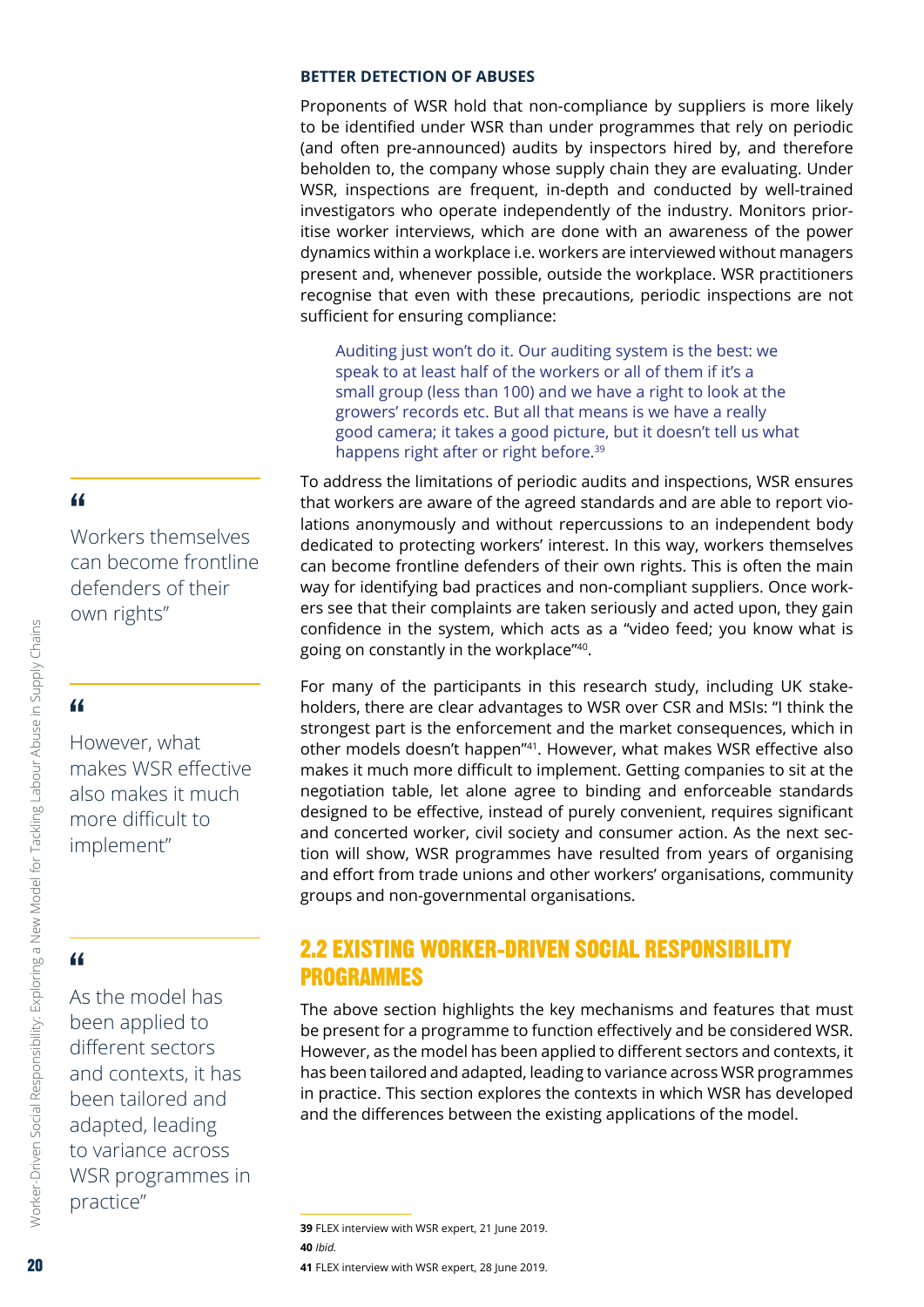#### <span id="page-19-0"></span>**BETTER DETECTION OF ABUSES**

Proponents of WSR hold that non-compliance by suppliers is more likely to be identified under WSR than under programmes that rely on periodic (and often pre-announced) audits by inspectors hired by, and therefore beholden to, the company whose supply chain they are evaluating. Under WSR, inspections are frequent, in-depth and conducted by well-trained investigators who operate independently of the industry. Monitors prioritise worker interviews, which are done with an awareness of the power dynamics within a workplace i.e. workers are interviewed without managers present and, whenever possible, outside the workplace. WSR practitioners recognise that even with these precautions, periodic inspections are not sufficient for ensuring compliance:

Auditing just won't do it. Our auditing system is the best: we speak to at least half of the workers or all of them if it's a small group (less than 100) and we have a right to look at the growers' records etc. But all that means is we have a really good camera; it takes a good picture, but it doesn't tell us what happens right after or right before.<sup>39</sup>

To address the limitations of periodic audits and inspections, WSR ensures that workers are aware of the agreed standards and are able to report violations anonymously and without repercussions to an independent body dedicated to protecting workers' interest. In this way, workers themselves can become frontline defenders of their own rights. This is often the main way for identifying bad practices and non-compliant suppliers. Once workers see that their complaints are taken seriously and acted upon, they gain confidence in the system, which acts as a "video feed; you know what is going on constantly in the workplace"40.

For many of the participants in this research study, including UK stakeholders, there are clear advantages to WSR over CSR and MSIs: "I think the strongest part is the enforcement and the market consequences, which in other models doesn't happen"41. However, what makes WSR effective also makes it much more difficult to implement. Getting companies to sit at the negotiation table, let alone agree to binding and enforceable standards designed to be effective, instead of purely convenient, requires significant and concerted worker, civil society and consumer action. As the next section will show, WSR programmes have resulted from years of organising and effort from trade unions and other workers' organisations, community groups and non-governmental organisations.

# 2.2 EXISTING WORKER-DRIVEN SOCIAL RESPONSIBILITY PROGRAMMES

The above section highlights the key mechanisms and features that must be present for a programme to function effectively and be considered WSR. However, as the model has been applied to different sectors and contexts, it has been tailored and adapted, leading to variance across WSR programmes in practice. This section explores the contexts in which WSR has developed and the differences between the existing applications of the model.

**39** FLEX interview with WSR expert, 21 June 2019. **40** *Ibid.*

#### **41** FLEX interview with WSR expert, 28 June 2019.

# "

Workers themselves can become frontline defenders of their own rights"

# "

However, what makes WSR effective also makes it much more difficult to implement"

# "

As the model has been applied to different sectors and contexts, it has been tailored and adapted, leading to variance across WSR programmes in practice"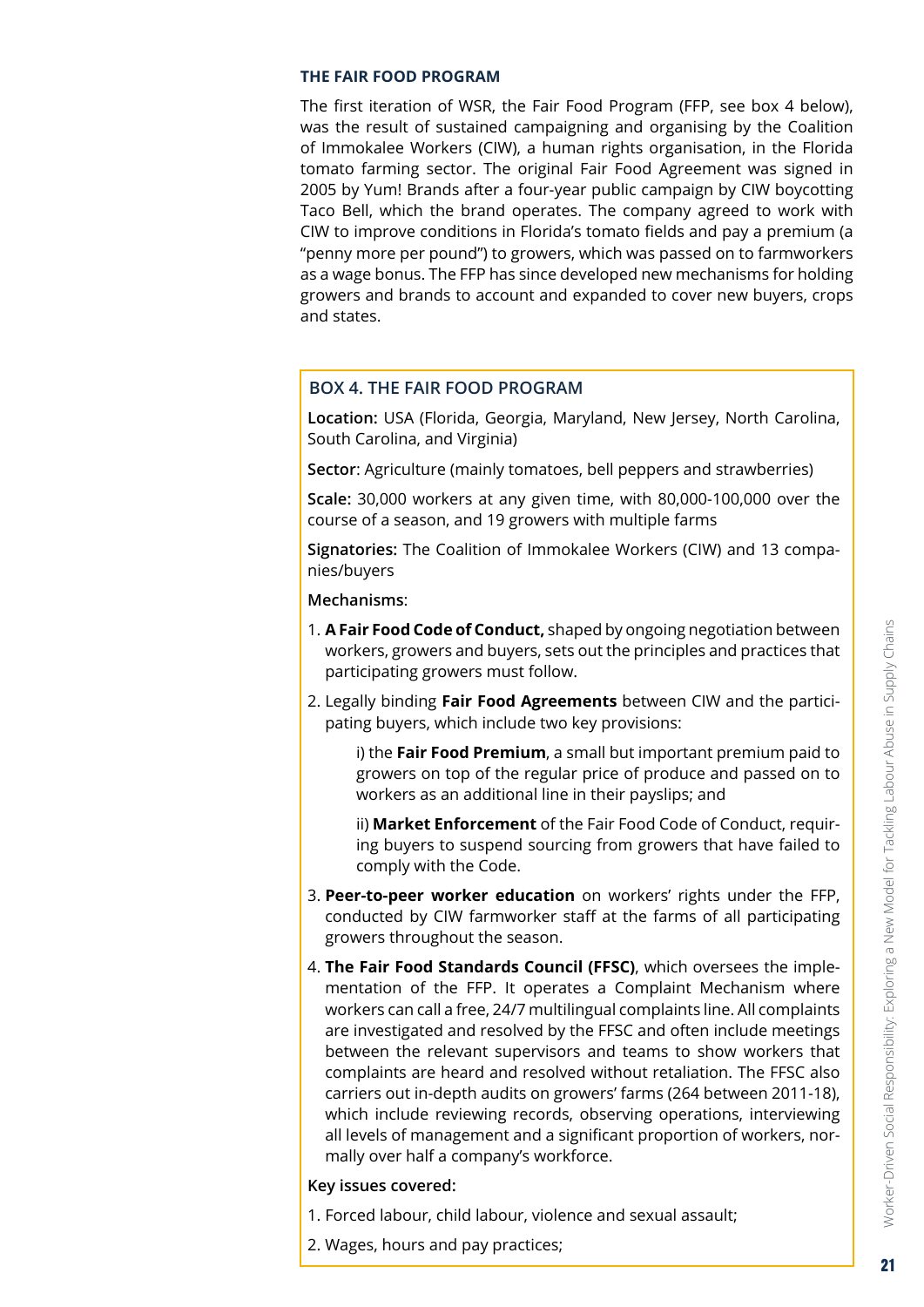#### <span id="page-20-0"></span>**THE FAIR FOOD PROGRAM**

The first iteration of WSR, the Fair Food Program (FFP, see box 4 below), was the result of sustained campaigning and organising by the Coalition of Immokalee Workers (CIW), a human rights organisation, in the Florida tomato farming sector. The original Fair Food Agreement was signed in 2005 by Yum! Brands after a four-year public campaign by CIW boycotting Taco Bell, which the brand operates. The company agreed to work with CIW to improve conditions in Florida's tomato fields and pay a premium (a "penny more per pound") to growers, which was passed on to farmworkers as a wage bonus. The FFP has since developed new mechanisms for holding growers and brands to account and expanded to cover new buyers, crops and states.

#### **BOX 4. THE FAIR FOOD PROGRAM**

**Location:** USA (Florida, Georgia, Maryland, New Jersey, North Carolina, South Carolina, and Virginia)

**Sector**: Agriculture (mainly tomatoes, bell peppers and strawberries)

**Scale:** 30,000 workers at any given time, with 80,000-100,000 over the course of a season, and 19 growers with multiple farms

**Signatories:** The Coalition of Immokalee Workers (CIW) and 13 companies/buyers

**Mechanisms**:

- 1. **A Fair Food Code of Conduct,** shaped by ongoing negotiation between workers, growers and buyers, sets out the principles and practices that participating growers must follow.
- 2. Legally binding **Fair Food Agreements** between CIW and the participating buyers, which include two key provisions:

 i) the **Fair Food Premium**, a small but important premium paid to growers on top of the regular price of produce and passed on to workers as an additional line in their payslips; and

 ii) **Market Enforcement** of the Fair Food Code of Conduct, requiring buyers to suspend sourcing from growers that have failed to comply with the Code.

- 3. **Peer-to-peer worker education** on workers' rights under the FFP, conducted by CIW farmworker staff at the farms of all participating growers throughout the season.
- 4. **The Fair Food Standards Council (FFSC)**, which oversees the implementation of the FFP. It operates a Complaint Mechanism where workers can call a free, 24/7 multilingual complaints line. All complaints are investigated and resolved by the FFSC and often include meetings between the relevant supervisors and teams to show workers that complaints are heard and resolved without retaliation. The FFSC also carriers out in-depth audits on growers' farms (264 between 2011-18), which include reviewing records, observing operations, interviewing all levels of management and a significant proportion of workers, normally over half a company's workforce.

#### **Key issues covered:**

- 1. Forced labour, child labour, violence and sexual assault;
- 2. Wages, hours and pay practices;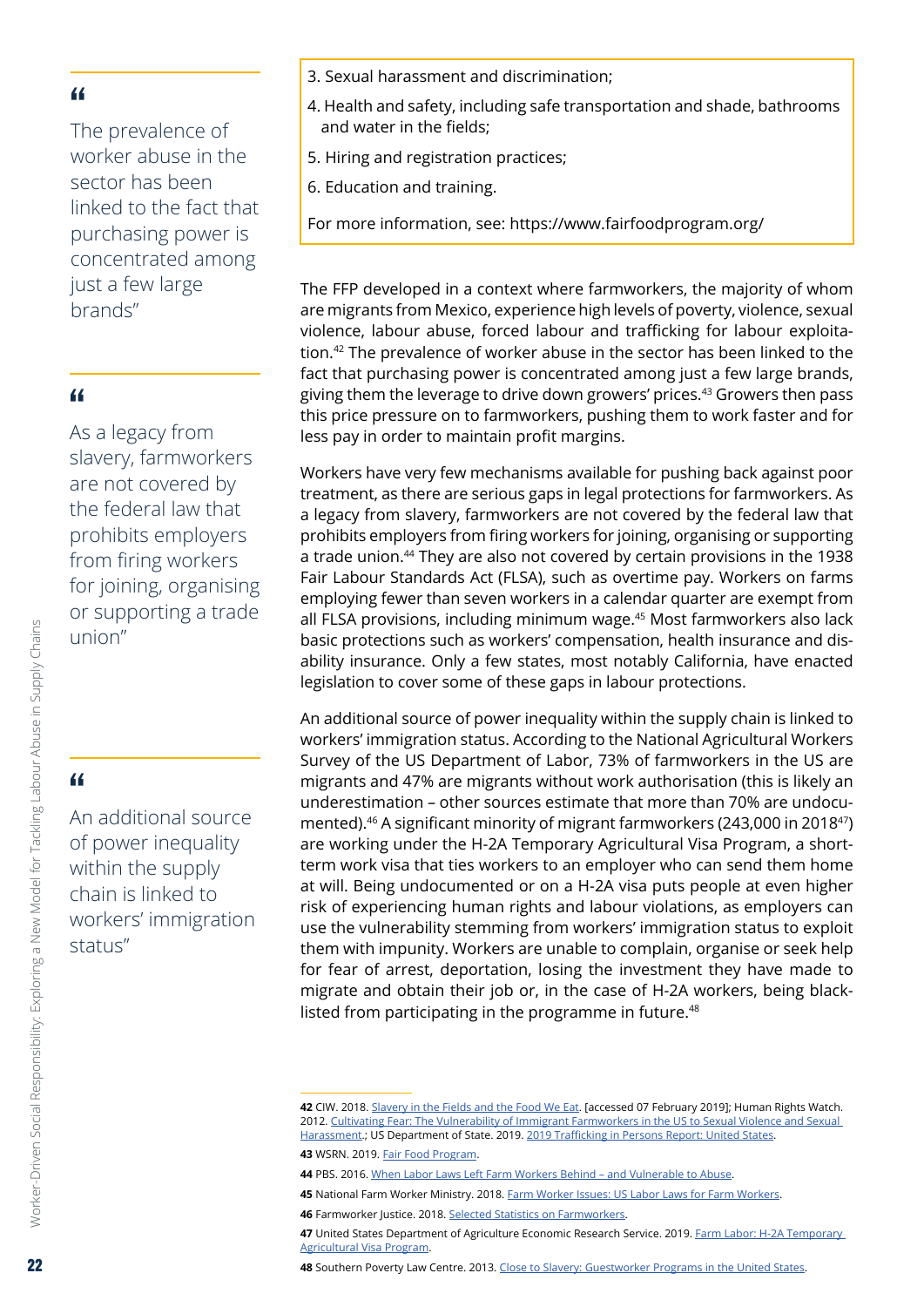The prevalence of worker abuse in the sector has been linked to the fact that purchasing power is concentrated among just a few large brands"

#### "

As a legacy from slavery, farmworkers are not covered by the federal law that prohibits employers from firing workers for joining, organising or supporting a trade union"

# "

An additional source of power inequality within the supply chain is linked to workers' immigration status"

- 3. Sexual harassment and discrimination;
- 4. Health and safety, including safe transportation and shade, bathrooms and water in the fields;
- 5. Hiring and registration practices;
- 6. Education and training.

For more information, see: https://www.fairfoodprogram.org/

The FFP developed in a context where farmworkers, the majority of whom are migrants from Mexico, experience high levels of poverty, violence, sexual violence, labour abuse, forced labour and trafficking for labour exploitation.42 The prevalence of worker abuse in the sector has been linked to the fact that purchasing power is concentrated among just a few large brands, giving them the leverage to drive down growers' prices.<sup>43</sup> Growers then pass this price pressure on to farmworkers, pushing them to work faster and for less pay in order to maintain profit margins.

Workers have very few mechanisms available for pushing back against poor treatment, as there are serious gaps in legal protections for farmworkers. As a legacy from slavery, farmworkers are not covered by the federal law that prohibits employers from firing workers for joining, organising or supporting a trade union.44 They are also not covered by certain provisions in the 1938 Fair Labour Standards Act (FLSA), such as overtime pay. Workers on farms employing fewer than seven workers in a calendar quarter are exempt from all FLSA provisions, including minimum wage.<sup>45</sup> Most farmworkers also lack basic protections such as workers' compensation, health insurance and disability insurance. Only a few states, most notably California, have enacted legislation to cover some of these gaps in labour protections.

An additional source of power inequality within the supply chain is linked to workers' immigration status. According to the National Agricultural Workers Survey of the US Department of Labor, 73% of farmworkers in the US are migrants and 47% are migrants without work authorisation (this is likely an underestimation – other sources estimate that more than 70% are undocumented).<sup>46</sup> A significant minority of migrant farmworkers (243,000 in 2018<sup>47</sup>) are working under the H-2A Temporary Agricultural Visa Program, a shortterm work visa that ties workers to an employer who can send them home at will. Being undocumented or on a H-2A visa puts people at even higher risk of experiencing human rights and labour violations, as employers can use the vulnerability stemming from workers' immigration status to exploit them with impunity. Workers are unable to complain, organise or seek help for fear of arrest, deportation, losing the investment they have made to migrate and obtain their job or, in the case of H-2A workers, being blacklisted from participating in the programme in future.<sup>48</sup>

**48** Southern Poverty Law Centre. 2013. Close to [Slavery: Guestworker](https://www.splcenter.org/20130218/close-slavery-guestworker-programs-united-states) Programs in the United States.

Worker-Driven Social Responsibility: Exploring a New Model for Tackling Labour Abuse in Supply Chains

Worker-Driven Social Responsibility: Exploring a New Model for Tackling Labour Abuse in Supply Chains

**<sup>42</sup>** CIW. 2018. [Slavery](http://ciw-online.org/wp-content/uploads/12SlaveryintheFields.pdf) in the Fields and the Food We Eat. [accessed 07 February 2019]; Human Rights Watch. 2012. Cultivating Fear: The Vulnerability of Immigrant [Farmworkers](https://www.hrw.org/report/2012/05/15/cultivating-fear/vulnerability-immigrant-farmworkers-us-sexual-violence-and-sexual) in the US to Sexual Violence and Sexual [Harassment](https://www.hrw.org/report/2012/05/15/cultivating-fear/vulnerability-immigrant-farmworkers-us-sexual-violence-and-sexual).; US Department of State. 2019. 2019 Trafficking in Persons [Report: United](https://www.state.gov/reports/2019-trafficking-in-persons-report-2/united-states/) States.

**<sup>43</sup>** WSRN. 2019. Fair Food [Program](https://wsr-network.org/success-stories/fair-food-program/).

**<sup>44</sup>** PBS. 2016. When Labor Laws Left Farm Workers [Behind – and](https://www.pbs.org/newshour/nation/labor-laws-left-farm-workers-behind-vulnerable-abuse) Vulnerable to Abuse.

**<sup>45</sup>** National Farm Worker Ministry. 2018. [Farm Worker Issues: US Labor Laws for Farm Workers](http://nfwm.org/wp-content/uploads/2018/07/LaborLaws.Download.final_.pdf).

**<sup>46</sup>** Farmworker Justice. 2018. Selected Statistics on [Farmworkers.](https://www.farmworkerjustice.org/sites/default/files/resources/NAWS%20data%20factsht%2010-18-18.pdf)

**<sup>47</sup>** United States Department of Agriculture Economic Research Service. 2019. Farm [Labor: H-2A](https://www.ers.usda.gov/topics/farm-economy/farm-labor/) Temporary [Agricultural](https://www.ers.usda.gov/topics/farm-economy/farm-labor/) Visa Program.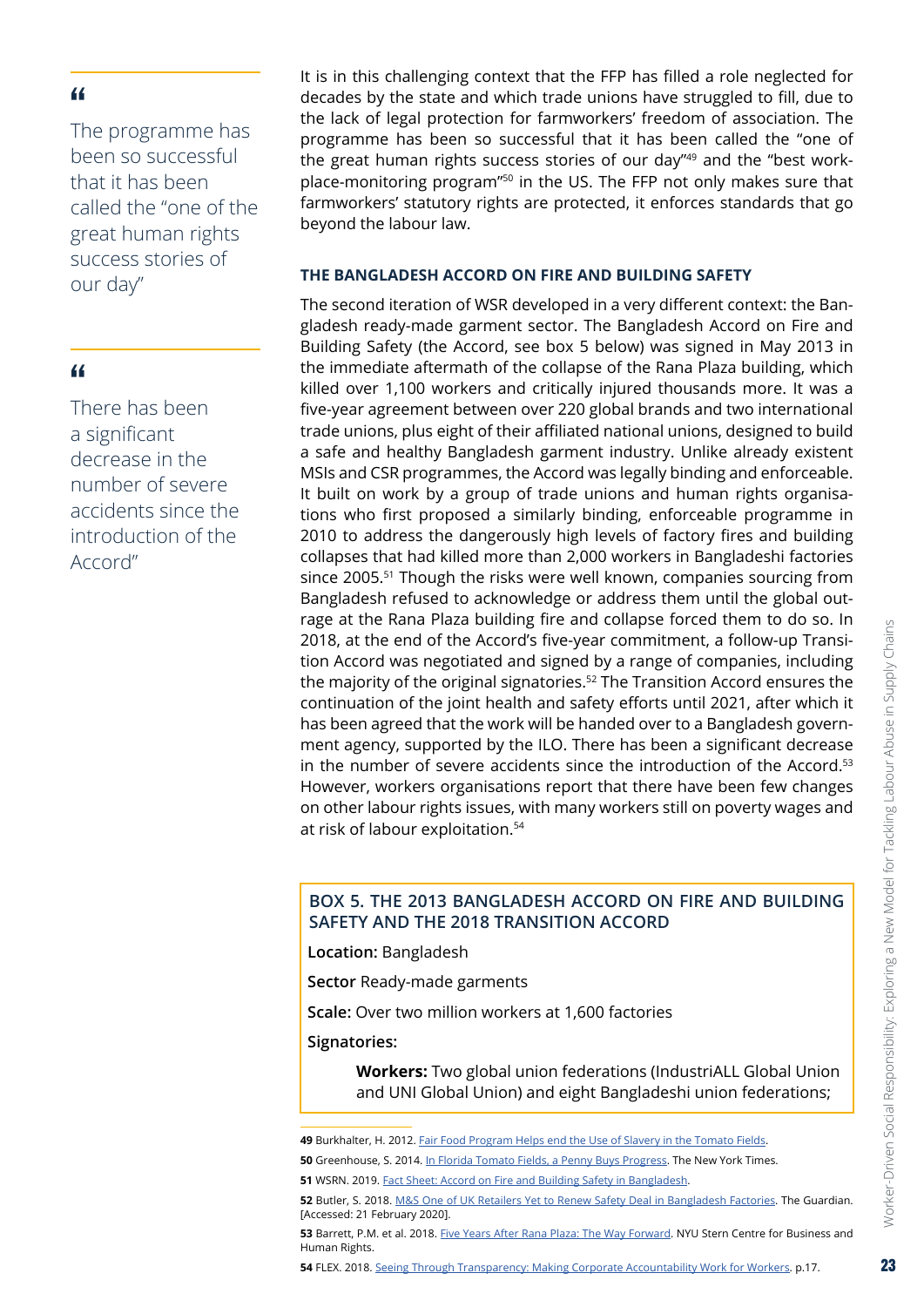<span id="page-22-0"></span>The programme has been so successful that it has been called the "one of the great human rights success stories of our day"

#### "

There has been a significant decrease in the number of severe accidents since the introduction of the Accord"

It is in this challenging context that the FFP has filled a role neglected for decades by the state and which trade unions have struggled to fill, due to the lack of legal protection for farmworkers' freedom of association. The programme has been so successful that it has been called the "one of the great human rights success stories of our day"49 and the "best workplace-monitoring program"50 in the US. The FFP not only makes sure that farmworkers' statutory rights are protected, it enforces standards that go beyond the labour law.

#### **THE BANGLADESH ACCORD ON FIRE AND BUILDING SAFETY**

The second iteration of WSR developed in a very different context: the Bangladesh ready-made garment sector. The Bangladesh Accord on Fire and Building Safety (the Accord, see box 5 below) was signed in May 2013 in the immediate aftermath of the collapse of the Rana Plaza building, which killed over 1,100 workers and critically injured thousands more. It was a five-year agreement between over 220 global brands and two international trade unions, plus eight of their affiliated national unions, designed to build a safe and healthy Bangladesh garment industry. Unlike already existent MSIs and CSR programmes, the Accord was legally binding and enforceable. It built on work by a group of trade unions and human rights organisations who first proposed a similarly binding, enforceable programme in 2010 to address the dangerously high levels of factory fires and building collapses that had killed more than 2,000 workers in Bangladeshi factories since 2005.<sup>51</sup> Though the risks were well known, companies sourcing from Bangladesh refused to acknowledge or address them until the global outrage at the Rana Plaza building fire and collapse forced them to do so. In 2018, at the end of the Accord's five-year commitment, a follow-up Transition Accord was negotiated and signed by a range of companies, including the majority of the original signatories.<sup>52</sup> The Transition Accord ensures the continuation of the joint health and safety efforts until 2021, after which it has been agreed that the work will be handed over to a Bangladesh government agency, supported by the ILO. There has been a significant decrease in the number of severe accidents since the introduction of the Accord.53 However, workers organisations report that there have been few changes on other labour rights issues, with many workers still on poverty wages and at risk of labour exploitation.54

#### **BOX 5. THE 2013 BANGLADESH ACCORD ON FIRE AND BUILDING SAFETY AND THE 2018 TRANSITION ACCORD**

**Location:** Bangladesh

**Sector** Ready-made garments

**Scale:** Over two million workers at 1,600 factories

**Signatories:** 

 **Workers:** Two global union federations (IndustriALL Global Union and UNI Global Union) and eight Bangladeshi union federations;

**<sup>49</sup>** Burkhalter, H. 2012. Fair Food [Program](https://www.washingtonpost.com/opinions/fair-food-program-helps-end-the-use-of-slavery-in-the-tomato-fields/2012/09/02/788f1a1a-f39c-11e1-892d-bc92fee603a7_story.html) Helps end the Use of Slavery in the Tomato Fields.

**<sup>50</sup>** Greenhouse, S. 2014. [In Florida Tomato Fields, a Penny Buys Progress.](https://www.nytimes.com/2014/04/25/business/in-florida-tomato-fields-a-penny-buys-progress.html) The New York Times.

**<sup>51</sup>** WSRN. 2019. Fact [Sheet: Accord](https://wsr-network.org/success-stories/accord-on-fire-and-building-safety-in-bangladesh/) on Fire and Building Safety in Bangladesh.

**<sup>52</sup>** Butler, S. 2018. [M&S One of UK Retailers Yet to Renew Safety Deal in Bangladesh Factories.](https://www.theguardian.com/uk-news/2018/jan/29/ms-john-lewis-sainsburys-bangladesh-factory-safety-accord) The Guardian. [Accessed: 21 February 2020].

**<sup>53</sup>** Barrett, P.M. et al. 2018. [Five Years After Rana Plaza: The Way Forward](https://static1.squarespace.com/static/547df270e4b0ba184dfc490e/t/5ac9514eaa4a998f3f30ae13/1523143088805/NYU+Bangladesh+Rana+Plaza+Report.pdf). NYU Stern Centre for Business and Human Rights.

**<sup>54</sup>** FLEX. 2018. Seeing Through [Transparency: Making](https://www.labourexploitation.org/publications/seeing-through-transparency-making-corporate-accountability-work-workers) Corporate Accountability Work for Workers. p.17.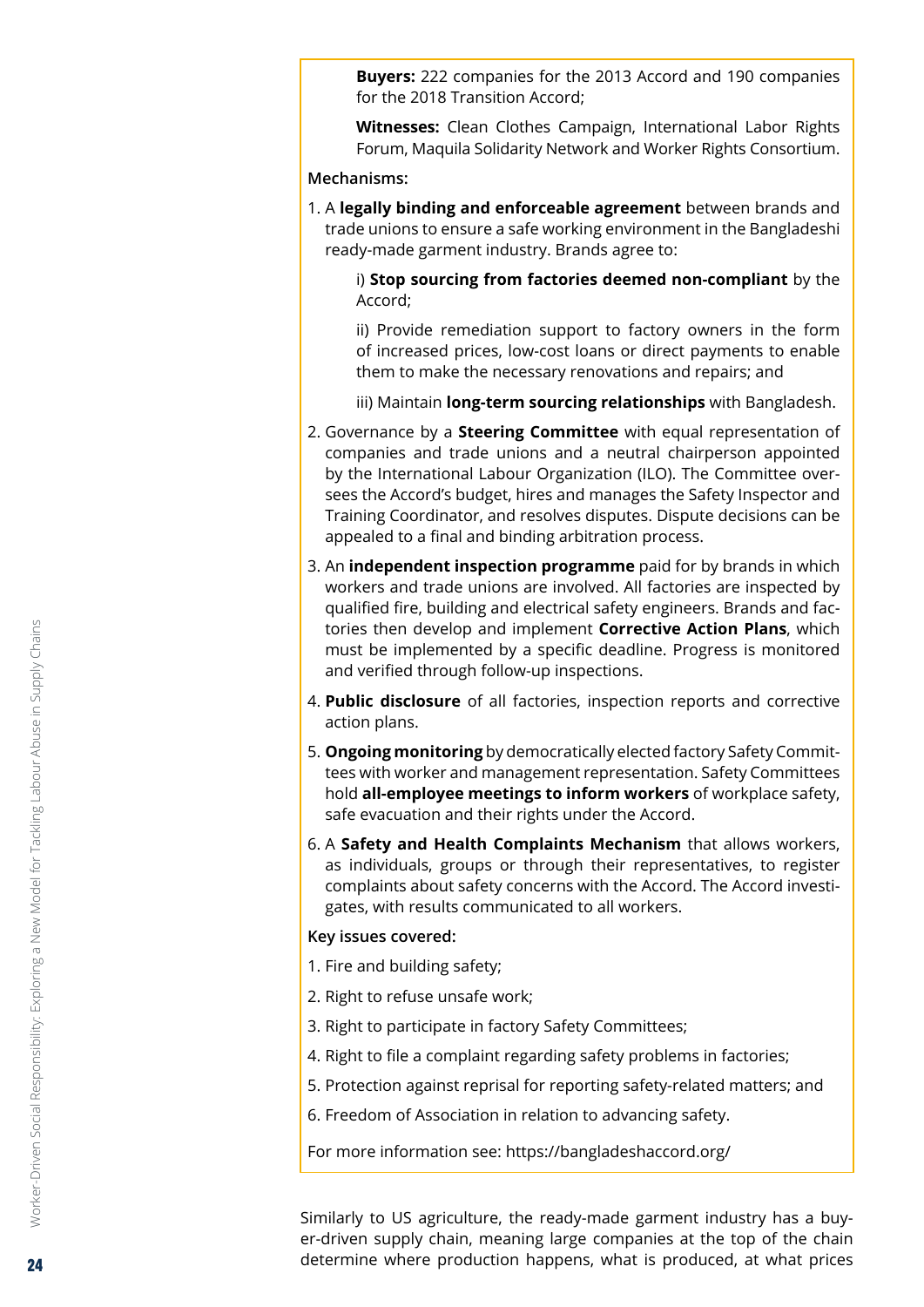**Buyers:** 222 companies for the 2013 Accord and 190 companies for the 2018 Transition Accord;

 **Witnesses:** Clean Clothes Campaign, International Labor Rights Forum, Maquila Solidarity Network and Worker Rights Consortium.

#### **Mechanisms:**

1. A **legally binding and enforceable agreement** between brands and trade unions to ensure a safe working environment in the Bangladeshi ready-made garment industry. Brands agree to:

 i) **Stop sourcing from factories deemed non-compliant** by the Accord;

 ii) Provide remediation support to factory owners in the form of increased prices, low-cost loans or direct payments to enable them to make the necessary renovations and repairs; and

iii) Maintain **long-term sourcing relationships** with Bangladesh.

- 2. Governance by a **Steering Committee** with equal representation of companies and trade unions and a neutral chairperson appointed by the International Labour Organization (ILO). The Committee oversees the Accord's budget, hires and manages the Safety Inspector and Training Coordinator, and resolves disputes. Dispute decisions can be appealed to a final and binding arbitration process.
- 3. An **independent inspection programme** paid for by brands in which workers and trade unions are involved. All factories are inspected by qualified fire, building and electrical safety engineers. Brands and factories then develop and implement **Corrective Action Plans**, which must be implemented by a specific deadline. Progress is monitored and verified through follow-up inspections.
- 4. **Public disclosure** of all factories, inspection reports and corrective action plans.
- 5. **Ongoing monitoring** by democratically elected factory Safety Committees with worker and management representation. Safety Committees hold **all-employee meetings to inform workers** of workplace safety, safe evacuation and their rights under the Accord.
- 6. A **Safety and Health Complaints Mechanism** that allows workers, as individuals, groups or through their representatives, to register complaints about safety concerns with the Accord. The Accord investigates, with results communicated to all workers.

#### **Key issues covered:**

- 1. Fire and building safety;
- 2. Right to refuse unsafe work;
- 3. Right to participate in factory Safety Committees;
- 4. Right to file a complaint regarding safety problems in factories;
- 5. Protection against reprisal for reporting safety-related matters; and
- 6. Freedom of Association in relation to advancing safety.

For more information see: https://bangladeshaccord.org/

Similarly to US agriculture, the ready-made garment industry has a buyer-driven supply chain, meaning large companies at the top of the chain determine where production happens, what is produced, at what prices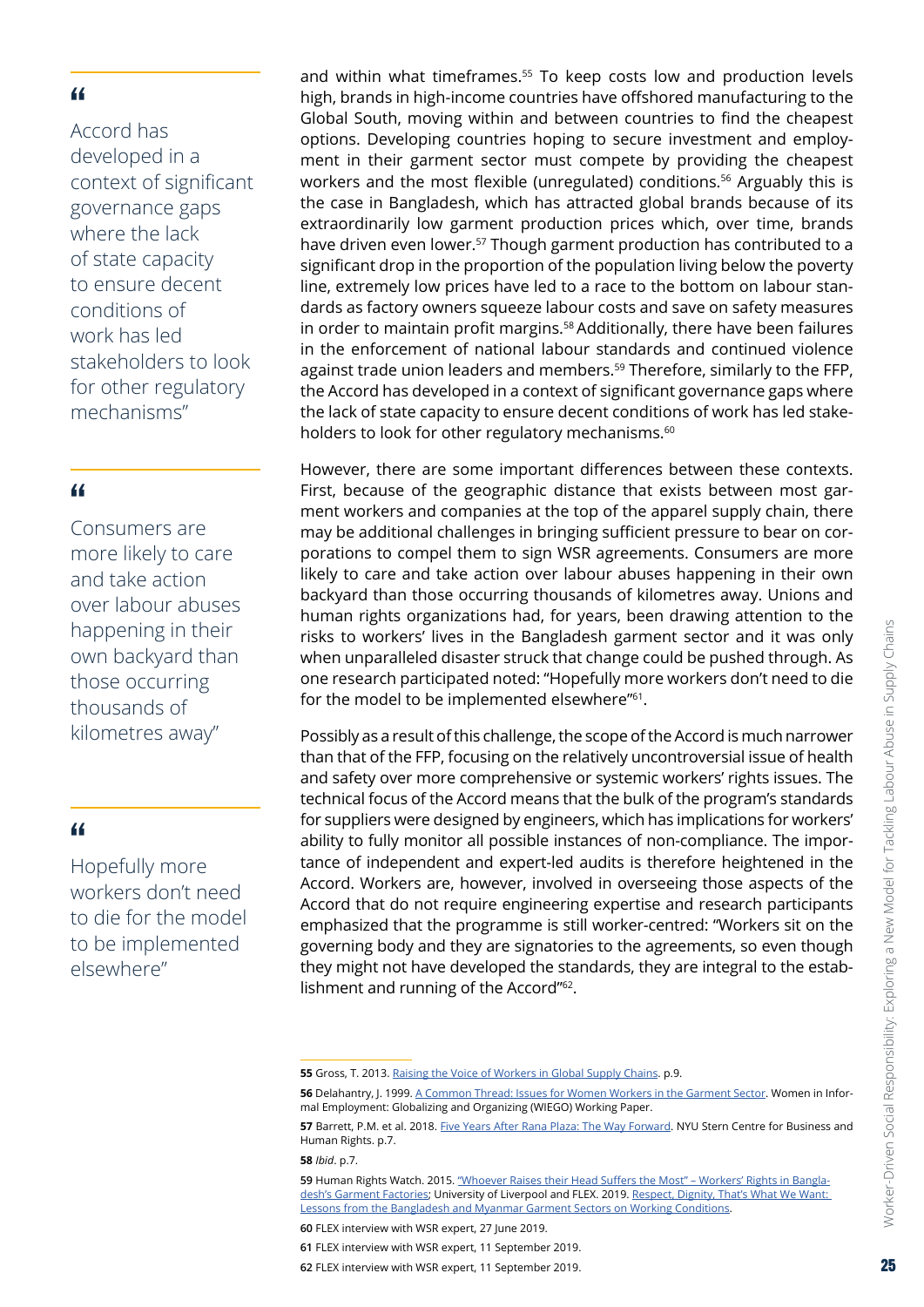Accord has developed in a context of significant governance gaps where the lack of state capacity to ensure decent conditions of work has led stakeholders to look for other regulatory mechanisms"

#### "

Consumers are more likely to care and take action over labour abuses happening in their own backyard than those occurring thousands of kilometres away"

#### "

Hopefully more workers don't need to die for the model to be implemented elsewhere"

and within what timeframes.<sup>55</sup> To keep costs low and production levels high, brands in high-income countries have offshored manufacturing to the Global South, moving within and between countries to find the cheapest options. Developing countries hoping to secure investment and employment in their garment sector must compete by providing the cheapest workers and the most flexible (unregulated) conditions.<sup>56</sup> Arguably this is the case in Bangladesh, which has attracted global brands because of its extraordinarily low garment production prices which, over time, brands have driven even lower.<sup>57</sup> Though garment production has contributed to a significant drop in the proportion of the population living below the poverty line, extremely low prices have led to a race to the bottom on labour standards as factory owners squeeze labour costs and save on safety measures in order to maintain profit margins.<sup>58</sup> Additionally, there have been failures in the enforcement of national labour standards and continued violence against trade union leaders and members.59 Therefore, similarly to the FFP, the Accord has developed in a context of significant governance gaps where the lack of state capacity to ensure decent conditions of work has led stakeholders to look for other regulatory mechanisms.<sup>60</sup>

However, there are some important differences between these contexts. First, because of the geographic distance that exists between most garment workers and companies at the top of the apparel supply chain, there may be additional challenges in bringing sufficient pressure to bear on corporations to compel them to sign WSR agreements. Consumers are more likely to care and take action over labour abuses happening in their own backyard than those occurring thousands of kilometres away. Unions and human rights organizations had, for years, been drawing attention to the risks to workers' lives in the Bangladesh garment sector and it was only when unparalleled disaster struck that change could be pushed through. As one research participated noted: "Hopefully more workers don't need to die for the model to be implemented elsewhere"<sup>61</sup>.

Possibly as a result of this challenge, the scope of the Accord is much narrower than that of the FFP, focusing on the relatively uncontroversial issue of health and safety over more comprehensive or systemic workers' rights issues. The technical focus of the Accord means that the bulk of the program's standards for suppliers were designed by engineers, which has implications for workers' ability to fully monitor all possible instances of non-compliance. The importance of independent and expert-led audits is therefore heightened in the Accord. Workers are, however, involved in overseeing those aspects of the Accord that do not require engineering expertise and research participants emphasized that the programme is still worker-centred: "Workers sit on the governing body and they are signatories to the agreements, so even though they might not have developed the standards, they are integral to the establishment and running of the Accord"62.

**58** *Ibid*. p.7.

Worker-Driven Social Responsibility: Exploring a New Model for Tackling Labour Abuse in Supply Chains

Worker-Driven Social Responsibility: Exploring a New Model for Tackling Labour Abuse in Supply Chains

**<sup>55</sup>** Gross, T. 2013. Raising the Voice of [Workers](https://www.rosalux.de/fileadmin/rls_uploads/pdfs/engl/GROSS_Tandiwe_Raising-the-voice_160217.pdf) in Global Supply Chains. p.9.

**<sup>56</sup>** Delahantry, J. 1999. [A Common Thread: Issues for Women Workers in the Garment Sector](http://www.nsi-ins.ca/wp-content/uploads/2012/10/1999-A-Common-Thread-Issues-for-Women-Workers-in-the-Garment-Sector.pdf). Women in Informal Employment: Globalizing and Organizing (WIEGO) Working Paper.

**<sup>57</sup>** Barrett, P.M. et al. 2018. [Five Years After Rana Plaza: The Way Forward](https://static1.squarespace.com/static/547df270e4b0ba184dfc490e/t/5ac9514eaa4a998f3f30ae13/1523143088805/NYU+Bangladesh+Rana+Plaza+Report.pdf). NYU Stern Centre for Business and Human Rights. p.7.

**<sup>59</sup>** Human Rights Watch. 2015. "Whoever Raises their Head Suffers the [Most" – Workers' Rights](http://features.hrw.org/features/HRW_2015_reports/Bangladesh_Garment_Factories/index.html) in Bangladesh's Garment [Factories](http://features.hrw.org/features/HRW_2015_reports/Bangladesh_Garment_Factories/index.html); University of Liverpool and FLEX. 2019. [Respect, Dignity, That's](https://www.labourexploitation.org/publications/respect-dignity-thats-what-we-want-lessons-bangladesh-and-myanmar-garment-sectors) What We Want: Lessons from the [Bangladesh](https://www.labourexploitation.org/publications/respect-dignity-thats-what-we-want-lessons-bangladesh-and-myanmar-garment-sectors) and Myanmar Garment Sectors on Working Conditions.

**<sup>60</sup>** FLEX interview with WSR expert, 27 June 2019.

**<sup>61</sup>** FLEX interview with WSR expert, 11 September 2019. **62** FLEX interview with WSR expert, 11 September 2019.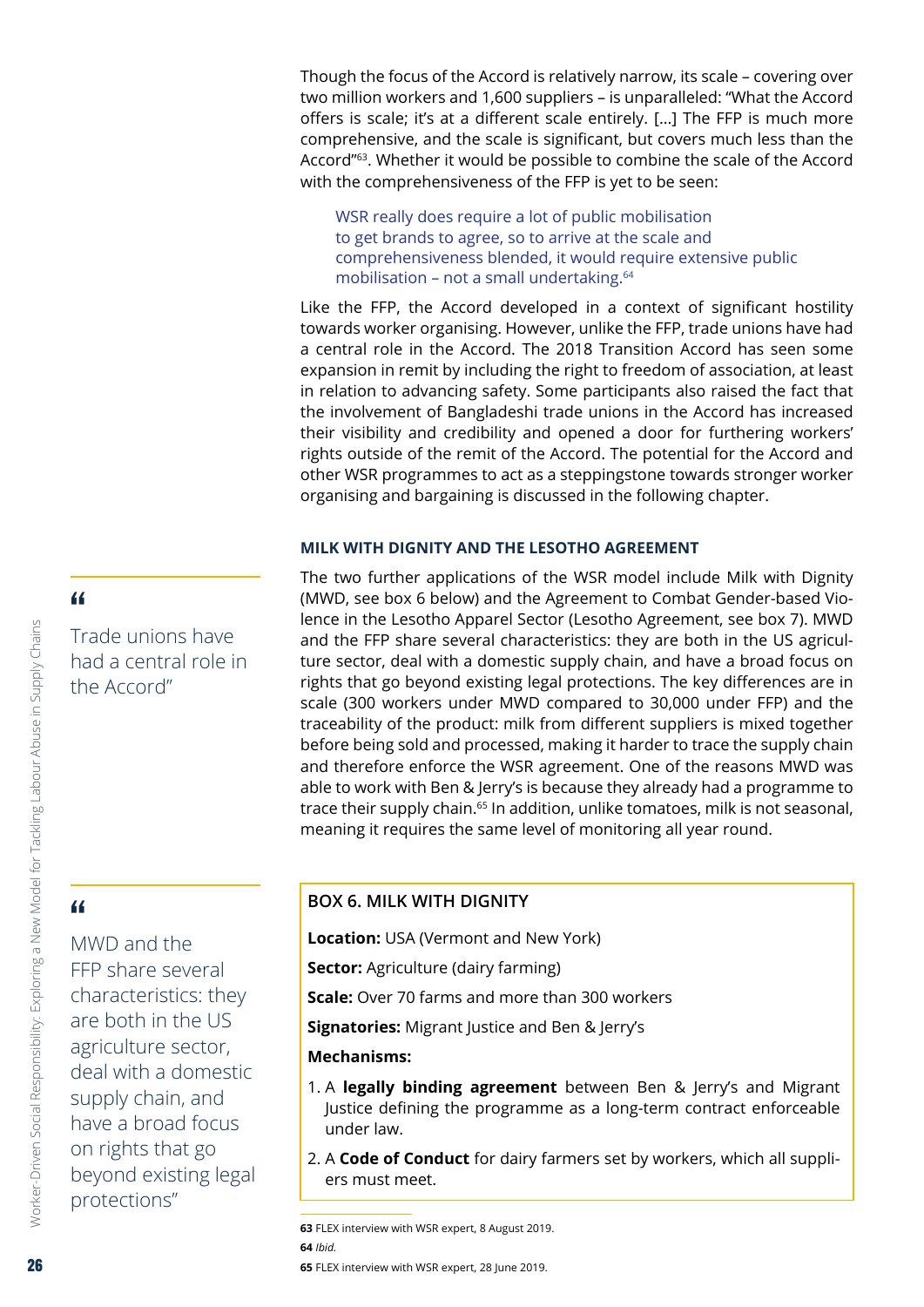<span id="page-25-0"></span>Though the focus of the Accord is relatively narrow, its scale – covering over two million workers and 1,600 suppliers – is unparalleled: "What the Accord offers is scale; it's at a different scale entirely. […] The FFP is much more comprehensive, and the scale is significant, but covers much less than the Accord"63. Whether it would be possible to combine the scale of the Accord with the comprehensiveness of the FFP is yet to be seen:

WSR really does require a lot of public mobilisation to get brands to agree, so to arrive at the scale and comprehensiveness blended, it would require extensive public mobilisation – not a small undertaking.64

Like the FFP, the Accord developed in a context of significant hostility towards worker organising. However, unlike the FFP, trade unions have had a central role in the Accord. The 2018 Transition Accord has seen some expansion in remit by including the right to freedom of association, at least in relation to advancing safety. Some participants also raised the fact that the involvement of Bangladeshi trade unions in the Accord has increased their visibility and credibility and opened a door for furthering workers' rights outside of the remit of the Accord. The potential for the Accord and other WSR programmes to act as a steppingstone towards stronger worker organising and bargaining is discussed in the following chapter.

#### **MILK WITH DIGNITY AND THE LESOTHO AGREEMENT**

The two further applications of the WSR model include Milk with Dignity (MWD, see box 6 below) and the Agreement to Combat Gender-based Violence in the Lesotho Apparel Sector (Lesotho Agreement, see box 7). MWD and the FFP share several characteristics: they are both in the US agriculture sector, deal with a domestic supply chain, and have a broad focus on rights that go beyond existing legal protections. The key differences are in scale (300 workers under MWD compared to 30,000 under FFP) and the traceability of the product: milk from different suppliers is mixed together before being sold and processed, making it harder to trace the supply chain and therefore enforce the WSR agreement. One of the reasons MWD was able to work with Ben & Jerry's is because they already had a programme to trace their supply chain.<sup>65</sup> In addition, unlike tomatoes, milk is not seasonal, meaning it requires the same level of monitoring all year round.

# "

MWD and the FFP share several characteristics: they are both in the US agriculture sector, deal with a domestic supply chain, and have a broad focus on rights that go beyond existing legal protections"

#### **BOX 6. MILK WITH DIGNITY**

**Location:** USA (Vermont and New York)

**Sector:** Agriculture (dairy farming)

**Scale:** Over 70 farms and more than 300 workers

**Signatories:** Migrant Justice and Ben & Jerry's

#### **Mechanisms:**

- 1. A **legally binding agreement** between Ben & Jerry's and Migrant Justice defining the programme as a long-term contract enforceable under law.
- 2. A **Code of Conduct** for dairy farmers set by workers, which all suppliers must meet.

**63** FLEX interview with WSR expert, 8 August 2019. **64** *Ibid.* **65** FLEX interview with WSR expert, 28 June 2019.

# "

Trade unions have had a central role in the Accord"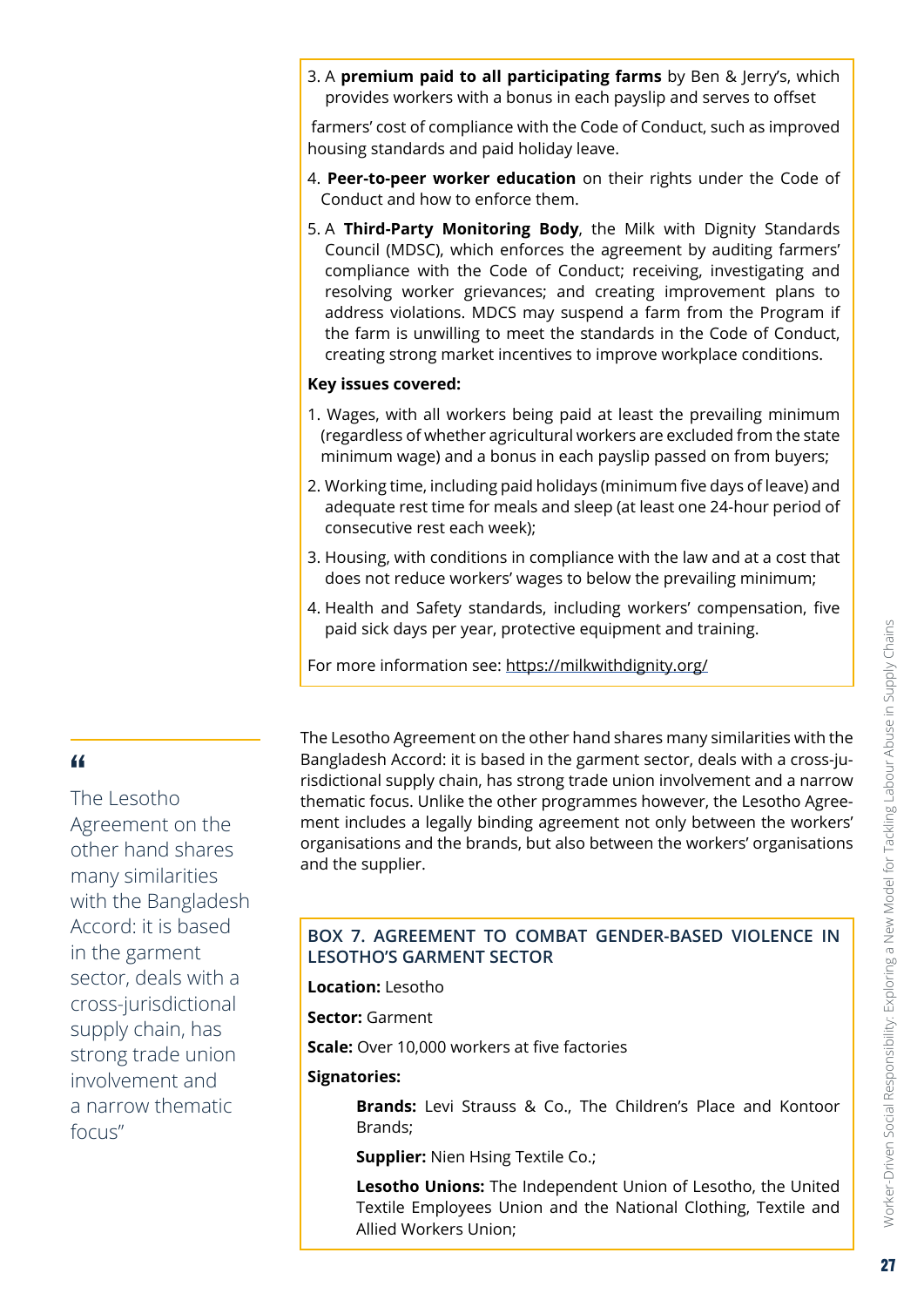3. A **premium paid to all participating farms** by Ben & Jerry's, which provides workers with a bonus in each payslip and serves to offset

 farmers' cost of compliance with the Code of Conduct, such as improved housing standards and paid holiday leave.

- 4. **Peer-to-peer worker education** on their rights under the Code of Conduct and how to enforce them.
- 5. A **Third-Party Monitoring Body**, the Milk with Dignity Standards Council (MDSC), which enforces the agreement by auditing farmers' compliance with the Code of Conduct; receiving, investigating and resolving worker grievances; and creating improvement plans to address violations. MDCS may suspend a farm from the Program if the farm is unwilling to meet the standards in the Code of Conduct, creating strong market incentives to improve workplace conditions.

#### **Key issues covered:**

- 1. Wages, with all workers being paid at least the prevailing minimum (regardless of whether agricultural workers are excluded from the state minimum wage) and a bonus in each payslip passed on from buyers;
- 2. Working time, including paid holidays (minimum five days of leave) and adequate rest time for meals and sleep (at least one 24-hour period of consecutive rest each week);
- 3. Housing, with conditions in compliance with the law and at a cost that does not reduce workers' wages to below the prevailing minimum;
- 4. Health and Safety standards, including workers' compensation, five paid sick days per year, protective equipment and training.

For more information see: <https://milkwithdignity.org/>

#### "

The Lesotho Agreement on the other hand shares many similarities with the Bangladesh Accord: it is based in the garment sector, deals with a cross-jurisdictional supply chain, has strong trade union involvement and a narrow thematic focus"

The Lesotho Agreement on the other hand shares many similarities with the Bangladesh Accord: it is based in the garment sector, deals with a cross-jurisdictional supply chain, has strong trade union involvement and a narrow thematic focus. Unlike the other programmes however, the Lesotho Agreement includes a legally binding agreement not only between the workers' organisations and the brands, but also between the workers' organisations and the supplier.

#### **BOX 7. AGREEMENT TO COMBAT GENDER-BASED VIOLENCE IN LESOTHO'S GARMENT SECTOR**

**Location:** Lesotho

**Sector:** Garment

**Scale:** Over 10,000 workers at five factories

#### **Signatories:**

 **Brands:** Levi Strauss & Co., The Children's Place and Kontoor Brands;

**Supplier:** Nien Hsing Textile Co.;

 **Lesotho Unions:** The Independent Union of Lesotho, the United Textile Employees Union and the National Clothing, Textile and Allied Workers Union;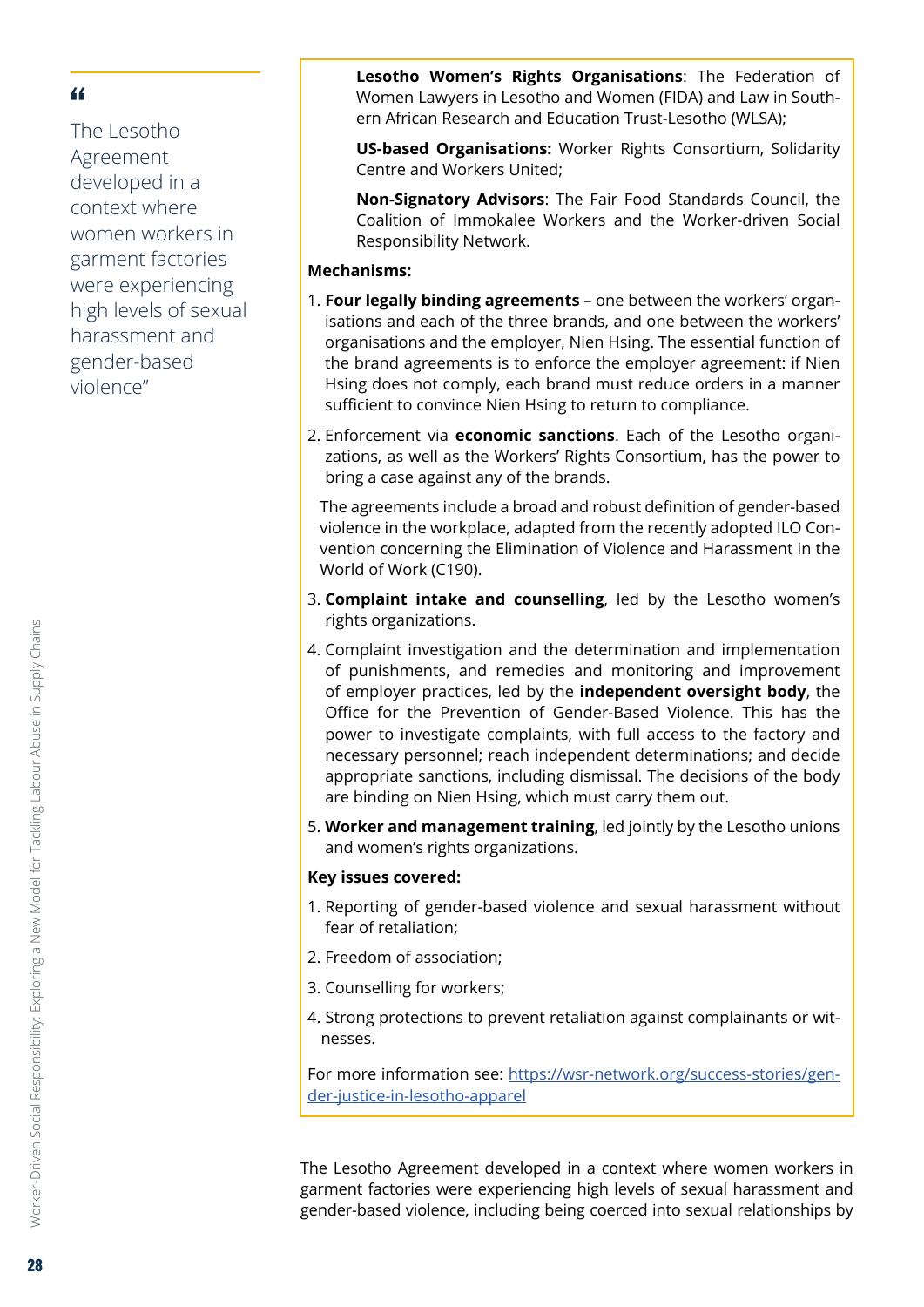The Lesotho Agreement developed in a context where women workers in garment factories were experiencing high levels of sexual harassment and gender-based violence"

 **Lesotho Women's Rights Organisations**: The Federation of Women Lawyers in Lesotho and Women (FIDA) and Law in Southern African Research and Education Trust-Lesotho (WLSA);

 **US-based Organisations:** Worker Rights Consortium, Solidarity Centre and Workers United;

 **Non-Signatory Advisors**: The Fair Food Standards Council, the Coalition of Immokalee Workers and the Worker-driven Social Responsibility Network.

#### **Mechanisms:**

- 1. **Four legally binding agreements**  one between the workers' organisations and each of the three brands, and one between the workers' organisations and the employer, Nien Hsing. The essential function of the brand agreements is to enforce the employer agreement: if Nien Hsing does not comply, each brand must reduce orders in a manner sufficient to convince Nien Hsing to return to compliance.
- 2. Enforcement via **economic sanctions**. Each of the Lesotho organizations, as well as the Workers' Rights Consortium, has the power to bring a case against any of the brands.

 The agreements include a broad and robust definition of gender-based violence in the workplace, adapted from the recently adopted ILO Convention concerning the Elimination of Violence and Harassment in the World of Work (C190).

- 3. **Complaint intake and counselling**, led by the Lesotho women's rights organizations.
- 4. Complaint investigation and the determination and implementation of punishments, and remedies and monitoring and improvement of employer practices, led by the **independent oversight body**, the Office for the Prevention of Gender-Based Violence. This has the power to investigate complaints, with full access to the factory and necessary personnel; reach independent determinations; and decide appropriate sanctions, including dismissal. The decisions of the body are binding on Nien Hsing, which must carry them out.
- 5. **Worker and management training**, led jointly by the Lesotho unions and women's rights organizations.

#### **Key issues covered:**

- 1. Reporting of gender-based violence and sexual harassment without fear of retaliation;
- 2. Freedom of association;
- 3. Counselling for workers;
- 4. Strong protections to prevent retaliation against complainants or witnesses.

For more information see: [https://wsr-network.org/success-stories/gen](https://wsr-network.org/success-stories/gender-justice-in-lesotho-apparel)[der-justice-in-lesotho-apparel](https://wsr-network.org/success-stories/gender-justice-in-lesotho-apparel)

The Lesotho Agreement developed in a context where women workers in garment factories were experiencing high levels of sexual harassment and gender-based violence, including being coerced into sexual relationships by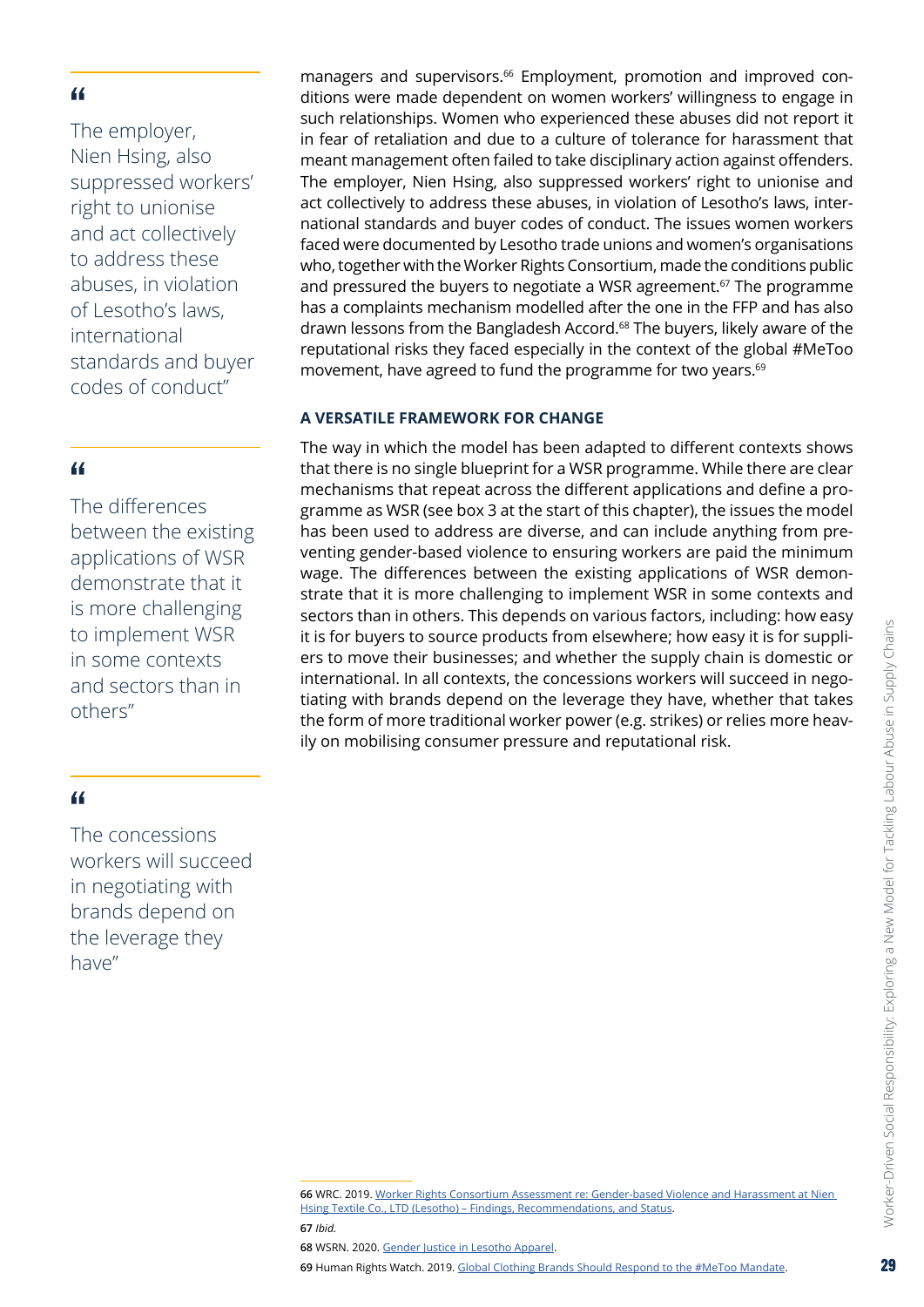<span id="page-28-0"></span>The employer, Nien Hsing, also suppressed workers' right to unionise and act collectively to address these abuses, in violation of Lesotho's laws, international standards and buyer codes of conduct"

#### "

The differences between the existing applications of WSR demonstrate that it is more challenging to implement WSR in some contexts and sectors than in others"

#### "

The concessions workers will succeed in negotiating with brands depend on the leverage they have"

#### **A VERSATILE FRAMEWORK FOR CHANGE**

The way in which the model has been adapted to different contexts shows that there is no single blueprint for a WSR programme. While there are clear mechanisms that repeat across the different applications and define a programme as WSR (see box 3 at the start of this chapter), the issues the model has been used to address are diverse, and can include anything from preventing gender-based violence to ensuring workers are paid the minimum wage. The differences between the existing applications of WSR demonstrate that it is more challenging to implement WSR in some contexts and sectors than in others. This depends on various factors, including: how easy it is for buyers to source products from elsewhere; how easy it is for suppliers to move their businesses; and whether the supply chain is domestic or international. In all contexts, the concessions workers will succeed in negotiating with brands depend on the leverage they have, whether that takes the form of more traditional worker power (e.g. strikes) or relies more heavily on mobilising consumer pressure and reputational risk.

**69** Human Rights Watch. 2019. Global Clothing Brands Should Respond to [the #MeToo](https://www.hrw.org/news/2019/11/24/global-clothing-brands-should-respond-metoo-mandate) Mandate.

managers and supervisors.<sup>66</sup> Employment, promotion and improved conditions were made dependent on women workers' willingness to engage in such relationships. Women who experienced these abuses did not report it in fear of retaliation and due to a culture of tolerance for harassment that meant management often failed to take disciplinary action against offenders. The employer, Nien Hsing, also suppressed workers' right to unionise and act collectively to address these abuses, in violation of Lesotho's laws, international standards and buyer codes of conduct. The issues women workers faced were documented by Lesotho trade unions and women's organisations who, together with the Worker Rights Consortium, made the conditions public and pressured the buyers to negotiate a WSR agreement.<sup>67</sup> The programme has a complaints mechanism modelled after the one in the FFP and has also drawn lessons from the Bangladesh Accord.<sup>68</sup> The buyers, likely aware of the reputational risks they faced especially in the context of the global #MeToo movement, have agreed to fund the programme for two years.<sup>69</sup>

**<sup>66</sup>** WRC. 2019. Worker Rights Consortium Assessment [re: Gender-based](https://www.workersrights.org/wp-content/uploads/2019/08/WRC-Factory-Assessment-re-Nien-Hsing-08152019.pdf) Violence and Harassment at Nien Hsing Textile Co., LTD (Lesotho) - Findings, Recommendations, and Status

**<sup>67</sup>** *Ibid.*

**<sup>68</sup>** WSRN. 2020. Gender Justice in [Lesotho](https://wsr-network.org/success-stories/gender-justice-in-lesotho-apparel/) Apparel.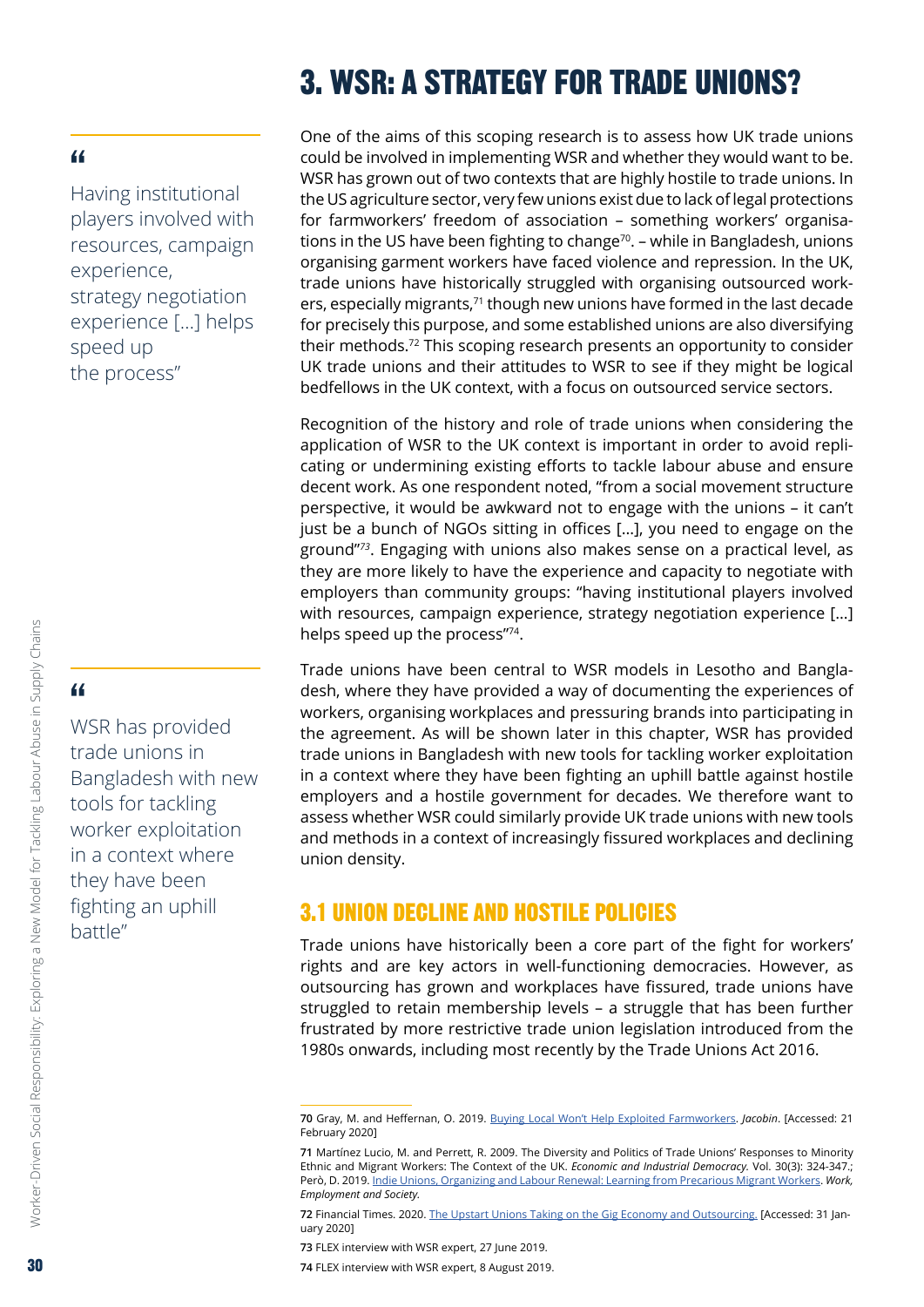# 3. WSR: A STRATEGY FOR TRADE UNIONS?

#### <span id="page-29-0"></span>"

Having institutional players involved with resources, campaign experience, strategy negotiation experience […] helps speed up the process"

# "

WSR has provided trade unions in Bangladesh with new tools for tackling worker exploitation in a context where they have been fighting an uphill battle"

One of the aims of this scoping research is to assess how UK trade unions could be involved in implementing WSR and whether they would want to be. WSR has grown out of two contexts that are highly hostile to trade unions. In the US agriculture sector, very few unions exist due to lack of legal protections for farmworkers' freedom of association – something workers' organisations in the US have been fighting to change<sup>70</sup>. – while in Bangladesh, unions organising garment workers have faced violence and repression. In the UK, trade unions have historically struggled with organising outsourced workers, especially migrants,<sup>71</sup> though new unions have formed in the last decade for precisely this purpose, and some established unions are also diversifying their methods.72 This scoping research presents an opportunity to consider UK trade unions and their attitudes to WSR to see if they might be logical bedfellows in the UK context, with a focus on outsourced service sectors.

Recognition of the history and role of trade unions when considering the application of WSR to the UK context is important in order to avoid replicating or undermining existing efforts to tackle labour abuse and ensure decent work. As one respondent noted, "from a social movement structure perspective, it would be awkward not to engage with the unions – it can't just be a bunch of NGOs sitting in offices […], you need to engage on the ground"*<sup>73</sup>*. Engaging with unions also makes sense on a practical level, as they are more likely to have the experience and capacity to negotiate with employers than community groups: "having institutional players involved with resources, campaign experience, strategy negotiation experience […] helps speed up the process"74.

Trade unions have been central to WSR models in Lesotho and Bangladesh, where they have provided a way of documenting the experiences of workers, organising workplaces and pressuring brands into participating in the agreement. As will be shown later in this chapter, WSR has provided trade unions in Bangladesh with new tools for tackling worker exploitation in a context where they have been fighting an uphill battle against hostile employers and a hostile government for decades. We therefore want to assess whether WSR could similarly provide UK trade unions with new tools and methods in a context of increasingly fissured workplaces and declining union density.

# 3.1 UNION DECLINE AND HOSTILE POLICIES

Trade unions have historically been a core part of the fight for workers' rights and are key actors in well-functioning democracies. However, as outsourcing has grown and workplaces have fissured, trade unions have struggled to retain membership levels – a struggle that has been further frustrated by more restrictive trade union legislation introduced from the 1980s onwards, including most recently by the Trade Unions Act 2016.

Worker-Driven Social Responsibility: Exploring a New Model for Tackling Labour Abuse in Supply Chains

Worker-Driven Social Responsibility: Exploring a New Model for Tackling Labour Abuse in Supply Chains

**<sup>70</sup>** Gray, M. and Heffernan, O. 2019. [Buying Local Won't Help Exploited Farmworkers](https://www.jacobinmag.com/2019/11/farmworkers-organizing-marks-farm-agriculture-labor). *Jacobin*. [Accessed: 21 February 2020]

**<sup>71</sup>** Martínez Lucio, M. and Perrett, R. 2009. The Diversity and Politics of Trade Unions' Responses to Minority Ethnic and Migrant Workers: The Context of the UK. *Economic and Industrial Democracy.* Vol. 30(3): 324-347.; Però, D. 2019. [Indie Unions, Organizing and Labour Renewal: Learning from Precarious Migrant Workers.](https://journals.sagepub.com/doi/pdf/10.1177/0950017019885075) *Work, Employment and Society.*

**<sup>72</sup>** Financial Times. 2020. The Upstart Unions Taking on the Gig Economy and [Outsourcing.](https://www.ft.com/content/576c68ea-3784-11ea-a6d3-9a26f8c3cba4) [Accessed: 31 January 2020]

**<sup>73</sup>** FLEX interview with WSR expert, 27 June 2019.

**<sup>74</sup>** FLEX interview with WSR expert, 8 August 2019.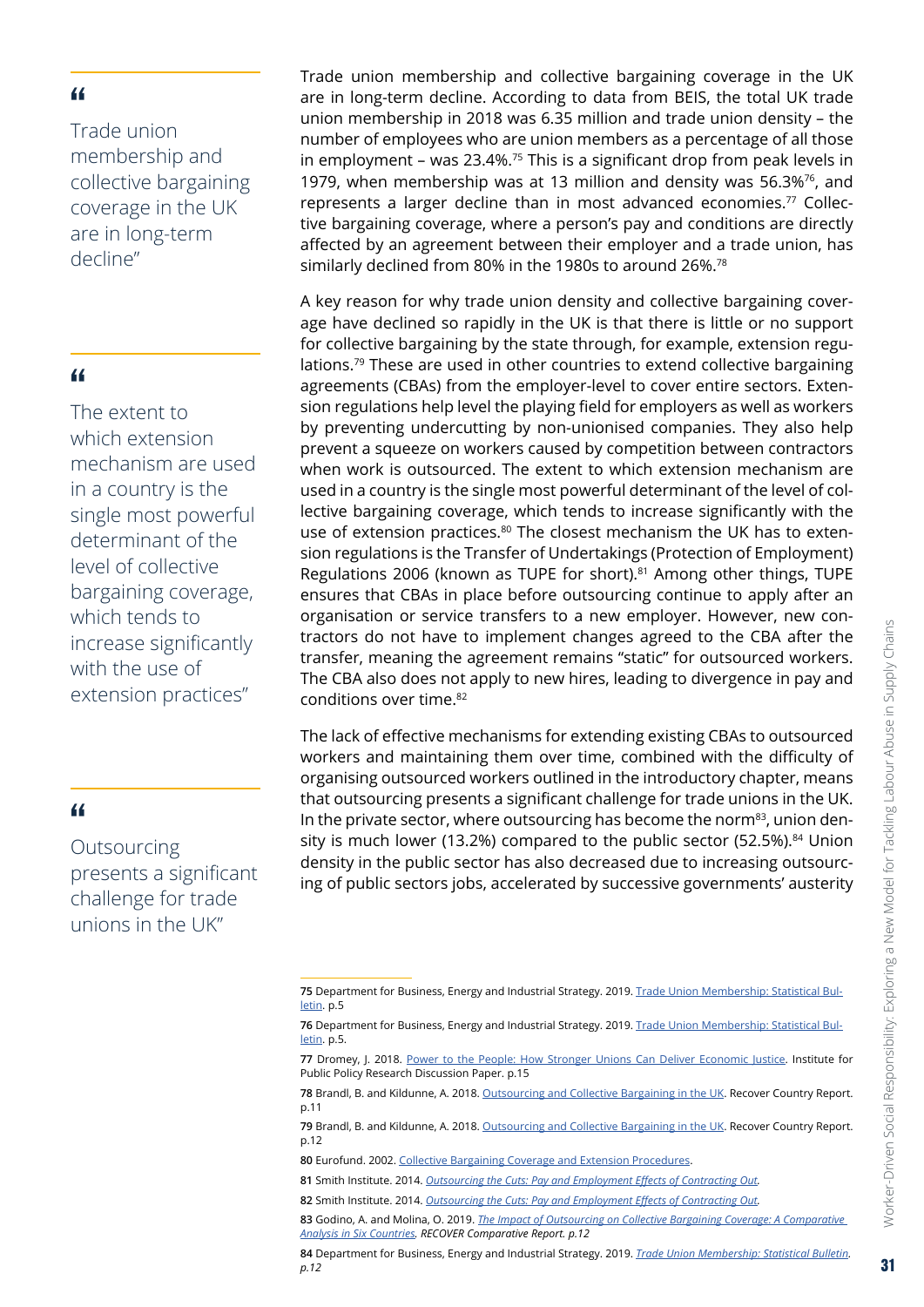Trade union membership and collective bargaining coverage in the UK are in long-term decline"

#### "

The extent to which extension mechanism are used in a country is the single most powerful determinant of the level of collective bargaining coverage, which tends to increase significantly with the use of extension practices"

#### "

**Outsourcing** presents a significant challenge for trade unions in the UK"

Trade union membership and collective bargaining coverage in the UK are in long-term decline. According to data from BEIS, the total UK trade union membership in 2018 was 6.35 million and trade union density – the number of employees who are union members as a percentage of all those in employment – was  $23.4\%$ .<sup>75</sup> This is a significant drop from peak levels in 1979, when membership was at 13 million and density was  $56.3\%$ <sup>76</sup>, and represents a larger decline than in most advanced economies.<sup>77</sup> Collective bargaining coverage, where a person's pay and conditions are directly affected by an agreement between their employer and a trade union, has similarly declined from 80% in the 1980s to around 26%.<sup>78</sup>

A key reason for why trade union density and collective bargaining coverage have declined so rapidly in the UK is that there is little or no support for collective bargaining by the state through, for example, extension regulations.79 These are used in other countries to extend collective bargaining agreements (CBAs) from the employer-level to cover entire sectors. Extension regulations help level the playing field for employers as well as workers by preventing undercutting by non-unionised companies. They also help prevent a squeeze on workers caused by competition between contractors when work is outsourced. The extent to which extension mechanism are used in a country is the single most powerful determinant of the level of collective bargaining coverage, which tends to increase significantly with the use of extension practices.<sup>80</sup> The closest mechanism the UK has to extension regulations is the Transfer of Undertakings (Protection of Employment) Regulations 2006 (known as TUPE for short).<sup>81</sup> Among other things, TUPE ensures that CBAs in place before outsourcing continue to apply after an organisation or service transfers to a new employer. However, new contractors do not have to implement changes agreed to the CBA after the transfer, meaning the agreement remains "static" for outsourced workers. The CBA also does not apply to new hires, leading to divergence in pay and conditions over time.82

The lack of effective mechanisms for extending existing CBAs to outsourced workers and maintaining them over time, combined with the difficulty of organising outsourced workers outlined in the introductory chapter, means that outsourcing presents a significant challenge for trade unions in the UK. In the private sector, where outsourcing has become the norm<sup>83</sup>, union density is much lower (13.2%) compared to the public sector (52.5%).<sup>84</sup> Union density in the public sector has also decreased due to increasing outsourcing of public sectors jobs, accelerated by successive governments' austerity

**<sup>75</sup>** Department for Business, Energy and Industrial Strategy. 2019. Trade Union [Membership: Statistical](https://assets.publishing.service.gov.uk/government/uploads/system/uploads/attachment_data/file/805268/trade-union-membership-2018-statistical-bulletin.pdf) Bul[letin.](https://assets.publishing.service.gov.uk/government/uploads/system/uploads/attachment_data/file/805268/trade-union-membership-2018-statistical-bulletin.pdf) p.5

**<sup>76</sup>** Department for Business, Energy and Industrial Strategy. 2019. Trade Union [Membership: Statistical](https://assets.publishing.service.gov.uk/government/uploads/system/uploads/attachment_data/file/805268/trade-union-membership-2018-statistical-bulletin.pdf) Bul[letin.](https://assets.publishing.service.gov.uk/government/uploads/system/uploads/attachment_data/file/805268/trade-union-membership-2018-statistical-bulletin.pdf) p.5.

<sup>77</sup> Dromey, J. 2018. [Power to the People: How Stronger Unions Can Deliver Economic Justice](https://www.ippr.org/files/2018-06/cej-trade-unions-may18-.pdf). Institute for Public Policy Research Discussion Paper. p.15

**<sup>78</sup>** Brandl, B. and Kildunne, A. 2018. [Outsourcing and Collective Bargaining in the UK.](https://ddd.uab.cat/pub/infpro/2019/202076/Country_Report_UK.pdf) Recover Country Report. p.11

**<sup>79</sup>** Brandl, B. and Kildunne, A. 2018. [Outsourcing and Collective Bargaining in the UK.](https://ddd.uab.cat/pub/infpro/2019/202076/Country_Report_UK.pdf) Recover Country Report. p.12

**<sup>80</sup>** Eurofund. 2002. Collective Bargaining Coverage and Extension [Procedures.](https://www.eurofound.europa.eu/publications/report/2002/collective-bargaining-coverage-and-extension-procedures)

**<sup>81</sup>** Smith Institute. 2014. *Outsourcing the Cuts: Pay and [Employment](http://www.smith-institute.org.uk/wp-content/uploads/2015/09/Outsourcing-the-cuts.pdf) Effects of Contracting Out.* 

**<sup>82</sup>** Smith Institute. 2014. *Outsourcing the Cuts: Pay and [Employment](http://www.smith-institute.org.uk/wp-content/uploads/2015/09/Outsourcing-the-cuts.pdf) Effects of Contracting Out.*

**<sup>83</sup>** Godino, A. and Molina, O. 2019. *The Impact of Outsourcing on Collective Bargaining Coverage: A [Comparative](https://ddd.uab.cat/pub/infpro/2019/202675/Comparative_report_RECOVER.pdf) Analysis in Six [Countries.](https://ddd.uab.cat/pub/infpro/2019/202675/Comparative_report_RECOVER.pdf) RECOVER Comparative Report. p.12*

**<sup>84</sup>** Department for Business, Energy and Industrial Strategy. 2019. *Trade Union [Membership: Statistical](https://assets.publishing.service.gov.uk/government/uploads/system/uploads/attachment_data/file/805268/trade-union-membership-2018-statistical-bulletin.pdf) Bulletin. p.12*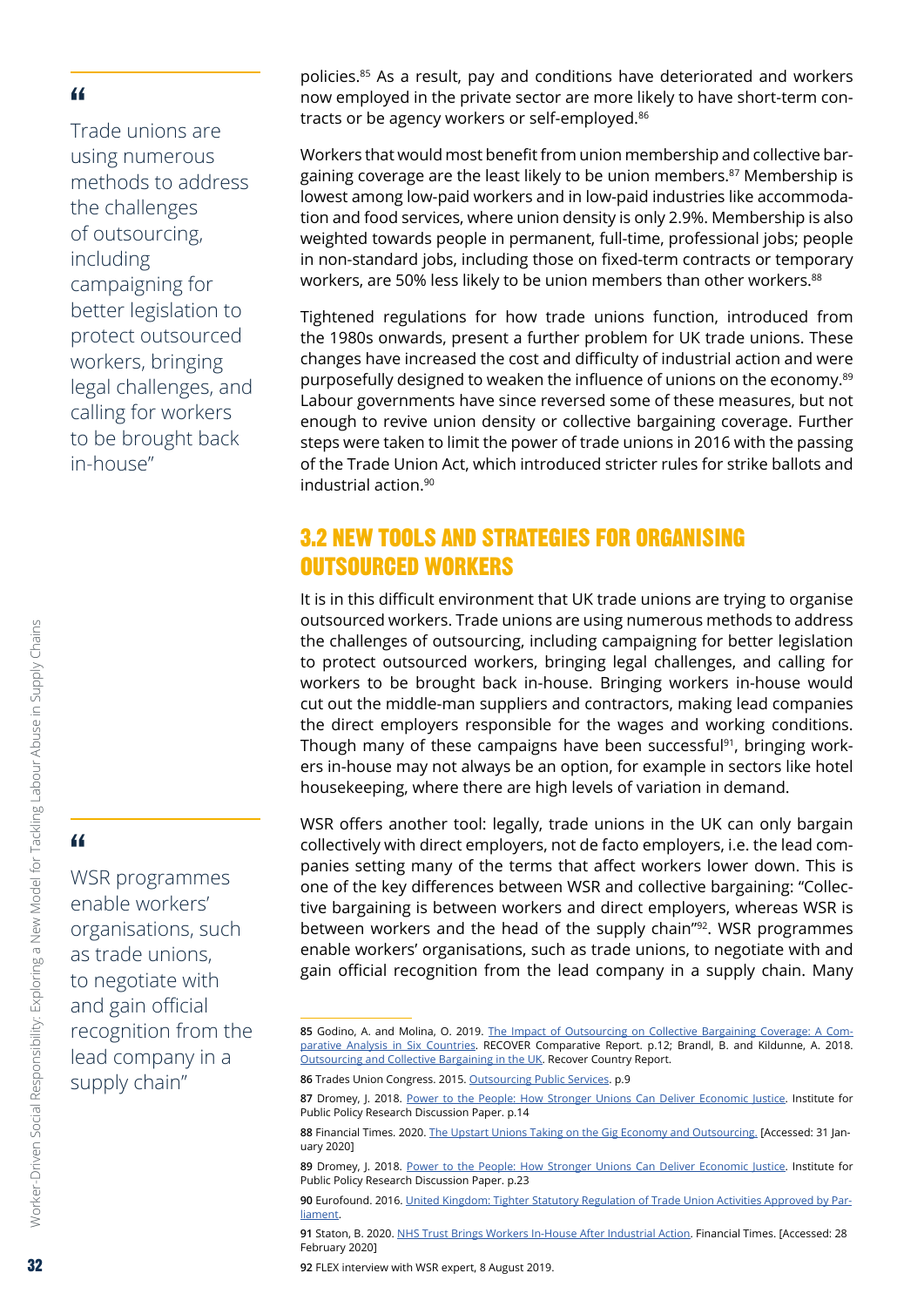<span id="page-31-0"></span>Trade unions are using numerous methods to address the challenges of outsourcing, including campaigning for better legislation to protect outsourced workers, bringing legal challenges, and calling for workers to be brought back in-house"

" WSR programmes

Worker-Driven Social Responsibility: Exploring a New Model for Tackling Labour Abuse in Supply Chains

Worker-Driven Social Responsibility: Exploring a New Model for Tackling Labour Abuse in Supply Chains

enable workers' organisations, such as trade unions, to negotiate with and gain official recognition from the lead company in a supply chain"

policies.85 As a result, pay and conditions have deteriorated and workers now employed in the private sector are more likely to have short-term contracts or be agency workers or self-employed.<sup>86</sup>

Workers that would most benefit from union membership and collective bargaining coverage are the least likely to be union members.<sup>87</sup> Membership is lowest among low-paid workers and in low-paid industries like accommodation and food services, where union density is only 2.9%. Membership is also weighted towards people in permanent, full-time, professional jobs; people in non-standard jobs, including those on fixed-term contracts or temporary workers, are 50% less likely to be union members than other workers.<sup>88</sup>

Tightened regulations for how trade unions function, introduced from the 1980s onwards, present a further problem for UK trade unions. These changes have increased the cost and difficulty of industrial action and were purposefully designed to weaken the influence of unions on the economy.<sup>89</sup> Labour governments have since reversed some of these measures, but not enough to revive union density or collective bargaining coverage. Further steps were taken to limit the power of trade unions in 2016 with the passing of the Trade Union Act, which introduced stricter rules for strike ballots and industrial action.90

# 3.2 NEW TOOLS AND STRATEGIES FOR ORGANISING OUTSOURCED WORKERS

It is in this difficult environment that UK trade unions are trying to organise outsourced workers. Trade unions are using numerous methods to address the challenges of outsourcing, including campaigning for better legislation to protect outsourced workers, bringing legal challenges, and calling for workers to be brought back in-house. Bringing workers in-house would cut out the middle-man suppliers and contractors, making lead companies the direct employers responsible for the wages and working conditions. Though many of these campaigns have been successful<sup>91</sup>, bringing workers in-house may not always be an option, for example in sectors like hotel housekeeping, where there are high levels of variation in demand.

WSR offers another tool: legally, trade unions in the UK can only bargain collectively with direct employers, not de facto employers, i.e. the lead companies setting many of the terms that affect workers lower down. This is one of the key differences between WSR and collective bargaining: "Collective bargaining is between workers and direct employers, whereas WSR is between workers and the head of the supply chain"<sup>92</sup>. WSR programmes enable workers' organisations, such as trade unions, to negotiate with and gain official recognition from the lead company in a supply chain. Many

**91** Staton, B. 2020. NHS Trust Brings Workers In-House After [Industrial](https://www.ft.com/content/d2cabb4a-4373-11ea-a43a-c4b328d9061c) Action. Financial Times. [Accessed: 28 February 2020]

**92** FLEX interview with WSR expert, 8 August 2019.

<sup>85</sup> Godino, A. and Molina, O. 2019. [The Impact of Outsourcing on Collective Bargaining Coverage: A Com](https://ddd.uab.cat/pub/infpro/2019/202675/Comparative_report_RECOVER.pdf)[parative Analysis in Six Countries](https://ddd.uab.cat/pub/infpro/2019/202675/Comparative_report_RECOVER.pdf). RECOVER Comparative Report. p.12; Brandl, B. and Kildunne, A. 2018. [Outsourcing and Collective Bargaining in the UK](https://ddd.uab.cat/pub/infpro/2019/202076/Country_Report_UK.pdf). Recover Country Report.

**<sup>86</sup>** Trades Union Congress. 2015. [Outsourcing](https://www.tuc.org.uk/sites/default/files/TUC%20and%20NEF%20Outsourcing%20Public%20Services.pdf) Public Services. p.9

**<sup>87</sup>** Dromey, J. 2018. [Power to the People: How Stronger Unions Can Deliver Economic Justice](https://www.ippr.org/files/2018-06/cej-trade-unions-may18-.pdf). Institute for Public Policy Research Discussion Paper. p.14

**<sup>88</sup>** Financial Times. 2020. The Upstart Unions Taking on the Gig Economy and [Outsourcing.](https://www.ft.com/content/576c68ea-3784-11ea-a6d3-9a26f8c3cba4) [Accessed: 31 January 2020]

**<sup>89</sup>** Dromey, J. 2018. [Power to the People: How Stronger Unions Can Deliver Economic Justice](https://www.ippr.org/files/2018-06/cej-trade-unions-may18-.pdf). Institute for Public Policy Research Discussion Paper. p.23

**<sup>90</sup>** Eurofound. 2016. United [Kingdom: Tighter](https://www.eurofound.europa.eu/publications/article/2016/united-kingdom-tighter-statutory-regulation-of-trade-union-activities-approved-by-parliament) Statutory Regulation of Trade Union Activities Approved by Par[liament](https://www.eurofound.europa.eu/publications/article/2016/united-kingdom-tighter-statutory-regulation-of-trade-union-activities-approved-by-parliament).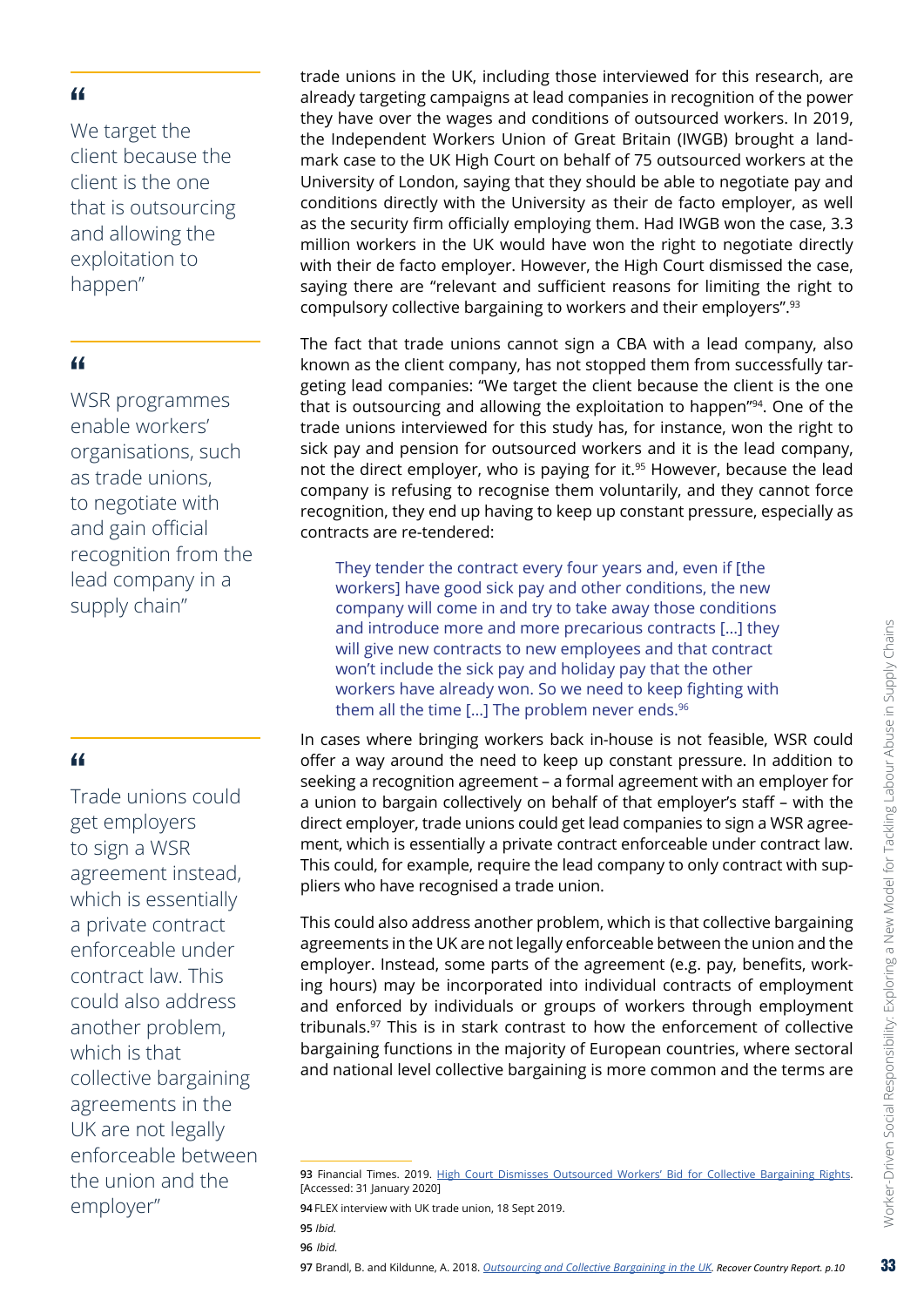We target the client because the client is the one that is outsourcing and allowing the exploitation to happen"

#### "

WSR programmes enable workers' organisations, such as trade unions, to negotiate with and gain official recognition from the lead company in a supply chain"

#### "

Trade unions could get employers to sign a WSR agreement instead, which is essentially a private contract enforceable under contract law. This could also address another problem, which is that collective bargaining agreements in the UK are not legally enforceable between the union and the employer"

trade unions in the UK, including those interviewed for this research, are already targeting campaigns at lead companies in recognition of the power they have over the wages and conditions of outsourced workers. In 2019, the Independent Workers Union of Great Britain (IWGB) brought a landmark case to the UK High Court on behalf of 75 outsourced workers at the University of London, saying that they should be able to negotiate pay and conditions directly with the University as their de facto employer, as well as the security firm officially employing them. Had IWGB won the case, 3.3 million workers in the UK would have won the right to negotiate directly with their de facto employer. However, the High Court dismissed the case, saying there are "relevant and sufficient reasons for limiting the right to compulsory collective bargaining to workers and their employers".93

The fact that trade unions cannot sign a CBA with a lead company, also known as the client company, has not stopped them from successfully targeting lead companies: "We target the client because the client is the one that is outsourcing and allowing the exploitation to happen"94. One of the trade unions interviewed for this study has, for instance, won the right to sick pay and pension for outsourced workers and it is the lead company, not the direct employer, who is paying for it.<sup>95</sup> Howeyer, because the lead company is refusing to recognise them voluntarily, and they cannot force recognition, they end up having to keep up constant pressure, especially as contracts are re-tendered:

They tender the contract every four years and, even if [the workers] have good sick pay and other conditions, the new company will come in and try to take away those conditions and introduce more and more precarious contracts […] they will give new contracts to new employees and that contract won't include the sick pay and holiday pay that the other workers have already won. So we need to keep fighting with them all the time [...] The problem never ends.<sup>96</sup>

In cases where bringing workers back in-house is not feasible, WSR could offer a way around the need to keep up constant pressure. In addition to seeking a recognition agreement – a formal agreement with an employer for a union to bargain collectively on behalf of that employer's staff – with the direct employer, trade unions could get lead companies to sign a WSR agreement, which is essentially a private contract enforceable under contract law. This could, for example, require the lead company to only contract with suppliers who have recognised a trade union.

This could also address another problem, which is that collective bargaining agreements in the UK are not legally enforceable between the union and the employer. Instead, some parts of the agreement (e.g. pay, benefits, working hours) may be incorporated into individual contracts of employment and enforced by individuals or groups of workers through employment tribunals.97 This is in stark contrast to how the enforcement of collective bargaining functions in the majority of European countries, where sectoral and national level collective bargaining is more common and the terms are

**<sup>93</sup>** Financial Times. 2019. [High Court Dismisses Outsourced Workers' Bid for Collective Bargaining Rights](https://www.ft.com/content/476b2b74-4f0f-11e9-9c76-bf4a0ce37d49). [Accessed: 31 January 2020]

**<sup>94</sup>** FLEX interview with UK trade union, 18 Sept 2019.

**<sup>95</sup>** *Ibid.*

**<sup>96</sup>** *Ibid.*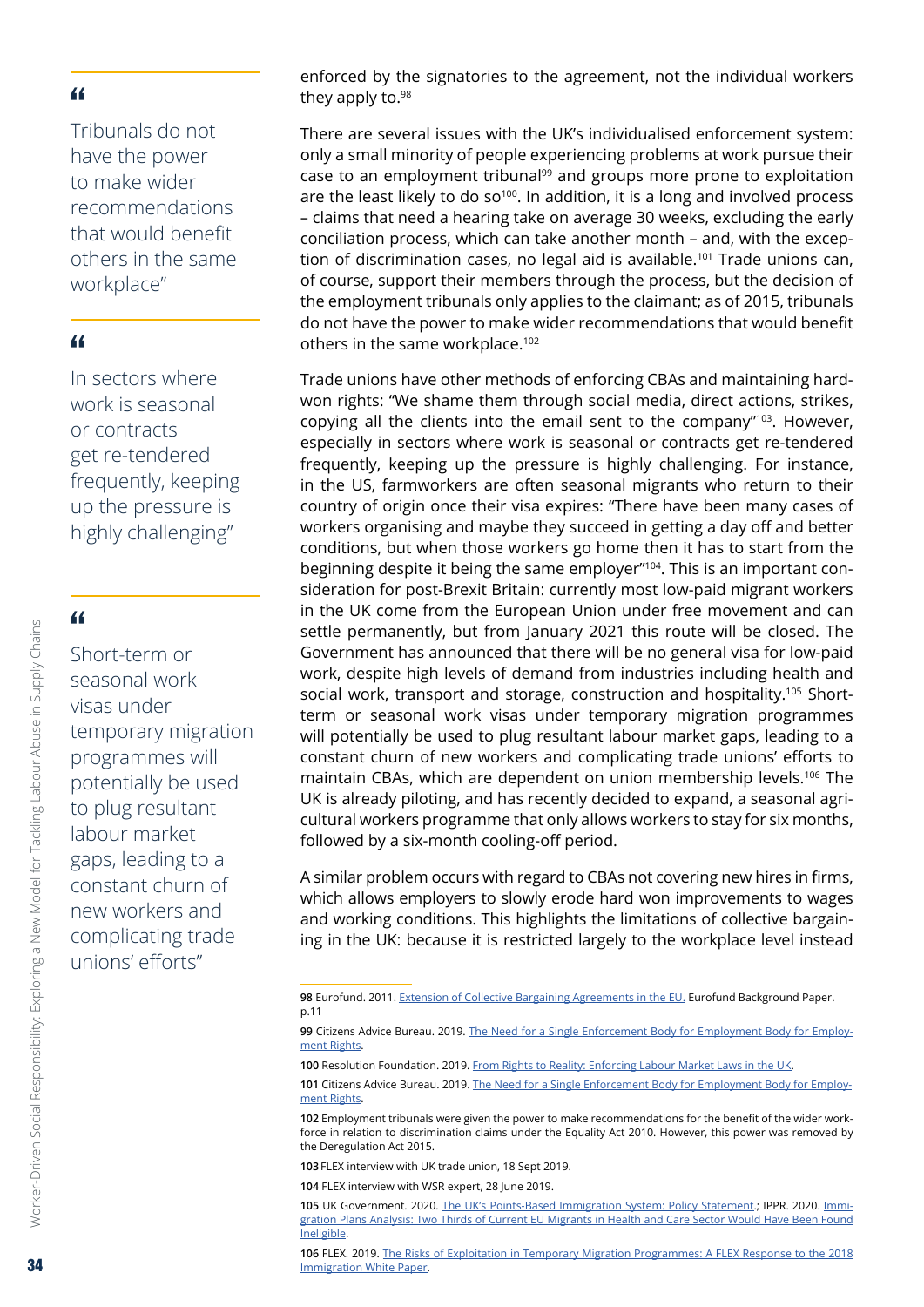Tribunals do not have the power to make wider recommendations that would benefit others in the same workplace"

#### "

In sectors where work is seasonal or contracts get re-tendered frequently, keeping up the pressure is highly challenging"

## "

Short-term or seasonal work visas under temporary migration programmes will potentially be used to plug resultant labour market gaps, leading to a constant churn of new workers and complicating trade unions' efforts"

enforced by the signatories to the agreement, not the individual workers they apply to.98

There are several issues with the UK's individualised enforcement system: only a small minority of people experiencing problems at work pursue their case to an employment tribunal<sup>99</sup> and groups more prone to exploitation are the least likely to do so<sup>100</sup>. In addition, it is a long and involved process – claims that need a hearing take on average 30 weeks, excluding the early conciliation process, which can take another month – and, with the exception of discrimination cases, no legal aid is available.<sup>101</sup> Trade unions can, of course, support their members through the process, but the decision of the employment tribunals only applies to the claimant; as of 2015, tribunals do not have the power to make wider recommendations that would benefit others in the same workplace.102

Trade unions have other methods of enforcing CBAs and maintaining hardwon rights: "We shame them through social media, direct actions, strikes, copying all the clients into the email sent to the company"103. However, especially in sectors where work is seasonal or contracts get re-tendered frequently, keeping up the pressure is highly challenging. For instance, in the US, farmworkers are often seasonal migrants who return to their country of origin once their visa expires: "There have been many cases of workers organising and maybe they succeed in getting a day off and better conditions, but when those workers go home then it has to start from the beginning despite it being the same employer"<sup>104</sup>. This is an important consideration for post-Brexit Britain: currently most low-paid migrant workers in the UK come from the European Union under free movement and can settle permanently, but from January 2021 this route will be closed. The Government has announced that there will be no general visa for low-paid work, despite high levels of demand from industries including health and social work, transport and storage, construction and hospitality.<sup>105</sup> Shortterm or seasonal work visas under temporary migration programmes will potentially be used to plug resultant labour market gaps, leading to a constant churn of new workers and complicating trade unions' efforts to maintain CBAs, which are dependent on union membership levels.106 The UK is already piloting, and has recently decided to expand, a seasonal agricultural workers programme that only allows workers to stay for six months, followed by a six-month cooling-off period.

A similar problem occurs with regard to CBAs not covering new hires in firms, which allows employers to slowly erode hard won improvements to wages and working conditions. This highlights the limitations of collective bargaining in the UK: because it is restricted largely to the workplace level instead

**102** Employment tribunals were given the power to make recommendations for the benefit of the wider workforce in relation to discrimination claims under the Equality Act 2010. However, this power was removed by the Deregulation Act 2015.

**103** FLEX interview with UK trade union, 18 Sept 2019.

**104** FLEX interview with WSR expert, 28 June 2019.

**105** UK Government. 2020. [The UK's Points-Based Immigration System: Policy Statement.](https://assets.publishing.service.gov.uk/government/uploads/system/uploads/attachment_data/file/866664/CCS207_CCS0120013106-001_The_UKs_Points-Based_Immigration_System_print.pdf); IPPR. 2020. [Immi](https://www.ippr.org/news-and-media/press-releases/immigration-plans-analysis-two-thirds-of-current-eu-migrants-in-health-and-care-sector-would-have-been-found-ineligible)[gration Plans Analysis: Two Thirds of Current EU Migrants in Health and Care Sector Would Have Been Found](https://www.ippr.org/news-and-media/press-releases/immigration-plans-analysis-two-thirds-of-current-eu-migrants-in-health-and-care-sector-would-have-been-found-ineligible)  [Ineligible.](https://www.ippr.org/news-and-media/press-releases/immigration-plans-analysis-two-thirds-of-current-eu-migrants-in-health-and-care-sector-would-have-been-found-ineligible)

**106** FLEX. 2019. [The Risks of Exploitation in Temporary Migration Programmes: A FLEX Response to the 2018](https://www.labourexploitation.org/publications/risks-exploitation-temporary-migration-programmes-flex-response-2018-immigration-white)  [Immigration White Paper](https://www.labourexploitation.org/publications/risks-exploitation-temporary-migration-programmes-flex-response-2018-immigration-white).

Worker-Driven Social Responsibility: Exploring a New Model for Tackling Labour Abuse in Supply Chains

Worker-Driven Social Responsibility: Exploring a New Model for Tackling Labour Abuse in Supply Chains

**<sup>98</sup>** Eurofund. 2011. Extension of Collective Bargaining [Agreements](https://www.eurofound.europa.eu/sites/default/files/ef_publication/field_ef_document/ef1154en.pdf) in the EU. Eurofund Background Paper. p.11

**<sup>99</sup>** Citizens Advice Bureau. 2019. The Need for a Single [Enforcement](https://www.citizensadvice.org.uk/Global/CitizensAdvice/Consumer%20publications/Enforcement%20Briefing%20-%20Final%20(3).pdf) Body for Employment Body for Employment [Rights.](https://www.citizensadvice.org.uk/Global/CitizensAdvice/Consumer%20publications/Enforcement%20Briefing%20-%20Final%20(3).pdf)

**<sup>100</sup>** Resolution Foundation. 2019. From Rights to [Reality: Enforcing](https://www.resolutionfoundation.org/publications/from-rights-to-reality/) Labour Market Laws in the UK.

**<sup>101</sup>** Citizens Advice Bureau. 2019. The Need for a Single [Enforcement](https://www.citizensadvice.org.uk/Global/CitizensAdvice/Consumer%20publications/Enforcement%20Briefing%20-%20Final%20(3).pdf) Body for Employment Body for Employment [Rights.](https://www.citizensadvice.org.uk/Global/CitizensAdvice/Consumer%20publications/Enforcement%20Briefing%20-%20Final%20(3).pdf)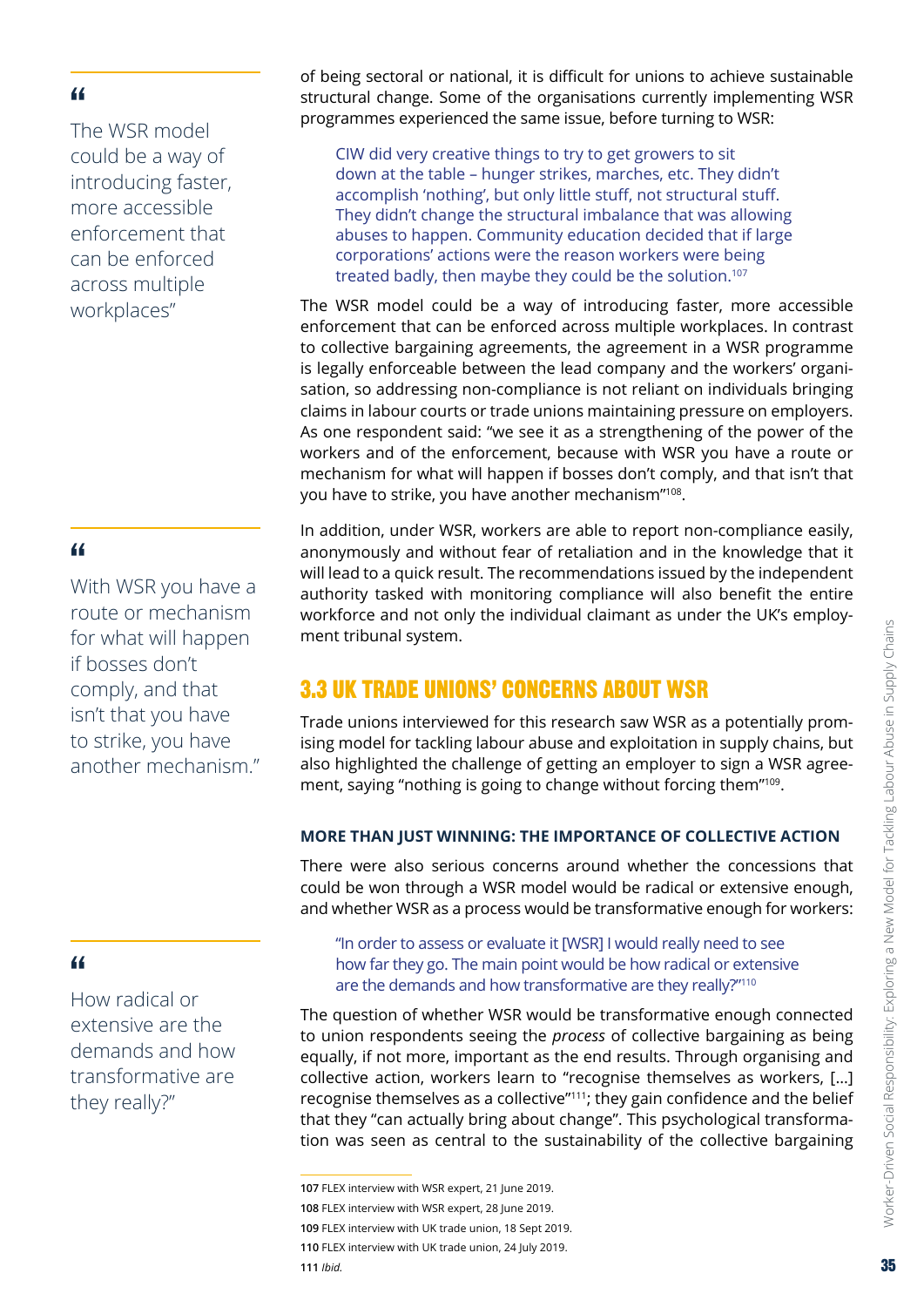<span id="page-34-0"></span>The WSR model could be a way of introducing faster, more accessible enforcement that can be enforced across multiple workplaces"

#### "

With WSR you have a route or mechanism for what will happen if bosses don't comply, and that isn't that you have to strike, you have another mechanism."

#### "

How radical or extensive are the demands and how transformative are they really?"

of being sectoral or national, it is difficult for unions to achieve sustainable structural change. Some of the organisations currently implementing WSR programmes experienced the same issue, before turning to WSR:

CIW did very creative things to try to get growers to sit down at the table – hunger strikes, marches, etc. They didn't accomplish 'nothing', but only little stuff, not structural stuff. They didn't change the structural imbalance that was allowing abuses to happen. Community education decided that if large corporations' actions were the reason workers were being treated badly, then maybe they could be the solution.<sup>107</sup>

The WSR model could be a way of introducing faster, more accessible enforcement that can be enforced across multiple workplaces. In contrast to collective bargaining agreements, the agreement in a WSR programme is legally enforceable between the lead company and the workers' organisation, so addressing non-compliance is not reliant on individuals bringing claims in labour courts or trade unions maintaining pressure on employers. As one respondent said: "we see it as a strengthening of the power of the workers and of the enforcement, because with WSR you have a route or mechanism for what will happen if bosses don't comply, and that isn't that you have to strike, you have another mechanism"108.

In addition, under WSR, workers are able to report non-compliance easily, anonymously and without fear of retaliation and in the knowledge that it will lead to a quick result. The recommendations issued by the independent authority tasked with monitoring compliance will also benefit the entire workforce and not only the individual claimant as under the UK's employment tribunal system.

# 3.3 UK TRADE UNIONS' CONCERNS ABOUT WSR

Trade unions interviewed for this research saw WSR as a potentially promising model for tackling labour abuse and exploitation in supply chains, but also highlighted the challenge of getting an employer to sign a WSR agreement, saying "nothing is going to change without forcing them"109.

#### **MORE THAN JUST WINNING: THE IMPORTANCE OF COLLECTIVE ACTION**

There were also serious concerns around whether the concessions that could be won through a WSR model would be radical or extensive enough, and whether WSR as a process would be transformative enough for workers:

"In order to assess or evaluate it [WSR] I would really need to see how far they go. The main point would be how radical or extensive are the demands and how transformative are they really?"110

The question of whether WSR would be transformative enough connected to union respondents seeing the *process* of collective bargaining as being equally, if not more, important as the end results. Through organising and collective action, workers learn to "recognise themselves as workers, […] recognise themselves as a collective"111; they gain confidence and the belief that they "can actually bring about change". This psychological transformation was seen as central to the sustainability of the collective bargaining

**<sup>107</sup>** FLEX interview with WSR expert, 21 June 2019.

**<sup>108</sup>** FLEX interview with WSR expert, 28 June 2019.

**<sup>109</sup>** FLEX interview with UK trade union, 18 Sept 2019.

**<sup>110</sup>** FLEX interview with UK trade union, 24 July 2019.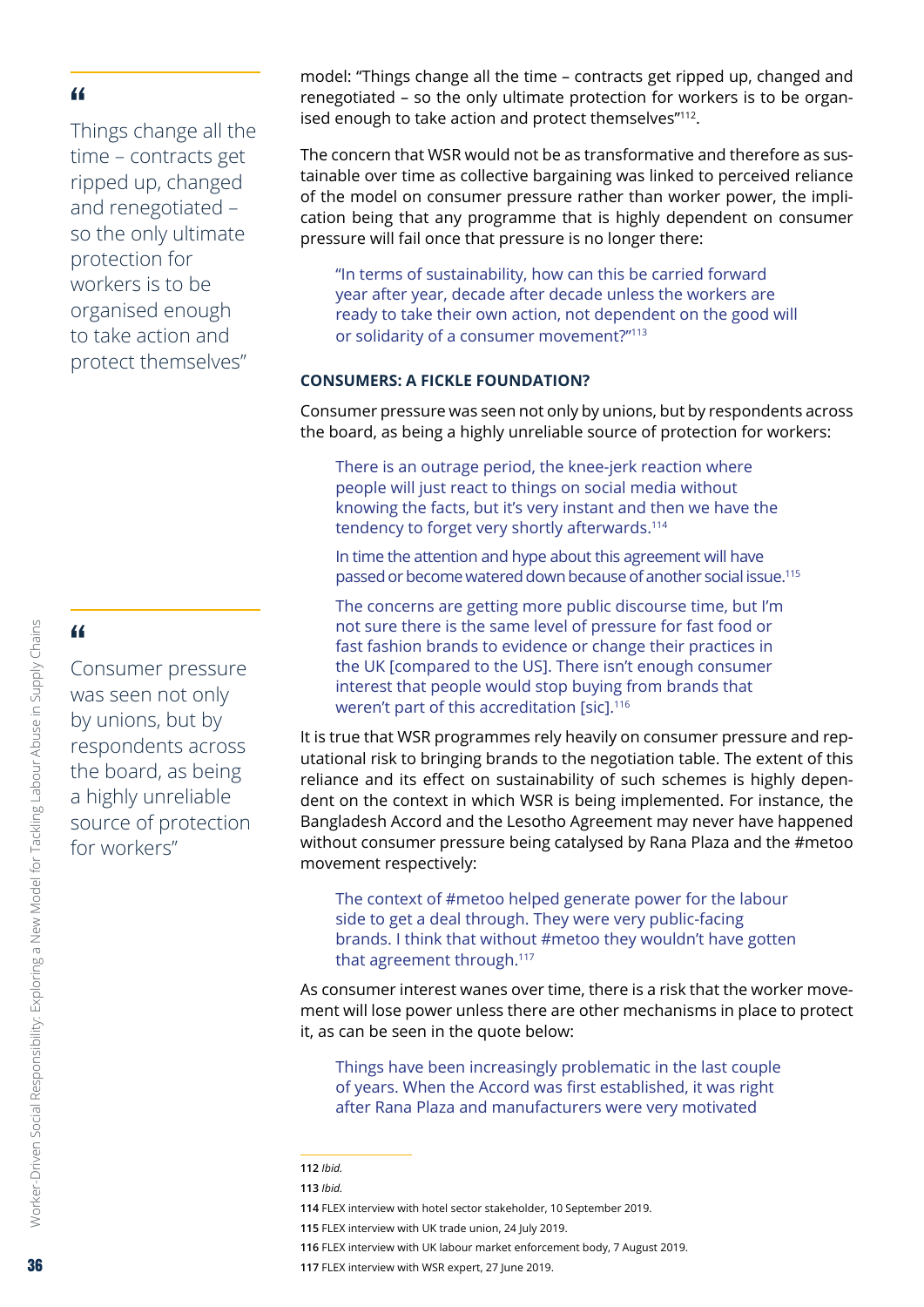<span id="page-35-0"></span>Things change all the time – contracts get ripped up, changed and renegotiated – so the only ultimate protection for workers is to be organised enough to take action and protect themselves"

## "

Consumer pressure was seen not only by unions, but by respondents across the board, as being a highly unreliable source of protection for workers"

model: "Things change all the time – contracts get ripped up, changed and renegotiated – so the only ultimate protection for workers is to be organised enough to take action and protect themselves"112.

The concern that WSR would not be as transformative and therefore as sustainable over time as collective bargaining was linked to perceived reliance of the model on consumer pressure rather than worker power, the implication being that any programme that is highly dependent on consumer pressure will fail once that pressure is no longer there:

"In terms of sustainability, how can this be carried forward year after year, decade after decade unless the workers are ready to take their own action, not dependent on the good will or solidarity of a consumer movement?"113

#### **CONSUMERS: A FICKLE FOUNDATION?**

Consumer pressure was seen not only by unions, but by respondents across the board, as being a highly unreliable source of protection for workers:

There is an outrage period, the knee-jerk reaction where people will just react to things on social media without knowing the facts, but it's very instant and then we have the tendency to forget very shortly afterwards.<sup>114</sup>

In time the attention and hype about this agreement will have passed or become watered down because of another social issue.115

The concerns are getting more public discourse time, but I'm not sure there is the same level of pressure for fast food or fast fashion brands to evidence or change their practices in the UK [compared to the US]. There isn't enough consumer interest that people would stop buying from brands that weren't part of this accreditation [sic].<sup>116</sup>

It is true that WSR programmes rely heavily on consumer pressure and reputational risk to bringing brands to the negotiation table. The extent of this reliance and its effect on sustainability of such schemes is highly dependent on the context in which WSR is being implemented. For instance, the Bangladesh Accord and the Lesotho Agreement may never have happened without consumer pressure being catalysed by Rana Plaza and the #metoo movement respectively:

The context of #metoo helped generate power for the labour side to get a deal through. They were very public-facing brands. I think that without #metoo they wouldn't have gotten that agreement through.<sup>117</sup>

As consumer interest wanes over time, there is a risk that the worker movement will lose power unless there are other mechanisms in place to protect it, as can be seen in the quote below:

Things have been increasingly problematic in the last couple of years. When the Accord was first established, it was right after Rana Plaza and manufacturers were very motivated

**116** FLEX interview with UK labour market enforcement body, 7 August 2019.

**<sup>112</sup>** *Ibid.*

**<sup>113</sup>** *Ibid.*

**<sup>114</sup>** FLEX interview with hotel sector stakeholder, 10 September 2019.

**<sup>115</sup>** FLEX interview with UK trade union, 24 July 2019.

**<sup>117</sup>** FLEX interview with WSR expert, 27 June 2019.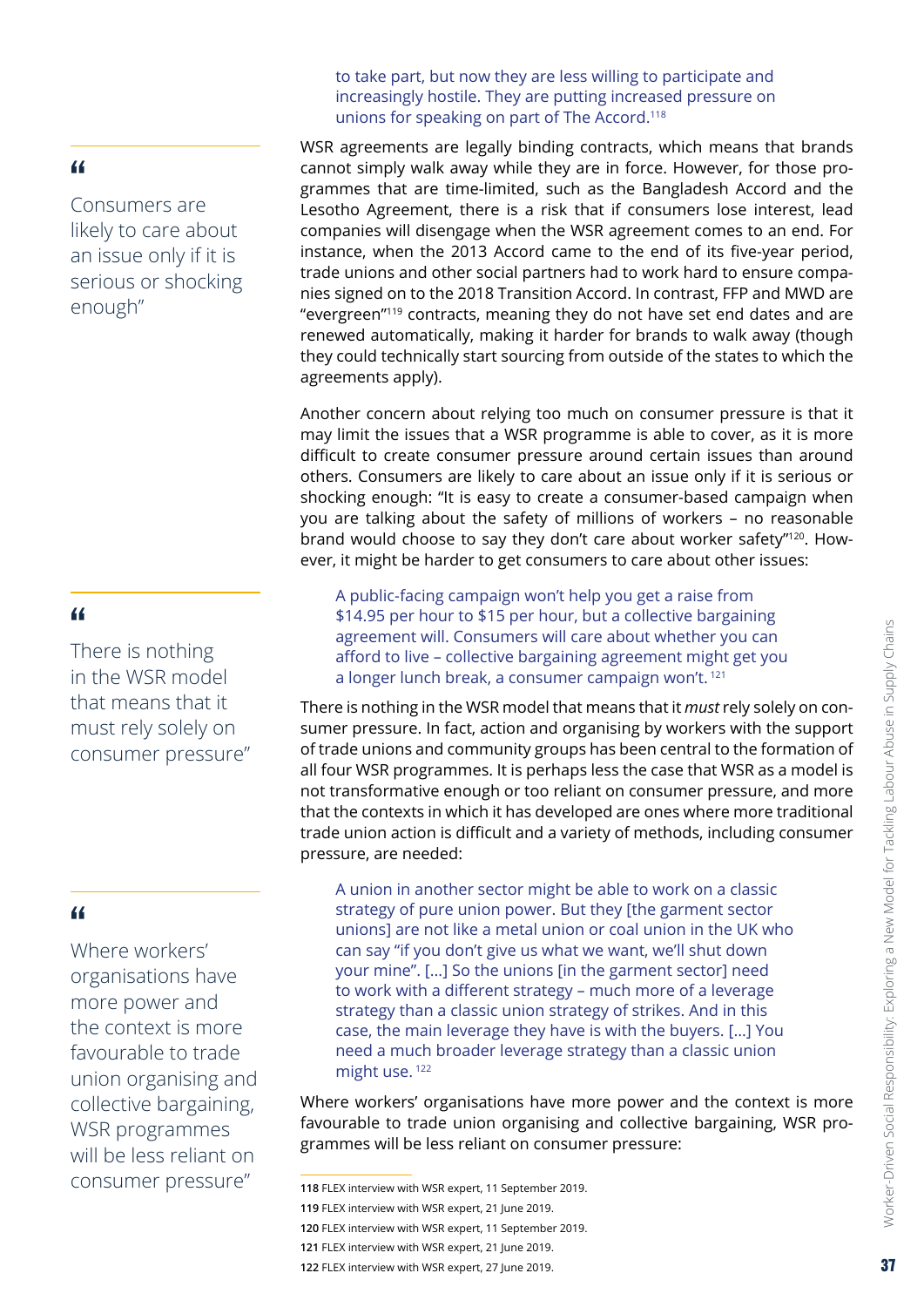Consumers are likely to care about an issue only if it is serious or shocking enough"

#### "

There is nothing in the WSR model that means that it must rely solely on consumer pressure"

#### "

Where workers' organisations have more power and the context is more favourable to trade union organising and collective bargaining, WSR programmes will be less reliant on consumer pressure"

to take part, but now they are less willing to participate and increasingly hostile. They are putting increased pressure on unions for speaking on part of The Accord.118

WSR agreements are legally binding contracts, which means that brands cannot simply walk away while they are in force. However, for those programmes that are time-limited, such as the Bangladesh Accord and the Lesotho Agreement, there is a risk that if consumers lose interest, lead companies will disengage when the WSR agreement comes to an end. For instance, when the 2013 Accord came to the end of its five-year period, trade unions and other social partners had to work hard to ensure companies signed on to the 2018 Transition Accord. In contrast, FFP and MWD are "evergreen"119 contracts, meaning they do not have set end dates and are renewed automatically, making it harder for brands to walk away (though they could technically start sourcing from outside of the states to which the agreements apply).

Another concern about relying too much on consumer pressure is that it may limit the issues that a WSR programme is able to cover, as it is more difficult to create consumer pressure around certain issues than around others. Consumers are likely to care about an issue only if it is serious or shocking enough: "It is easy to create a consumer-based campaign when you are talking about the safety of millions of workers – no reasonable brand would choose to say they don't care about worker safety"<sup>120</sup>. However, it might be harder to get consumers to care about other issues:

A public-facing campaign won't help you get a raise from \$14.95 per hour to \$15 per hour, but a collective bargaining agreement will. Consumers will care about whether you can afford to live – collective bargaining agreement might get you a longer lunch break, a consumer campaign won't. <sup>121</sup>

There is nothing in the WSR model that means that it *must* rely solely on consumer pressure. In fact, action and organising by workers with the support of trade unions and community groups has been central to the formation of all four WSR programmes. It is perhaps less the case that WSR as a model is not transformative enough or too reliant on consumer pressure, and more that the contexts in which it has developed are ones where more traditional trade union action is difficult and a variety of methods, including consumer pressure, are needed:

A union in another sector might be able to work on a classic strategy of pure union power. But they [the garment sector unions] are not like a metal union or coal union in the UK who can say "if you don't give us what we want, we'll shut down your mine". […] So the unions [in the garment sector] need to work with a different strategy – much more of a leverage strategy than a classic union strategy of strikes. And in this case, the main leverage they have is with the buyers. […] You need a much broader leverage strategy than a classic union might use.<sup>122</sup>

Where workers' organisations have more power and the context is more favourable to trade union organising and collective bargaining, WSR programmes will be less reliant on consumer pressure:

**121** FLEX interview with WSR expert, 21 June 2019.

**<sup>118</sup>** FLEX interview with WSR expert, 11 September 2019.

**<sup>119</sup>** FLEX interview with WSR expert, 21 June 2019.

**<sup>120</sup>** FLEX interview with WSR expert, 11 September 2019.

**<sup>122</sup>** FLEX interview with WSR expert, 27 June 2019.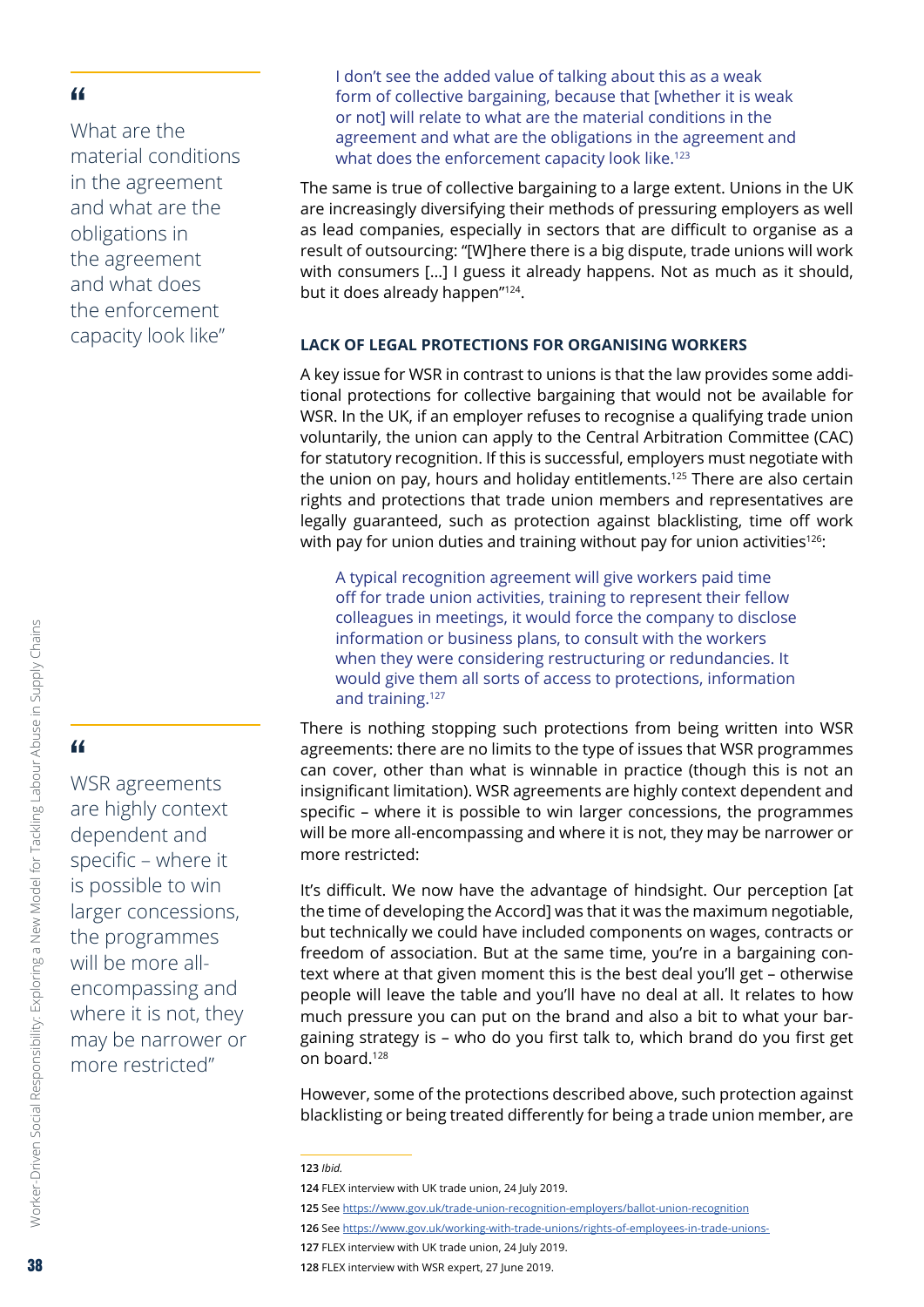<span id="page-37-0"></span>What are the material conditions in the agreement and what are the obligations in the agreement and what does the enforcement capacity look like"

I don't see the added value of talking about this as a weak form of collective bargaining, because that [whether it is weak or not] will relate to what are the material conditions in the agreement and what are the obligations in the agreement and what does the enforcement capacity look like.<sup>123</sup>

The same is true of collective bargaining to a large extent. Unions in the UK are increasingly diversifying their methods of pressuring employers as well as lead companies, especially in sectors that are difficult to organise as a result of outsourcing: "[W]here there is a big dispute, trade unions will work with consumers [...] I guess it already happens. Not as much as it should, but it does already happen"124.

#### **LACK OF LEGAL PROTECTIONS FOR ORGANISING WORKERS**

A key issue for WSR in contrast to unions is that the law provides some additional protections for collective bargaining that would not be available for WSR. In the UK, if an employer refuses to recognise a qualifying trade union voluntarily, the union can apply to the Central Arbitration Committee (CAC) for statutory recognition. If this is successful, employers must negotiate with the union on pay, hours and holiday entitlements.<sup>125</sup> There are also certain rights and protections that trade union members and representatives are legally guaranteed, such as protection against blacklisting, time off work with pay for union duties and training without pay for union activities<sup>126</sup>:

A typical recognition agreement will give workers paid time off for trade union activities, training to represent their fellow colleagues in meetings, it would force the company to disclose information or business plans, to consult with the workers when they were considering restructuring or redundancies. It would give them all sorts of access to protections, information and training.127

There is nothing stopping such protections from being written into WSR agreements: there are no limits to the type of issues that WSR programmes can cover, other than what is winnable in practice (though this is not an insignificant limitation). WSR agreements are highly context dependent and specific – where it is possible to win larger concessions, the programmes will be more all-encompassing and where it is not, they may be narrower or more restricted:

It's difficult. We now have the advantage of hindsight. Our perception [at the time of developing the Accord] was that it was the maximum negotiable, but technically we could have included components on wages, contracts or freedom of association. But at the same time, you're in a bargaining context where at that given moment this is the best deal you'll get – otherwise people will leave the table and you'll have no deal at all. It relates to how much pressure you can put on the brand and also a bit to what your bargaining strategy is – who do you first talk to, which brand do you first get on board.128

However, some of the protections described above, such protection against blacklisting or being treated differently for being a trade union member, are

- **126** See <https://www.gov.uk/working-with-trade-unions/rights-of-employees-in-trade-unions->
- **127** FLEX interview with UK trade union, 24 July 2019.

WSR agreements are highly context dependent and specific – where it is possible to win larger concessions, the programmes will be more allencompassing and where it is not, they may be narrower or more restricted"

**<sup>123</sup>** *Ibid.*

**<sup>124</sup>** FLEX interview with UK trade union, 24 July 2019.

**<sup>125</sup>** See <https://www.gov.uk/trade-union-recognition-employers/ballot-union-recognition>

**<sup>128</sup>** FLEX interview with WSR expert, 27 June 2019.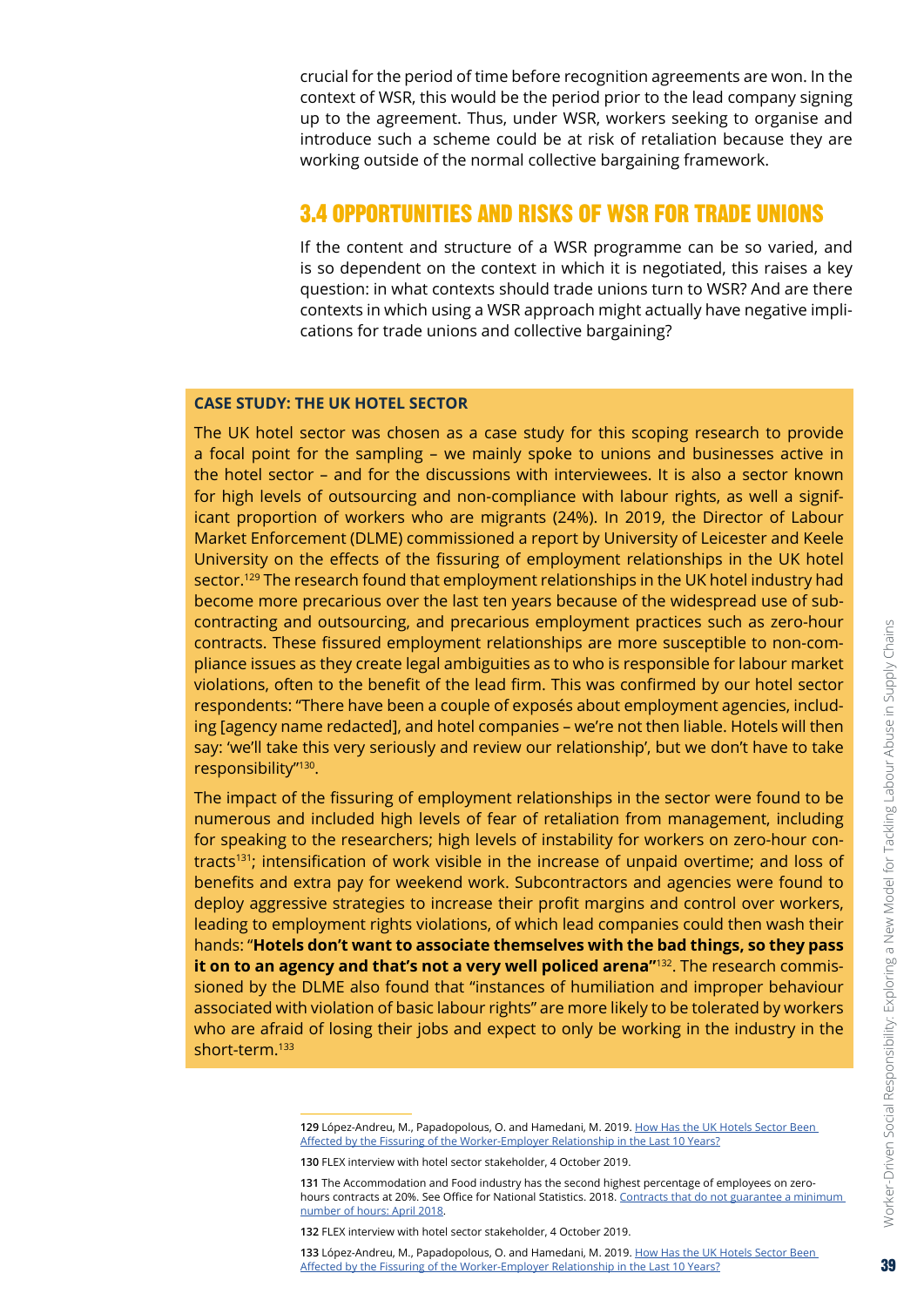<span id="page-38-0"></span>crucial for the period of time before recognition agreements are won. In the context of WSR, this would be the period prior to the lead company signing up to the agreement. Thus, under WSR, workers seeking to organise and introduce such a scheme could be at risk of retaliation because they are working outside of the normal collective bargaining framework.

#### 3.4 OPPORTUNITIES AND RISKS OF WSR FOR TRADE UNIONS

If the content and structure of a WSR programme can be so varied, and is so dependent on the context in which it is negotiated, this raises a key question: in what contexts should trade unions turn to WSR? And are there contexts in which using a WSR approach might actually have negative implications for trade unions and collective bargaining?

#### **CASE STUDY: THE UK HOTEL SECTOR**

The UK hotel sector was chosen as a case study for this scoping research to provide a focal point for the sampling – we mainly spoke to unions and businesses active in the hotel sector – and for the discussions with interviewees. It is also a sector known for high levels of outsourcing and non-compliance with labour rights, as well a significant proportion of workers who are migrants (24%). In 2019, the Director of Labour Market Enforcement (DLME) commissioned a report by University of Leicester and Keele University on the effects of the fissuring of employment relationships in the UK hotel sector.<sup>129</sup> The research found that employment relationships in the UK hotel industry had become more precarious over the last ten years because of the widespread use of subcontracting and outsourcing, and precarious employment practices such as zero-hour contracts. These fissured employment relationships are more susceptible to non-compliance issues as they create legal ambiguities as to who is responsible for labour market violations, often to the benefit of the lead firm. This was confirmed by our hotel sector respondents: "There have been a couple of exposés about employment agencies, including [agency name redacted], and hotel companies – we're not then liable. Hotels will then say: 'we'll take this very seriously and review our relationship', but we don't have to take responsibility"130.

The impact of the fissuring of employment relationships in the sector were found to be numerous and included high levels of fear of retaliation from management, including for speaking to the researchers; high levels of instability for workers on zero-hour contracts131; intensification of work visible in the increase of unpaid overtime; and loss of benefits and extra pay for weekend work. Subcontractors and agencies were found to deploy aggressive strategies to increase their profit margins and control over workers, leading to employment rights violations, of which lead companies could then wash their hands: "**Hotels don't want to associate themselves with the bad things, so they pass it on to an agency and that's not a very well policed arena"**132. The research commissioned by the DLME also found that "instances of humiliation and improper behaviour associated with violation of basic labour rights" are more likely to be tolerated by workers who are afraid of losing their jobs and expect to only be working in the industry in the short-term.<sup>133</sup>

<sup>129</sup> López-Andreu, M., Papadopolous, O. and Hamedani, M. 2019. How Has the UK [Hotels](https://assets.publishing.service.gov.uk/government/uploads/system/uploads/attachment_data/file/814594/UK_Hotels_Sector_Director_of_labour_market_enforcement_July_2019.pdf) Sector Been Affected by the Fissuring of the [Worker-Employer](https://assets.publishing.service.gov.uk/government/uploads/system/uploads/attachment_data/file/814594/UK_Hotels_Sector_Director_of_labour_market_enforcement_July_2019.pdf) Relationship in the Last 10 Years?

**<sup>130</sup>** FLEX interview with hotel sector stakeholder, 4 October 2019.

**<sup>131</sup>** The Accommodation and Food industry has the second highest percentage of employees on zerohours contracts at 20%. See Office for National Statistics. 2018. Contracts that do not guarantee a minimum number of hours: April 2018.

**<sup>132</sup>** FLEX interview with hotel sector stakeholder, 4 October 2019.

**<sup>133</sup>** López-Andreu, M., Papadopolous, O. and Hamedani, M. 2019. How Has the UK [Hotels](https://assets.publishing.service.gov.uk/government/uploads/system/uploads/attachment_data/file/814594/UK_Hotels_Sector_Director_of_labour_market_enforcement_July_2019.pdf) Sector Been Affected by the Fissuring of the [Worker-Employer](https://assets.publishing.service.gov.uk/government/uploads/system/uploads/attachment_data/file/814594/UK_Hotels_Sector_Director_of_labour_market_enforcement_July_2019.pdf) Relationship in the Last 10 Years?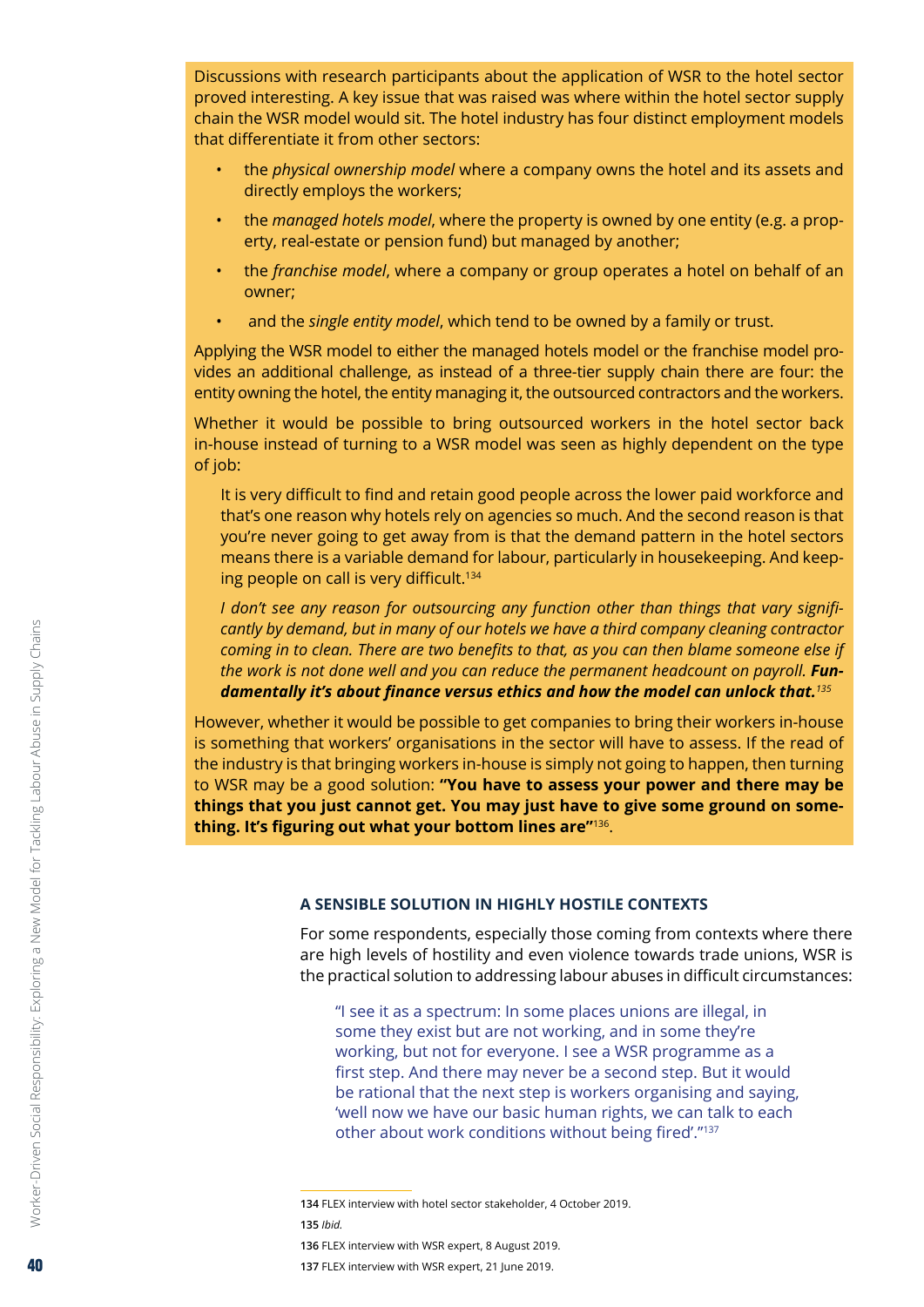<span id="page-39-0"></span>Discussions with research participants about the application of WSR to the hotel sector proved interesting. A key issue that was raised was where within the hotel sector supply chain the WSR model would sit. The hotel industry has four distinct employment models that differentiate it from other sectors:

- the *physical ownership model* where a company owns the hotel and its assets and directly employs the workers;
- the *managed hotels model*, where the property is owned by one entity (e.g. a property, real-estate or pension fund) but managed by another;
- the *franchise model*, where a company or group operates a hotel on behalf of an owner;
- and the *single entity model*, which tend to be owned by a family or trust.

Applying the WSR model to either the managed hotels model or the franchise model provides an additional challenge, as instead of a three-tier supply chain there are four: the entity owning the hotel, the entity managing it, the outsourced contractors and the workers.

Whether it would be possible to bring outsourced workers in the hotel sector back in-house instead of turning to a WSR model was seen as highly dependent on the type of job:

It is very difficult to find and retain good people across the lower paid workforce and that's one reason why hotels rely on agencies so much. And the second reason is that you're never going to get away from is that the demand pattern in the hotel sectors means there is a variable demand for labour, particularly in housekeeping. And keeping people on call is very difficult.<sup>134</sup>

*I don't see any reason for outsourcing any function other than things that vary significantly by demand, but in many of our hotels we have a third company cleaning contractor coming in to clean. There are two benefits to that, as you can then blame someone else if*  the work is not done well and you can reduce the permanent headcount on payroll. **Fun***damentally it's about finance versus ethics and how the model can unlock that.<sup>135</sup>*

However, whether it would be possible to get companies to bring their workers in-house is something that workers' organisations in the sector will have to assess. If the read of the industry is that bringing workers in-house is simply not going to happen, then turning to WSR may be a good solution: **"You have to assess your power and there may be things that you just cannot get. You may just have to give some ground on something. It's figuring out what your bottom lines are"**136.

#### **A SENSIBLE SOLUTION IN HIGHLY HOSTILE CONTEXTS**

For some respondents, especially those coming from contexts where there are high levels of hostility and even violence towards trade unions, WSR is the practical solution to addressing labour abuses in difficult circumstances:

"I see it as a spectrum: In some places unions are illegal, in some they exist but are not working, and in some they're working, but not for everyone. I see a WSR programme as a first step. And there may never be a second step. But it would be rational that the next step is workers organising and saying, 'well now we have our basic human rights, we can talk to each other about work conditions without being fired'."<sup>137</sup>

**<sup>134</sup>** FLEX interview with hotel sector stakeholder, 4 October 2019. **135** *Ibid.*

**<sup>136</sup>** FLEX interview with WSR expert, 8 August 2019.

**<sup>137</sup>** FLEX interview with WSR expert, 21 June 2019.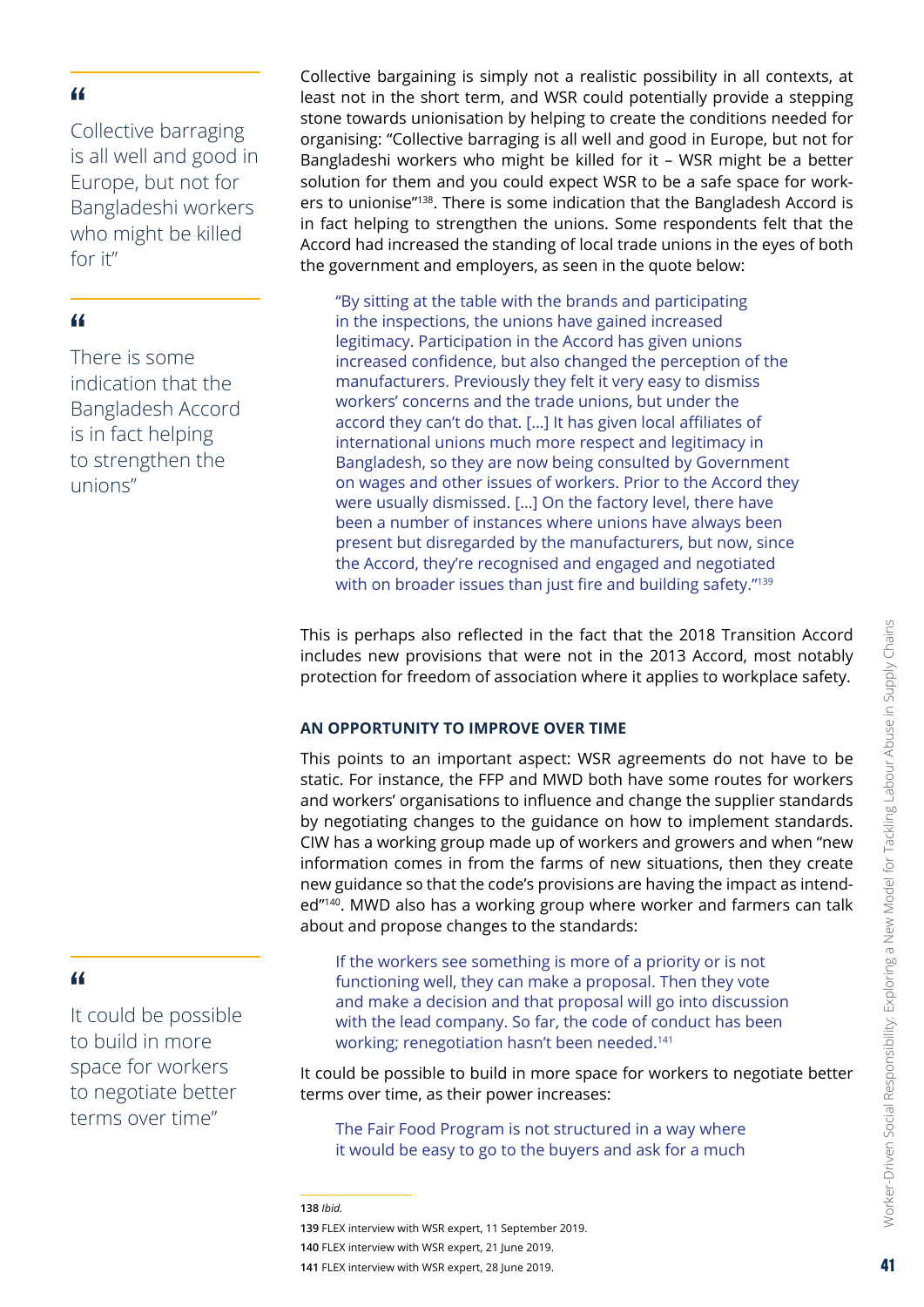<span id="page-40-0"></span>Collective barraging is all well and good in Europe, but not for Bangladeshi workers who might be killed for it"

#### "

There is some indication that the Bangladesh Accord is in fact helping to strengthen the unions"

Collective bargaining is simply not a realistic possibility in all contexts, at least not in the short term, and WSR could potentially provide a stepping stone towards unionisation by helping to create the conditions needed for organising: "Collective barraging is all well and good in Europe, but not for Bangladeshi workers who might be killed for it – WSR might be a better solution for them and you could expect WSR to be a safe space for workers to unionise"138. There is some indication that the Bangladesh Accord is in fact helping to strengthen the unions. Some respondents felt that the Accord had increased the standing of local trade unions in the eyes of both the government and employers, as seen in the quote below:

"By sitting at the table with the brands and participating in the inspections, the unions have gained increased legitimacy. Participation in the Accord has given unions increased confidence, but also changed the perception of the manufacturers. Previously they felt it very easy to dismiss workers' concerns and the trade unions, but under the accord they can't do that. […] It has given local affiliates of international unions much more respect and legitimacy in Bangladesh, so they are now being consulted by Government on wages and other issues of workers. Prior to the Accord they were usually dismissed. […] On the factory level, there have been a number of instances where unions have always been present but disregarded by the manufacturers, but now, since the Accord, they're recognised and engaged and negotiated with on broader issues than just fire and building safety."<sup>139</sup>

This is perhaps also reflected in the fact that the 2018 Transition Accord includes new provisions that were not in the 2013 Accord, most notably protection for freedom of association where it applies to workplace safety.

#### **AN OPPORTUNITY TO IMPROVE OVER TIME**

This points to an important aspect: WSR agreements do not have to be static. For instance, the FFP and MWD both have some routes for workers and workers' organisations to influence and change the supplier standards by negotiating changes to the guidance on how to implement standards. CIW has a working group made up of workers and growers and when "new information comes in from the farms of new situations, then they create new guidance so that the code's provisions are having the impact as intended"140. MWD also has a working group where worker and farmers can talk about and propose changes to the standards:

If the workers see something is more of a priority or is not functioning well, they can make a proposal. Then they vote and make a decision and that proposal will go into discussion with the lead company. So far, the code of conduct has been working; renegotiation hasn't been needed.<sup>141</sup>

It could be possible to build in more space for workers to negotiate better terms over time, as their power increases:

The Fair Food Program is not structured in a way where it would be easy to go to the buyers and ask for a much

**140** FLEX interview with WSR expert, 21 June 2019.

It could be possible to build in more space for workers to negotiate better terms over time"

**<sup>138</sup>** *Ibid.*

**<sup>139</sup>** FLEX interview with WSR expert, 11 September 2019.

**<sup>141</sup>** FLEX interview with WSR expert, 28 June 2019.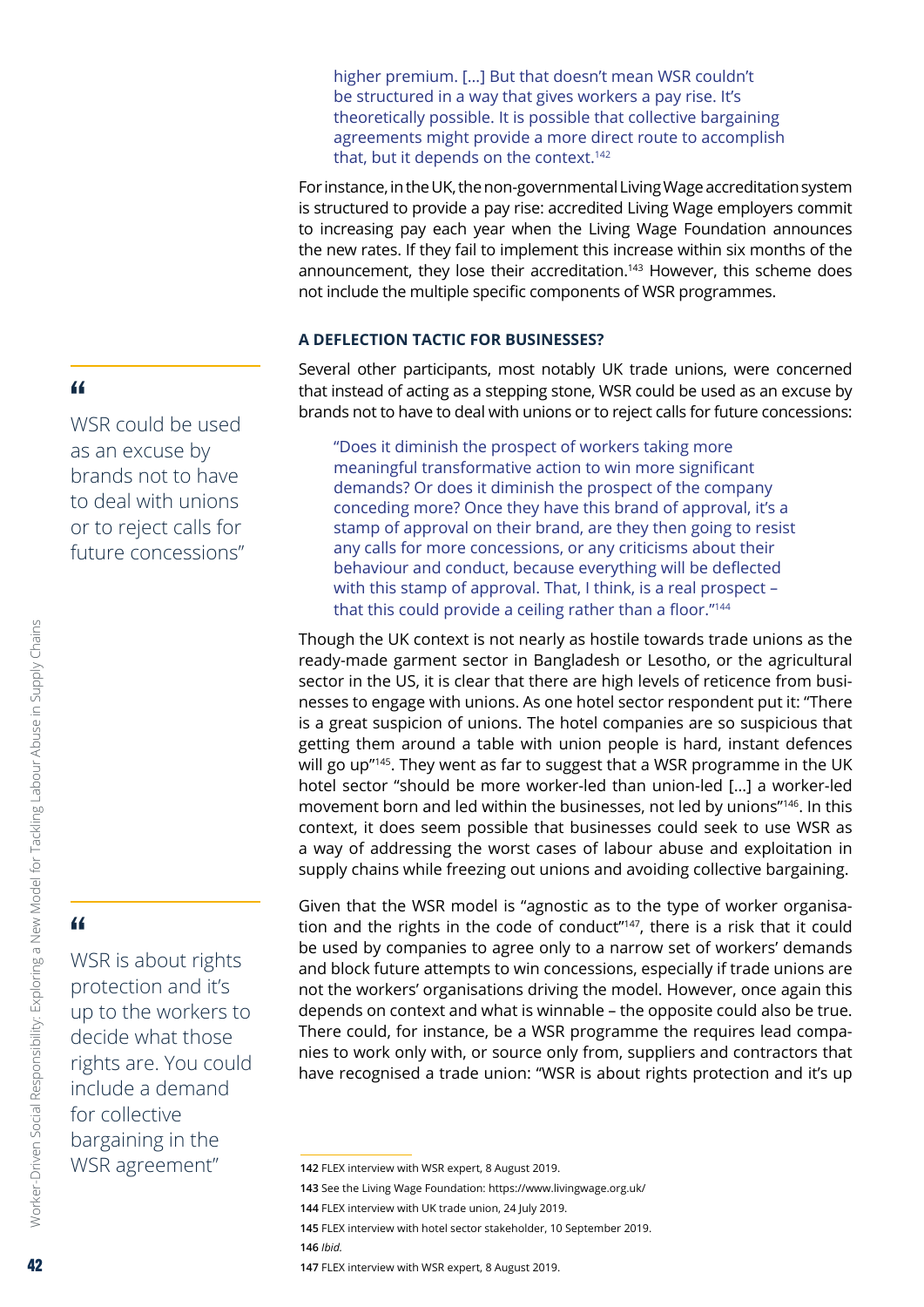<span id="page-41-0"></span>higher premium. […] But that doesn't mean WSR couldn't be structured in a way that gives workers a pay rise. It's theoretically possible. It is possible that collective bargaining agreements might provide a more direct route to accomplish that, but it depends on the context.<sup>142</sup>

For instance, in the UK, the non-governmental Living Wage accreditation system is structured to provide a pay rise: accredited Living Wage employers commit to increasing pay each year when the Living Wage Foundation announces the new rates. If they fail to implement this increase within six months of the announcement, they lose their accreditation.<sup>143</sup> However, this scheme does not include the multiple specific components of WSR programmes.

#### **A DEFLECTION TACTIC FOR BUSINESSES?**

Several other participants, most notably UK trade unions, were concerned that instead of acting as a stepping stone, WSR could be used as an excuse by brands not to have to deal with unions or to reject calls for future concessions:

"Does it diminish the prospect of workers taking more meaningful transformative action to win more significant demands? Or does it diminish the prospect of the company conceding more? Once they have this brand of approval, it's a stamp of approval on their brand, are they then going to resist any calls for more concessions, or any criticisms about their behaviour and conduct, because everything will be deflected with this stamp of approval. That, I think, is a real prospect – that this could provide a ceiling rather than a floor."<sup>144</sup>

Though the UK context is not nearly as hostile towards trade unions as the ready-made garment sector in Bangladesh or Lesotho, or the agricultural sector in the US, it is clear that there are high levels of reticence from businesses to engage with unions. As one hotel sector respondent put it: "There is a great suspicion of unions. The hotel companies are so suspicious that getting them around a table with union people is hard, instant defences will go up"<sup>145</sup>. They went as far to suggest that a WSR programme in the UK hotel sector "should be more worker-led than union-led […] a worker-led movement born and led within the businesses, not led by unions"146. In this context, it does seem possible that businesses could seek to use WSR as a way of addressing the worst cases of labour abuse and exploitation in supply chains while freezing out unions and avoiding collective bargaining.

Given that the WSR model is "agnostic as to the type of worker organisation and the rights in the code of conduct"<sup>147</sup>, there is a risk that it could be used by companies to agree only to a narrow set of workers' demands and block future attempts to win concessions, especially if trade unions are not the workers' organisations driving the model. However, once again this depends on context and what is winnable – the opposite could also be true. There could, for instance, be a WSR programme the requires lead companies to work only with, or source only from, suppliers and contractors that have recognised a trade union: "WSR is about rights protection and it's up

**146** *Ibid.*

WSR could be used as an excuse by brands not to have to deal with unions or to reject calls for future concessions"

## "

Worker-Driven Social Responsibility: Exploring a New Model for Tackling Labour Abuse in Supply Chains

Worker-Driven Social Responsibility: Exploring a New Model for Tackling Labour Abuse in Supply Chains

WSR is about rights protection and it's up to the workers to decide what those rights are. You could include a demand for collective bargaining in the WSR agreement"

**<sup>142</sup>** FLEX interview with WSR expert, 8 August 2019.

**<sup>143</sup>** See the Living Wage Foundation: <https://www.livingwage.org.uk/>

**<sup>144</sup>** FLEX interview with UK trade union, 24 July 2019.

**<sup>145</sup>** FLEX interview with hotel sector stakeholder, 10 September 2019.

**<sup>147</sup>** FLEX interview with WSR expert, 8 August 2019.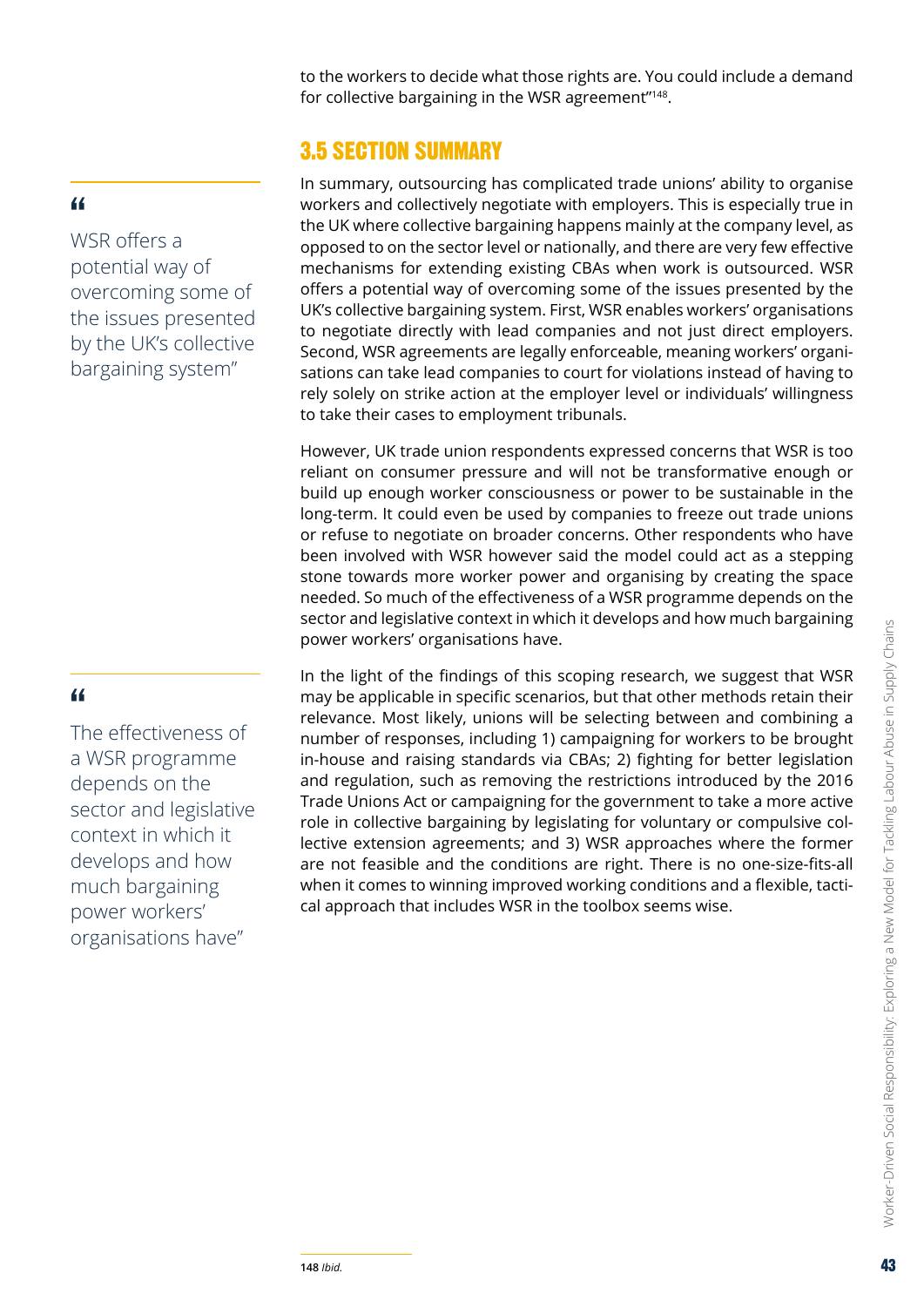to the workers to decide what those rights are. You could include a demand for collective bargaining in the WSR agreement"<sup>148</sup>.

# 3.5 SECTION SUMMARY

In summary, outsourcing has complicated trade unions' ability to organise workers and collectively negotiate with employers. This is especially true in the UK where collective bargaining happens mainly at the company level, as opposed to on the sector level or nationally, and there are very few effective mechanisms for extending existing CBAs when work is outsourced. WSR offers a potential way of overcoming some of the issues presented by the UK's collective bargaining system. First, WSR enables workers' organisations to negotiate directly with lead companies and not just direct employers. Second, WSR agreements are legally enforceable, meaning workers' organisations can take lead companies to court for violations instead of having to rely solely on strike action at the employer level or individuals' willingness to take their cases to employment tribunals.

However, UK trade union respondents expressed concerns that WSR is too reliant on consumer pressure and will not be transformative enough or build up enough worker consciousness or power to be sustainable in the long-term. It could even be used by companies to freeze out trade unions or refuse to negotiate on broader concerns. Other respondents who have been involved with WSR however said the model could act as a stepping stone towards more worker power and organising by creating the space needed. So much of the effectiveness of a WSR programme depends on the sector and legislative context in which it develops and how much bargaining power workers' organisations have.

In the light of the findings of this scoping research, we suggest that WSR may be applicable in specific scenarios, but that other methods retain their relevance. Most likely, unions will be selecting between and combining a number of responses, including 1) campaigning for workers to be brought in-house and raising standards via CBAs; 2) fighting for better legislation and regulation, such as removing the restrictions introduced by the 2016 Trade Unions Act or campaigning for the government to take a more active role in collective bargaining by legislating for voluntary or compulsive collective extension agreements; and 3) WSR approaches where the former are not feasible and the conditions are right. There is no one-size-fits-all when it comes to winning improved working conditions and a flexible, tactical approach that includes WSR in the toolbox seems wise.

## <span id="page-42-0"></span>"

WSR offers a potential way of overcoming some of the issues presented by the UK's collective bargaining system"

## "

The effectiveness of a WSR programme depends on the sector and legislative context in which it develops and how much bargaining power workers' organisations have"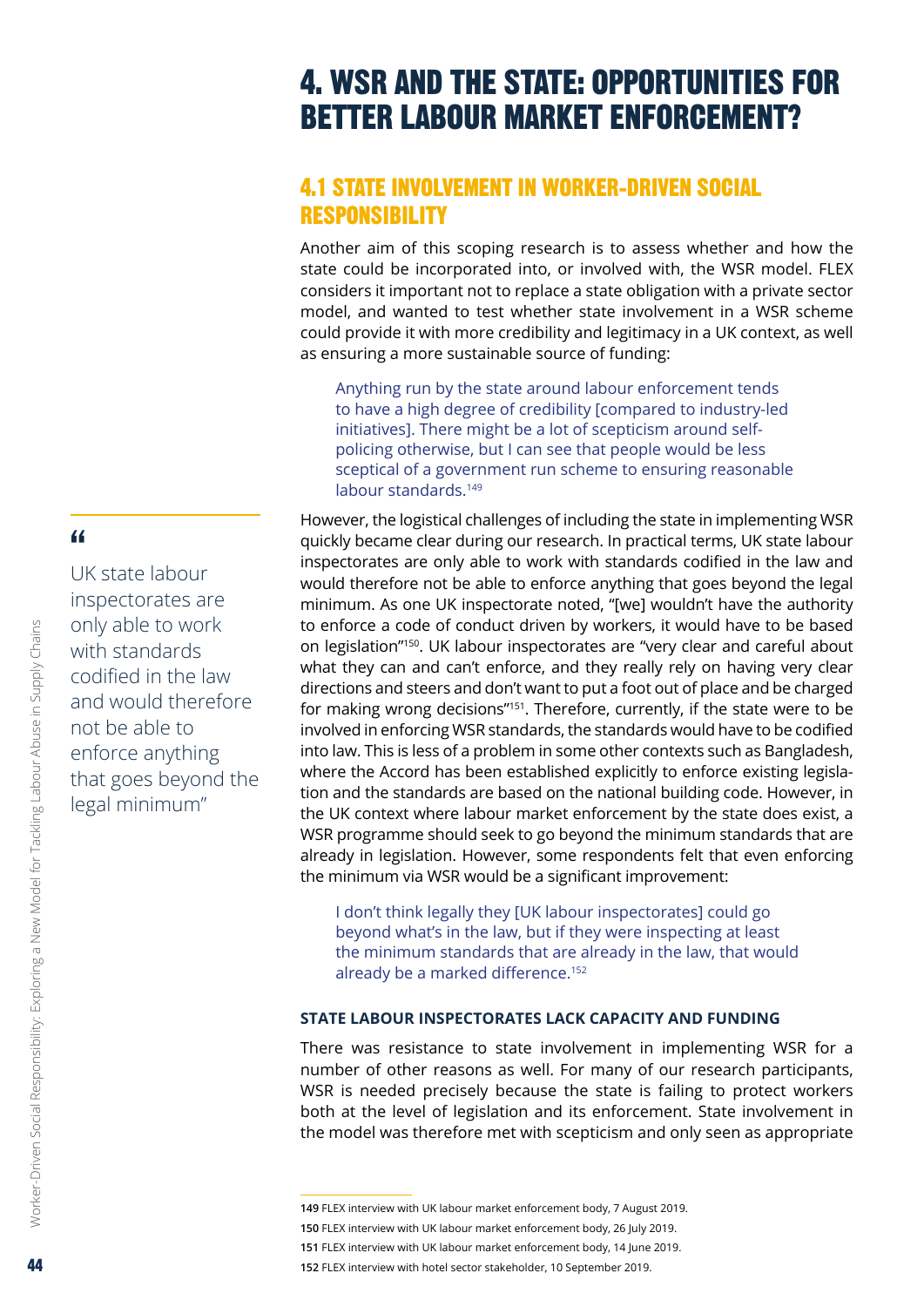# <span id="page-43-0"></span>4. WSR AND THE STATE: OPPORTUNITIES FOR BETTER LABOUR MARKET ENFORCEMENT?

# 4.1 STATE INVOLVEMENT IN WORKER-DRIVEN SOCIAL RESPONSIBILITY

Another aim of this scoping research is to assess whether and how the state could be incorporated into, or involved with, the WSR model. FLEX considers it important not to replace a state obligation with a private sector model, and wanted to test whether state involvement in a WSR scheme could provide it with more credibility and legitimacy in a UK context, as well as ensuring a more sustainable source of funding:

Anything run by the state around labour enforcement tends to have a high degree of credibility [compared to industry-led initiatives]. There might be a lot of scepticism around selfpolicing otherwise, but I can see that people would be less sceptical of a government run scheme to ensuring reasonable labour standards.<sup>149</sup>

However, the logistical challenges of including the state in implementing WSR quickly became clear during our research. In practical terms, UK state labour inspectorates are only able to work with standards codified in the law and would therefore not be able to enforce anything that goes beyond the legal minimum. As one UK inspectorate noted, "[we] wouldn't have the authority to enforce a code of conduct driven by workers, it would have to be based on legislation"150. UK labour inspectorates are "very clear and careful about what they can and can't enforce, and they really rely on having very clear directions and steers and don't want to put a foot out of place and be charged for making wrong decisions"151. Therefore, currently, if the state were to be involved in enforcing WSR standards, the standards would have to be codified into law. This is less of a problem in some other contexts such as Bangladesh, where the Accord has been established explicitly to enforce existing legislation and the standards are based on the national building code. However, in the UK context where labour market enforcement by the state does exist, a WSR programme should seek to go beyond the minimum standards that are already in legislation. However, some respondents felt that even enforcing the minimum via WSR would be a significant improvement:

I don't think legally they [UK labour inspectorates] could go beyond what's in the law, but if they were inspecting at least the minimum standards that are already in the law, that would already be a marked difference.<sup>152</sup>

#### **STATE LABOUR INSPECTORATES LACK CAPACITY AND FUNDING**

There was resistance to state involvement in implementing WSR for a number of other reasons as well. For many of our research participants, WSR is needed precisely because the state is failing to protect workers both at the level of legislation and its enforcement. State involvement in the model was therefore met with scepticism and only seen as appropriate

# "

UK state labour inspectorates are only able to work with standards codified in the law and would therefore not be able to enforce anything that goes beyond the legal minimum"

**<sup>149</sup>** FLEX interview with UK labour market enforcement body, 7 August 2019.

**<sup>150</sup>** FLEX interview with UK labour market enforcement body, 26 July 2019.

**<sup>151</sup>** FLEX interview with UK labour market enforcement body, 14 June 2019.

**<sup>152</sup>** FLEX interview with hotel sector stakeholder, 10 September 2019.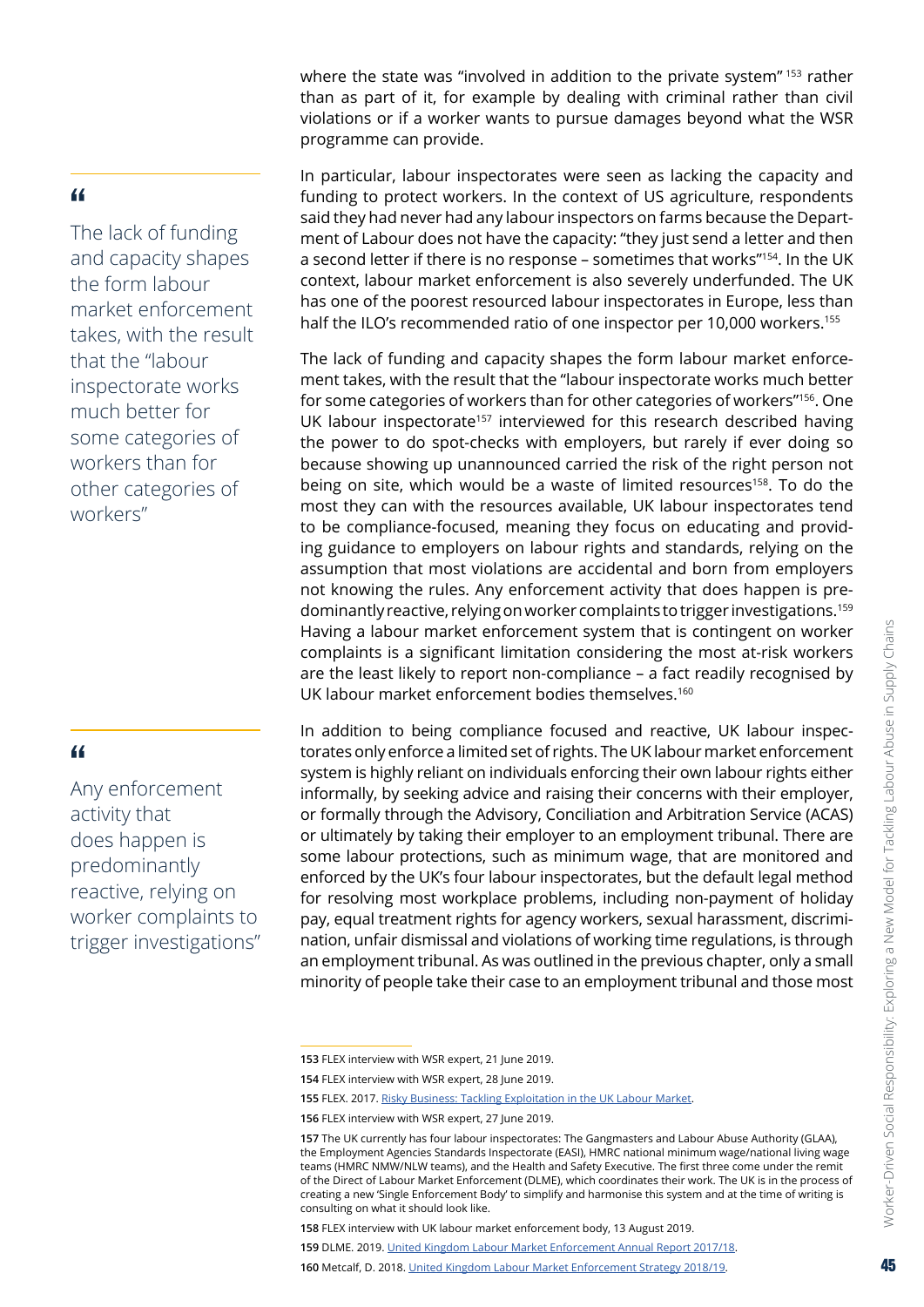where the state was "involved in addition to the private system" 153 rather than as part of it, for example by dealing with criminal rather than civil violations or if a worker wants to pursue damages beyond what the WSR programme can provide.

#### In particular, labour inspectorates were seen as lacking the capacity and funding to protect workers. In the context of US agriculture, respondents said they had never had any labour inspectors on farms because the Department of Labour does not have the capacity: "they just send a letter and then a second letter if there is no response – sometimes that works"154. In the UK context, labour market enforcement is also severely underfunded. The UK has one of the poorest resourced labour inspectorates in Europe, less than half the ILO's recommended ratio of one inspector per 10,000 workers.<sup>155</sup>

The lack of funding and capacity shapes the form labour market enforcement takes, with the result that the "labour inspectorate works much better for some categories of workers than for other categories of workers"156. One UK labour inspectorate<sup>157</sup> interviewed for this research described having the power to do spot-checks with employers, but rarely if ever doing so because showing up unannounced carried the risk of the right person not being on site, which would be a waste of limited resources<sup>158</sup>. To do the most they can with the resources available, UK labour inspectorates tend to be compliance-focused, meaning they focus on educating and providing guidance to employers on labour rights and standards, relying on the assumption that most violations are accidental and born from employers not knowing the rules. Any enforcement activity that does happen is predominantly reactive, relying on worker complaints to trigger investigations.159 Having a labour market enforcement system that is contingent on worker complaints is a significant limitation considering the most at-risk workers are the least likely to report non-compliance – a fact readily recognised by UK labour market enforcement bodies themselves.<sup>160</sup>

In addition to being compliance focused and reactive, UK labour inspectorates only enforce a limited set of rights. The UK labour market enforcement system is highly reliant on individuals enforcing their own labour rights either informally, by seeking advice and raising their concerns with their employer, or formally through the Advisory, Conciliation and Arbitration Service (ACAS) or ultimately by taking their employer to an employment tribunal. There are some labour protections, such as minimum wage, that are monitored and enforced by the UK's four labour inspectorates, but the default legal method for resolving most workplace problems, including non-payment of holiday pay, equal treatment rights for agency workers, sexual harassment, discrimination, unfair dismissal and violations of working time regulations, is through an employment tribunal. As was outlined in the previous chapter, only a small minority of people take their case to an employment tribunal and those most

The lack of funding and capacity shapes the form labour market enforcement takes, with the result that the "labour inspectorate works much better for some categories of workers than for other categories of workers"

#### "

Any enforcement activity that does happen is predominantly reactive, relying on worker complaints to trigger investigations"

**<sup>153</sup>** FLEX interview with WSR expert, 21 June 2019.

**<sup>154</sup>** FLEX interview with WSR expert, 28 June 2019.

**<sup>155</sup>** FLEX. 2017. Risky [Business: Tackling](https://www.labourexploitation.org/publications/risky-business-tackling-exploitation-uk-labour-market) Exploitation in the UK Labour Market.

**<sup>156</sup>** FLEX interview with WSR expert, 27 June 2019.

**<sup>157</sup>** The UK currently has four labour inspectorates: The Gangmasters and Labour Abuse Authority (GLAA), the Employment Agencies Standards Inspectorate (EASI), HMRC national minimum wage/national living wage teams (HMRC NMW/NLW teams), and the Health and Safety Executive. The first three come under the remit of the Direct of Labour Market Enforcement (DLME), which coordinates their work. The UK is in the process of creating a new 'Single Enforcement Body' to simplify and harmonise this system and at the time of writing is consulting on what it should look like.

**<sup>158</sup>** FLEX interview with UK labour market enforcement body, 13 August 2019.

**<sup>159</sup>** DLME. 2019. United Kingdom Labour Market [Enforcement](https://assets.publishing.service.gov.uk/government/uploads/system/uploads/attachment_data/file/787302/United_Kingdom_Labour_Market_Enforcement_Annual_Report_2017_to_2018.pdf) Annual Report 2017/18.

**<sup>160</sup>** Metcalf, D. 2018. United Kingdom Labour Market [Enforcement](https://assets.publishing.service.gov.uk/government/uploads/system/uploads/attachment_data/file/705503/labour-market-enforcement-strategy-2018-2019-full-report.pdf) Strategy 2018/19.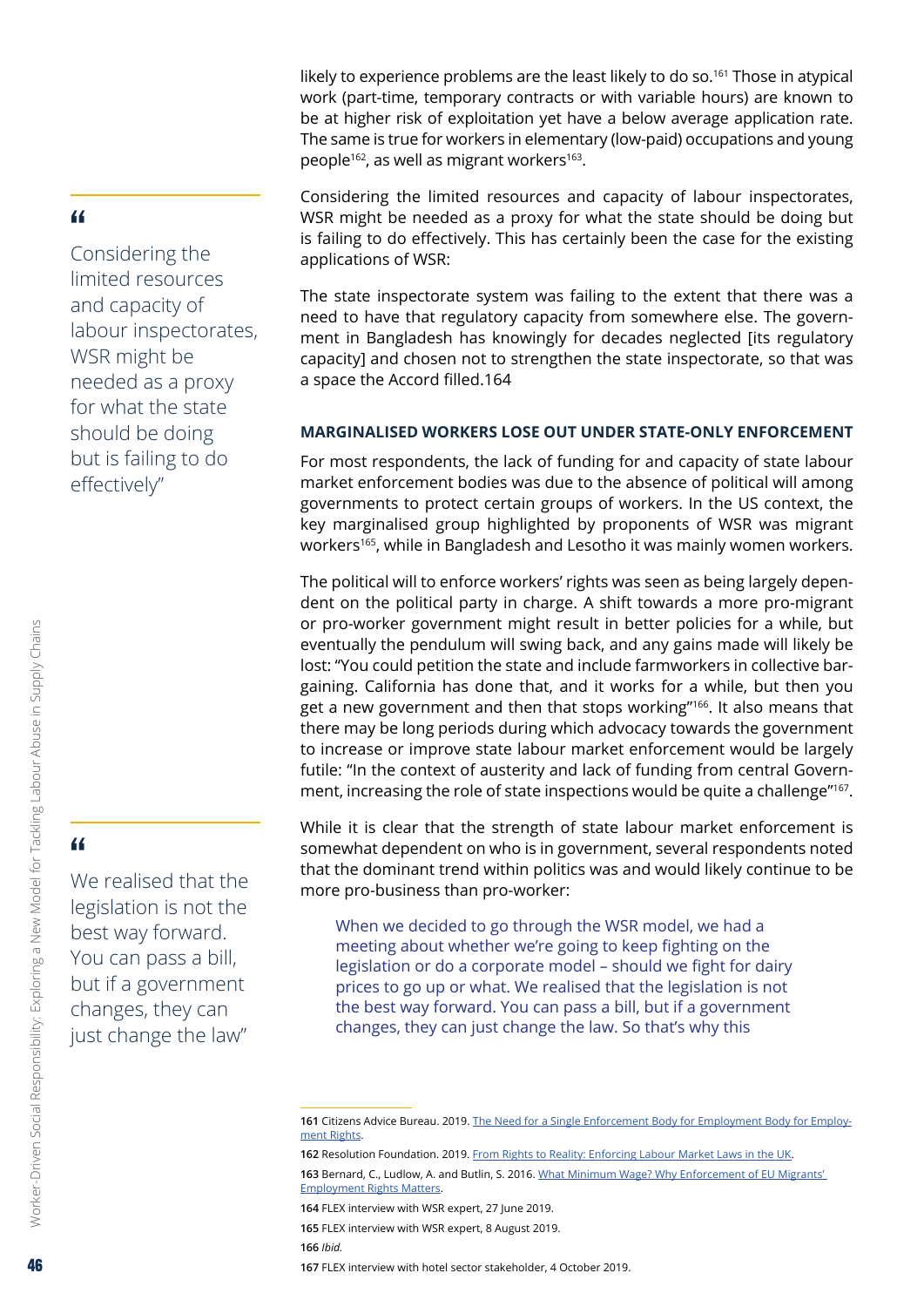likely to experience problems are the least likely to do so.<sup>161</sup> Those in atypical work (part-time, temporary contracts or with variable hours) are known to be at higher risk of exploitation yet have a below average application rate. The same is true for workers in elementary (low-paid) occupations and young people<sup>162</sup>, as well as migrant workers<sup>163</sup>.

Considering the limited resources and capacity of labour inspectorates, WSR might be needed as a proxy for what the state should be doing but is failing to do effectively. This has certainly been the case for the existing applications of WSR:

The state inspectorate system was failing to the extent that there was a need to have that regulatory capacity from somewhere else. The government in Bangladesh has knowingly for decades neglected [its regulatory capacity] and chosen not to strengthen the state inspectorate, so that was a space the Accord filled.164

#### **MARGINALISED WORKERS LOSE OUT UNDER STATE-ONLY ENFORCEMENT**

For most respondents, the lack of funding for and capacity of state labour market enforcement bodies was due to the absence of political will among governments to protect certain groups of workers. In the US context, the key marginalised group highlighted by proponents of WSR was migrant workers<sup>165</sup>, while in Bangladesh and Lesotho it was mainly women workers.

The political will to enforce workers' rights was seen as being largely dependent on the political party in charge. A shift towards a more pro-migrant or pro-worker government might result in better policies for a while, but eventually the pendulum will swing back, and any gains made will likely be lost: "You could petition the state and include farmworkers in collective bargaining. California has done that, and it works for a while, but then you get a new government and then that stops working"166. It also means that there may be long periods during which advocacy towards the government to increase or improve state labour market enforcement would be largely futile: "In the context of austerity and lack of funding from central Government, increasing the role of state inspections would be quite a challenge"<sup>167</sup>.

While it is clear that the strength of state labour market enforcement is somewhat dependent on who is in government, several respondents noted that the dominant trend within politics was and would likely continue to be more pro-business than pro-worker:

When we decided to go through the WSR model, we had a meeting about whether we're going to keep fighting on the legislation or do a corporate model – should we fight for dairy prices to go up or what. We realised that the legislation is not the best way forward. You can pass a bill, but if a government changes, they can just change the law. So that's why this

**166** *Ibid.*

#### <span id="page-45-0"></span>"

Considering the limited resources and capacity of labour inspectorates, WSR might be needed as a proxy for what the state should be doing but is failing to do effectively"

"

We realised that the legislation is not the best way forward. You can pass a bill, but if a government changes, they can just change the law"

**<sup>161</sup>** Citizens Advice Bureau. 2019. The Need for a Single [Enforcement](https://www.citizensadvice.org.uk/Global/CitizensAdvice/Consumer%20publications/Enforcement%20Briefing%20-%20Final%20(3).pdf) Body for Employment Body for Employment [Rights.](https://www.citizensadvice.org.uk/Global/CitizensAdvice/Consumer%20publications/Enforcement%20Briefing%20-%20Final%20(3).pdf)

**<sup>162</sup>** Resolution Foundation. 2019. From Rights to [Reality: Enforcing](https://www.resolutionfoundation.org/publications/from-rights-to-reality/) Labour Market Laws in the UK.

**<sup>163</sup>** Bernard, C., Ludlow, A. and Butlin, S. 2016. What Minimum Wage? Why [Enforcement](https://blogs.lse.ac.uk/brexit/2016/05/11/why-the-failure-to-enforce-eu-workers-employment-rights-matters/) of EU Migrants' [Employment](https://blogs.lse.ac.uk/brexit/2016/05/11/why-the-failure-to-enforce-eu-workers-employment-rights-matters/) Rights Matters.

**<sup>164</sup>** FLEX interview with WSR expert, 27 June 2019.

**<sup>165</sup>** FLEX interview with WSR expert, 8 August 2019.

**<sup>167</sup>** FLEX interview with hotel sector stakeholder, 4 October 2019.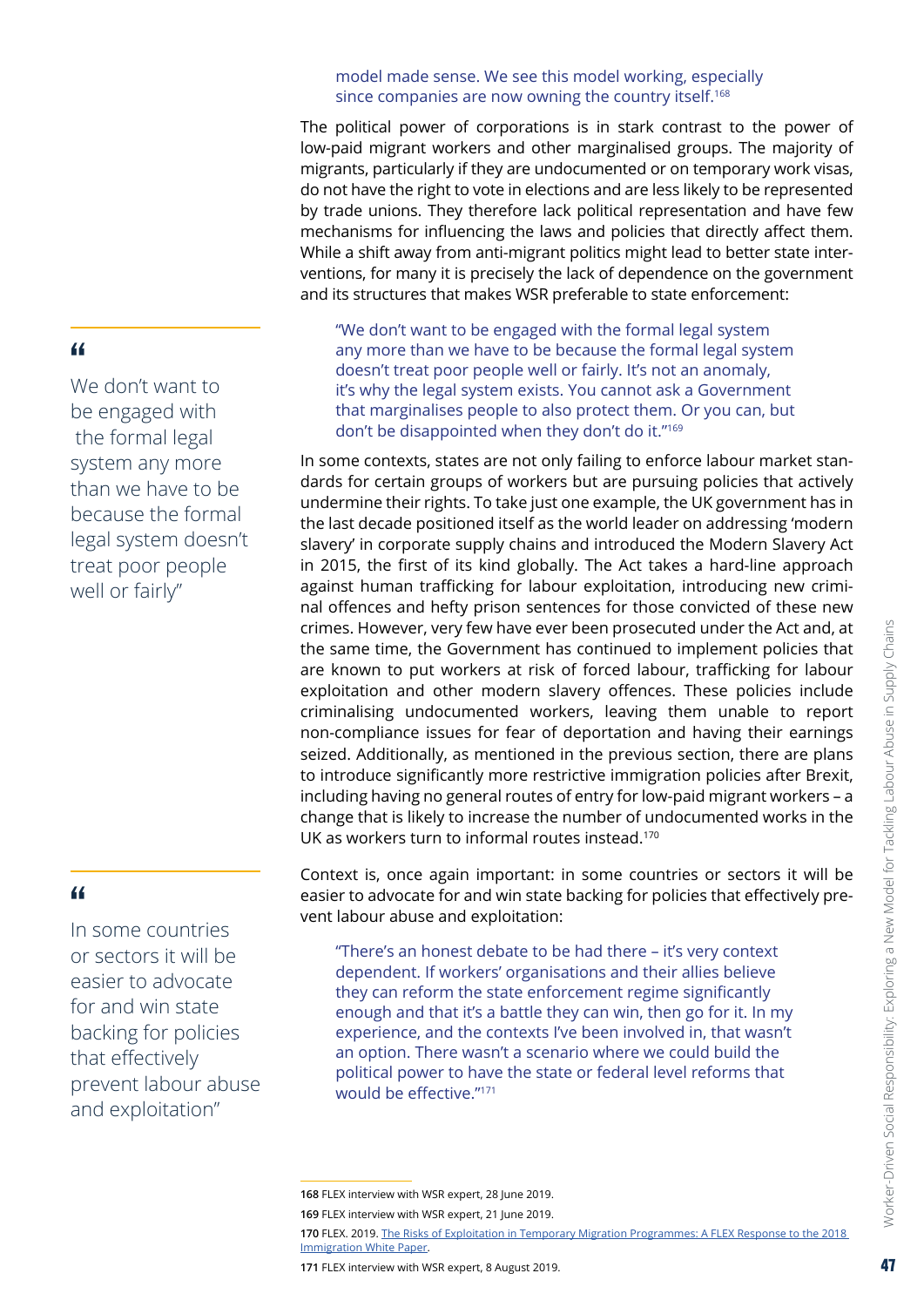#### model made sense. We see this model working, especially since companies are now owning the country itself.<sup>168</sup>

The political power of corporations is in stark contrast to the power of low-paid migrant workers and other marginalised groups. The majority of migrants, particularly if they are undocumented or on temporary work visas, do not have the right to vote in elections and are less likely to be represented by trade unions. They therefore lack political representation and have few mechanisms for influencing the laws and policies that directly affect them. While a shift away from anti-migrant politics might lead to better state interventions, for many it is precisely the lack of dependence on the government and its structures that makes WSR preferable to state enforcement:

"We don't want to be engaged with the formal legal system any more than we have to be because the formal legal system doesn't treat poor people well or fairly. It's not an anomaly, it's why the legal system exists. You cannot ask a Government that marginalises people to also protect them. Or you can, but don't be disappointed when they don't do it."169

In some contexts, states are not only failing to enforce labour market standards for certain groups of workers but are pursuing policies that actively undermine their rights. To take just one example, the UK government has in the last decade positioned itself as the world leader on addressing 'modern slavery' in corporate supply chains and introduced the Modern Slavery Act in 2015, the first of its kind globally. The Act takes a hard-line approach against human trafficking for labour exploitation, introducing new criminal offences and hefty prison sentences for those convicted of these new crimes. However, very few have ever been prosecuted under the Act and, at the same time, the Government has continued to implement policies that are known to put workers at risk of forced labour, trafficking for labour exploitation and other modern slavery offences. These policies include criminalising undocumented workers, leaving them unable to report non-compliance issues for fear of deportation and having their earnings seized. Additionally, as mentioned in the previous section, there are plans to introduce significantly more restrictive immigration policies after Brexit, including having no general routes of entry for low-paid migrant workers – a change that is likely to increase the number of undocumented works in the UK as workers turn to informal routes instead.170

Context is, once again important: in some countries or sectors it will be easier to advocate for and win state backing for policies that effectively prevent labour abuse and exploitation:

"There's an honest debate to be had there – it's very context dependent. If workers' organisations and their allies believe they can reform the state enforcement regime significantly enough and that it's a battle they can win, then go for it. In my experience, and the contexts I've been involved in, that wasn't an option. There wasn't a scenario where we could build the political power to have the state or federal level reforms that would be effective."<sup>171</sup>

**170** FLEX. 2019. The Risks of Exploitation in Temporary Migration [Programmes: A](https://www.labourexploitation.org/publications/risks-exploitation-temporary-migration-programmes-flex-response-2018-immigration-white) FLEX Response to the 2018 [Immigration](https://www.labourexploitation.org/publications/risks-exploitation-temporary-migration-programmes-flex-response-2018-immigration-white) White Paper.

**171** FLEX interview with WSR expert, 8 August 2019.

# "

In some countries or sectors it will be easier to advocate for and win state backing for policies that effectively prevent labour abuse and exploitation"

## "

We don't want to be engaged with the formal legal system any more than we have to be because the formal legal system doesn't treat poor people well or fairly"

**<sup>168</sup>** FLEX interview with WSR expert, 28 June 2019.

**<sup>169</sup>** FLEX interview with WSR expert, 21 June 2019.

Worker-Driven Social Responsibility: Exploring a New Model for Tackling Labour Abuse in Supply Chains Worker-Driven Social Responsibility: Exploring a New Model for Tackling Labour Abuse in Supply Chains 47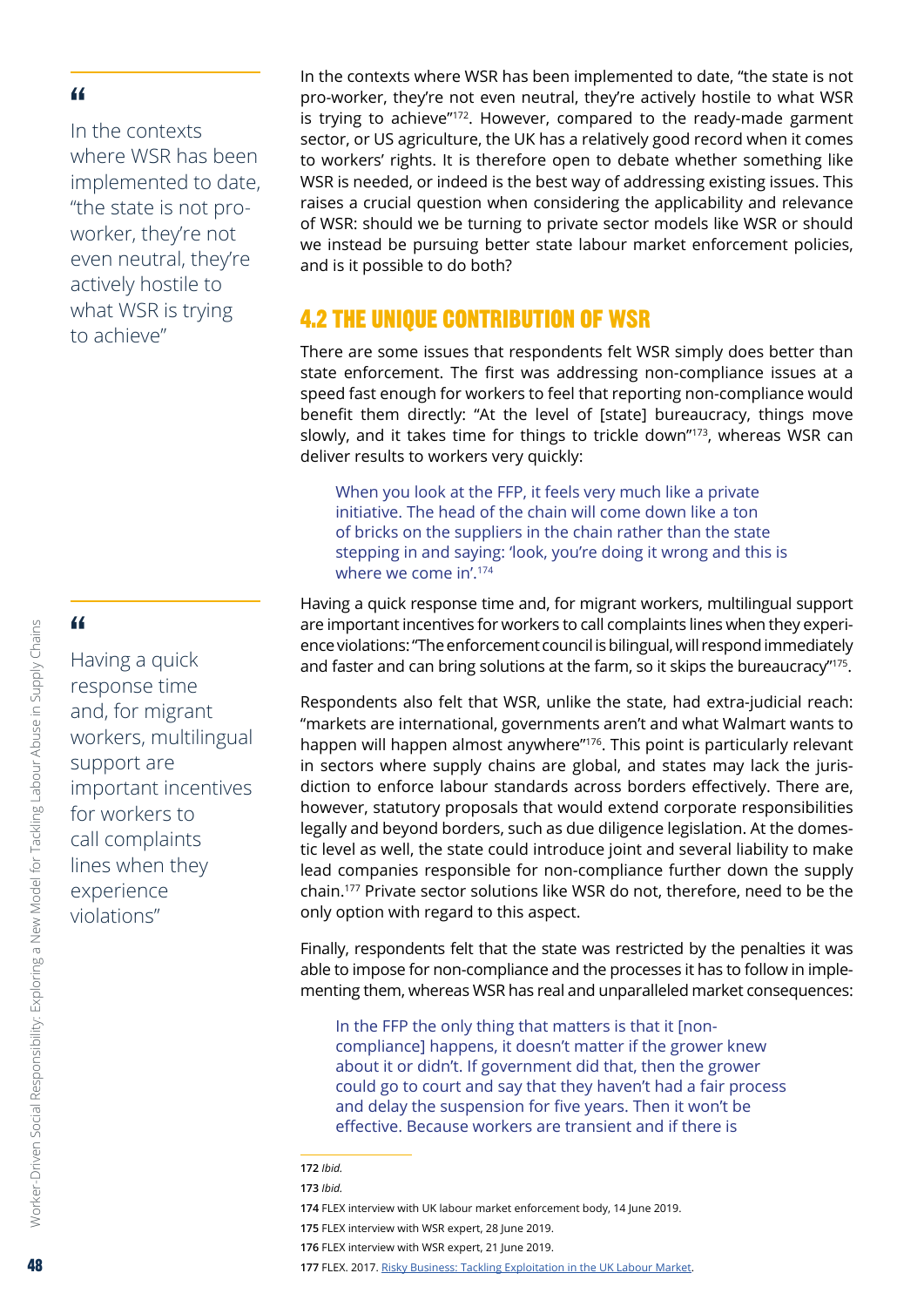<span id="page-47-0"></span>In the contexts where WSR has been implemented to date, "the state is not proworker, they're not even neutral, they're actively hostile to what WSR is trying to achieve"

#### "

Having a quick response time and, for migrant workers, multilingual support are important incentives for workers to call complaints lines when they experience violations"

In the contexts where WSR has been implemented to date, "the state is not pro-worker, they're not even neutral, they're actively hostile to what WSR is trying to achieve"<sup>172</sup>. However, compared to the ready-made garment sector, or US agriculture, the UK has a relatively good record when it comes to workers' rights. It is therefore open to debate whether something like WSR is needed, or indeed is the best way of addressing existing issues. This raises a crucial question when considering the applicability and relevance of WSR: should we be turning to private sector models like WSR or should we instead be pursuing better state labour market enforcement policies, and is it possible to do both?

# 4.2 THE UNIQUE CONTRIBUTION OF WSR

There are some issues that respondents felt WSR simply does better than state enforcement. The first was addressing non-compliance issues at a speed fast enough for workers to feel that reporting non-compliance would benefit them directly: "At the level of [state] bureaucracy, things move slowly, and it takes time for things to trickle down"173, whereas WSR can deliver results to workers very quickly:

When you look at the FFP, it feels very much like a private initiative. The head of the chain will come down like a ton of bricks on the suppliers in the chain rather than the state stepping in and saying: 'look, you're doing it wrong and this is where we come in'.174

Having a quick response time and, for migrant workers, multilingual support are important incentives for workers to call complaints lines when they experience violations: "The enforcement council is bilingual, will respond immediately and faster and can bring solutions at the farm, so it skips the bureaucracy"<sup>175</sup>.

Respondents also felt that WSR, unlike the state, had extra-judicial reach: "markets are international, governments aren't and what Walmart wants to happen will happen almost anywhere"<sup>176</sup>. This point is particularly relevant in sectors where supply chains are global, and states may lack the jurisdiction to enforce labour standards across borders effectively. There are, however, statutory proposals that would extend corporate responsibilities legally and beyond borders, such as due diligence legislation. At the domestic level as well, the state could introduce joint and several liability to make lead companies responsible for non-compliance further down the supply chain.177 Private sector solutions like WSR do not, therefore, need to be the only option with regard to this aspect.

Finally, respondents felt that the state was restricted by the penalties it was able to impose for non-compliance and the processes it has to follow in implementing them, whereas WSR has real and unparalleled market consequences:

In the FFP the only thing that matters is that it [noncompliance] happens, it doesn't matter if the grower knew about it or didn't. If government did that, then the grower could go to court and say that they haven't had a fair process and delay the suspension for five years. Then it won't be effective. Because workers are transient and if there is

- **175** FLEX interview with WSR expert, 28 June 2019.
- **176** FLEX interview with WSR expert, 21 June 2019.

Worker-Driven Social Responsibility: Exploring a New Model for Tackling Labour Abuse in Supply Chains

Worker-Driven Social Responsibility: Exploring a New Model for Tackling Labour Abuse in Supply Chains

**<sup>172</sup>** *Ibid.*

**<sup>173</sup>** *Ibid.*

**<sup>174</sup>** FLEX interview with UK labour market enforcement body, 14 June 2019.

**<sup>177</sup>** FLEX. 2017. Risky [Business: Tackling](https://www.labourexploitation.org/publications/risky-business-tackling-exploitation-uk-labour-market) Exploitation in the UK Labour Market.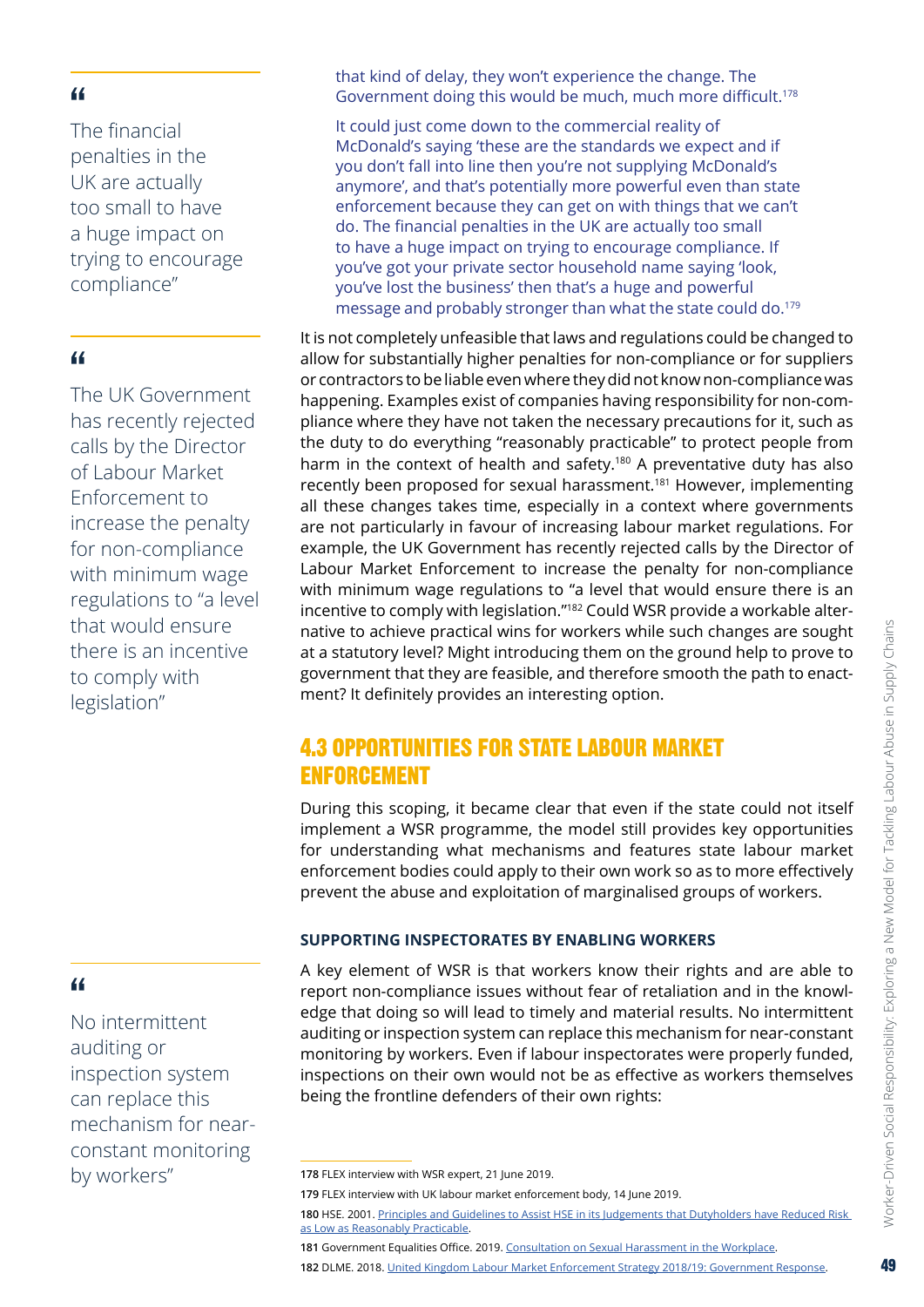<span id="page-48-0"></span>The financial penalties in the UK are actually too small to have a huge impact on trying to encourage compliance"

#### "

The UK Government has recently rejected calls by the Director of Labour Market Enforcement to increase the penalty for non-compliance with minimum wage regulations to "a level that would ensure there is an incentive to comply with legislation"

#### "

No intermittent auditing or inspection system can replace this mechanism for nearconstant monitoring by workers"

that kind of delay, they won't experience the change. The Government doing this would be much, much more difficult.<sup>178</sup>

It could just come down to the commercial reality of McDonald's saying 'these are the standards we expect and if you don't fall into line then you're not supplying McDonald's anymore', and that's potentially more powerful even than state enforcement because they can get on with things that we can't do. The financial penalties in the UK are actually too small to have a huge impact on trying to encourage compliance. If you've got your private sector household name saying 'look, you've lost the business' then that's a huge and powerful message and probably stronger than what the state could do.<sup>179</sup>

It is not completely unfeasible that laws and regulations could be changed to allow for substantially higher penalties for non-compliance or for suppliers or contractors to be liable even where they did not know non-compliance was happening. Examples exist of companies having responsibility for non-compliance where they have not taken the necessary precautions for it, such as the duty to do everything "reasonably practicable" to protect people from harm in the context of health and safety.<sup>180</sup> A preventative duty has also recently been proposed for sexual harassment.181 However, implementing all these changes takes time, especially in a context where governments are not particularly in favour of increasing labour market regulations. For example, the UK Government has recently rejected calls by the Director of Labour Market Enforcement to increase the penalty for non-compliance with minimum wage regulations to "a level that would ensure there is an incentive to comply with legislation."182 Could WSR provide a workable alternative to achieve practical wins for workers while such changes are sought at a statutory level? Might introducing them on the ground help to prove to government that they are feasible, and therefore smooth the path to enactment? It definitely provides an interesting option.

# 4.3 OPPORTUNITIES FOR STATE LABOUR MARKET ENFORCEMENT

During this scoping, it became clear that even if the state could not itself implement a WSR programme, the model still provides key opportunities for understanding what mechanisms and features state labour market enforcement bodies could apply to their own work so as to more effectively prevent the abuse and exploitation of marginalised groups of workers.

#### **SUPPORTING INSPECTORATES BY ENABLING WORKERS**

A key element of WSR is that workers know their rights and are able to report non-compliance issues without fear of retaliation and in the knowledge that doing so will lead to timely and material results. No intermittent auditing or inspection system can replace this mechanism for near-constant monitoring by workers. Even if labour inspectorates were properly funded, inspections on their own would not be as effective as workers themselves being the frontline defenders of their own rights:

**179** FLEX interview with UK labour market enforcement body, 14 June 2019.

**181** Government Equalities Office. 2019. [Consultation](https://www.gov.uk/government/consultations/consultation-on-sexual-harassment-in-the-workplace) on Sexual Harassment in the Workplace.

**182** DLME. 2018. United Kingdom Labour Market Enforcement Strategy [2018/19: Government](https://assets.publishing.service.gov.uk/government/uploads/system/uploads/attachment_data/file/765124/dlme-strategy-government-response.pdf) Response.

**<sup>178</sup>** FLEX interview with WSR expert, 21 June 2019.

**<sup>180</sup>** HSE. 2001. Principles and Guidelines to Assist HSE in its Judgements that [Dutyholders](https://www.hse.gov.uk/risk/theory/alarp1.htm) have Reduced Risk as Low as [Reasonably](https://www.hse.gov.uk/risk/theory/alarp1.htm) Practicable.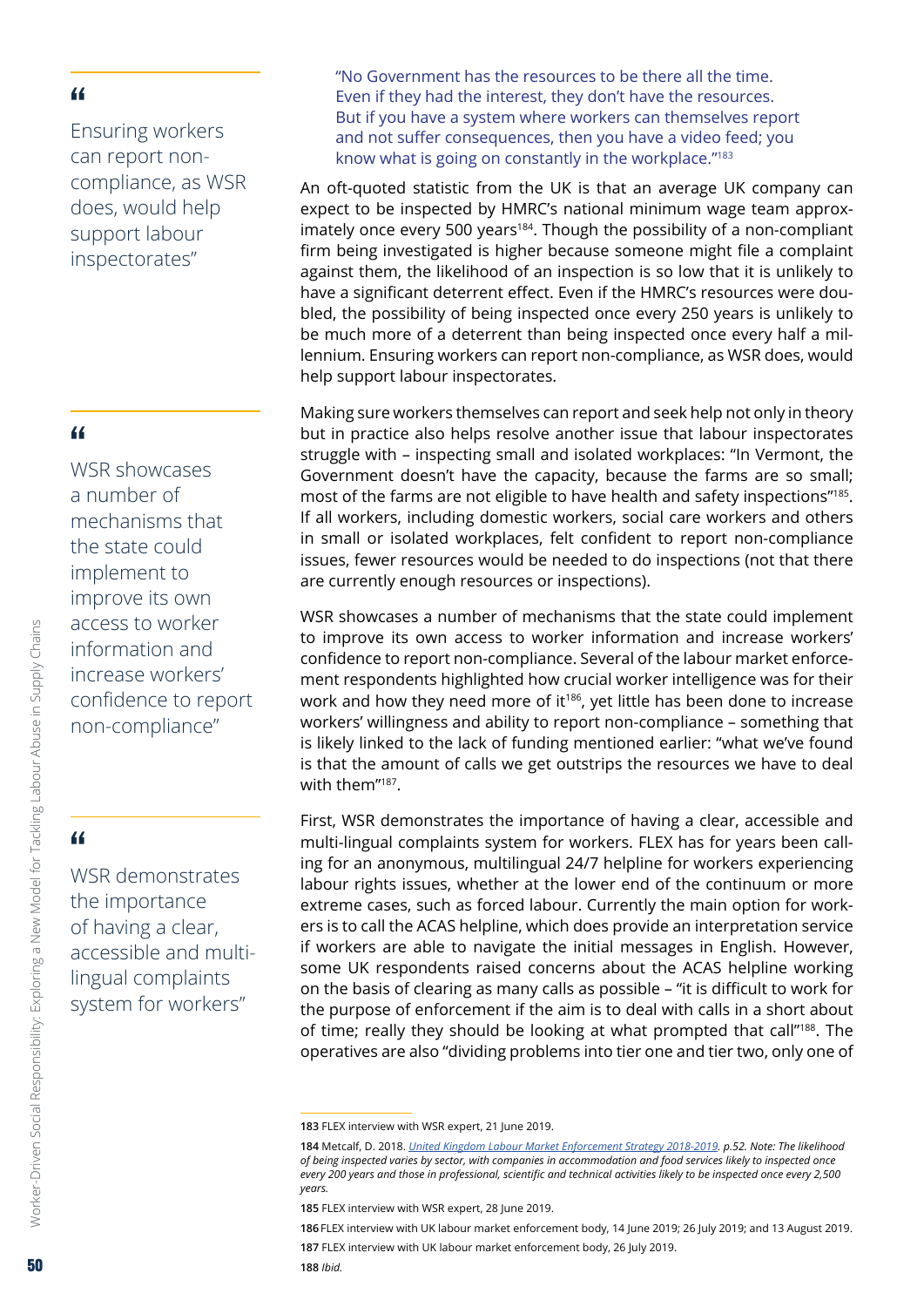Ensuring workers can report noncompliance, as WSR does, would help support labour inspectorates"

#### "

WSR showcases a number of mechanisms that the state could implement to improve its own access to worker information and increase workers' confidence to report non-compliance"

## "

Worker-Driven Social Responsibility: Exploring a New Model for Tackling Labour Abuse in Supply Chains

Worker-Driven Social Responsibility: Exploring a New Model for Tackling Labour Abuse in Supply Chains

WSR demonstrates the importance of having a clear, accessible and multilingual complaints system for workers"

"No Government has the resources to be there all the time. Even if they had the interest, they don't have the resources. But if you have a system where workers can themselves report and not suffer consequences, then you have a video feed; you know what is going on constantly in the workplace."183

An oft-quoted statistic from the UK is that an average UK company can expect to be inspected by HMRC's national minimum wage team approximately once every 500 years<sup>184</sup>. Though the possibility of a non-compliant firm being investigated is higher because someone might file a complaint against them, the likelihood of an inspection is so low that it is unlikely to have a significant deterrent effect. Even if the HMRC's resources were doubled, the possibility of being inspected once every 250 years is unlikely to be much more of a deterrent than being inspected once every half a millennium. Ensuring workers can report non-compliance, as WSR does, would help support labour inspectorates.

Making sure workers themselves can report and seek help not only in theory but in practice also helps resolve another issue that labour inspectorates struggle with – inspecting small and isolated workplaces: "In Vermont, the Government doesn't have the capacity, because the farms are so small; most of the farms are not eligible to have health and safety inspections"185. If all workers, including domestic workers, social care workers and others in small or isolated workplaces, felt confident to report non-compliance issues, fewer resources would be needed to do inspections (not that there are currently enough resources or inspections).

WSR showcases a number of mechanisms that the state could implement to improve its own access to worker information and increase workers' confidence to report non-compliance. Several of the labour market enforcement respondents highlighted how crucial worker intelligence was for their work and how they need more of it<sup>186</sup>, yet little has been done to increase workers' willingness and ability to report non-compliance – something that is likely linked to the lack of funding mentioned earlier: "what we've found is that the amount of calls we get outstrips the resources we have to deal with them"187.

First, WSR demonstrates the importance of having a clear, accessible and multi-lingual complaints system for workers. FLEX has for years been calling for an anonymous, multilingual 24/7 helpline for workers experiencing labour rights issues, whether at the lower end of the continuum or more extreme cases, such as forced labour. Currently the main option for workers is to call the ACAS helpline, which does provide an interpretation service if workers are able to navigate the initial messages in English. However, some UK respondents raised concerns about the ACAS helpline working on the basis of clearing as many calls as possible – "it is difficult to work for the purpose of enforcement if the aim is to deal with calls in a short about of time; really they should be looking at what prompted that call"188. The operatives are also "dividing problems into tier one and tier two, only one of

**<sup>183</sup>** FLEX interview with WSR expert, 21 June 2019.

**<sup>184</sup>** Metcalf, D. 2018. *United Kingdom Labour Market [Enforcement](https://assets.publishing.service.gov.uk/government/uploads/system/uploads/attachment_data/file/705503/labour-market-enforcement-strategy-2018-2019-full-report.pdf) Strategy 2018-2019. p.52. Note: The likelihood of being inspected varies by sector, with companies in accommodation and food services likely to inspected once every 200 years and those in professional, scientific and technical activities likely to be inspected once every 2,500 years.*

**<sup>185</sup>** FLEX interview with WSR expert, 28 June 2019.

**<sup>186</sup>** FLEX interview with UK labour market enforcement body, 14 June 2019; 26 July 2019; and 13 August 2019.

**<sup>187</sup>** FLEX interview with UK labour market enforcement body, 26 July 2019.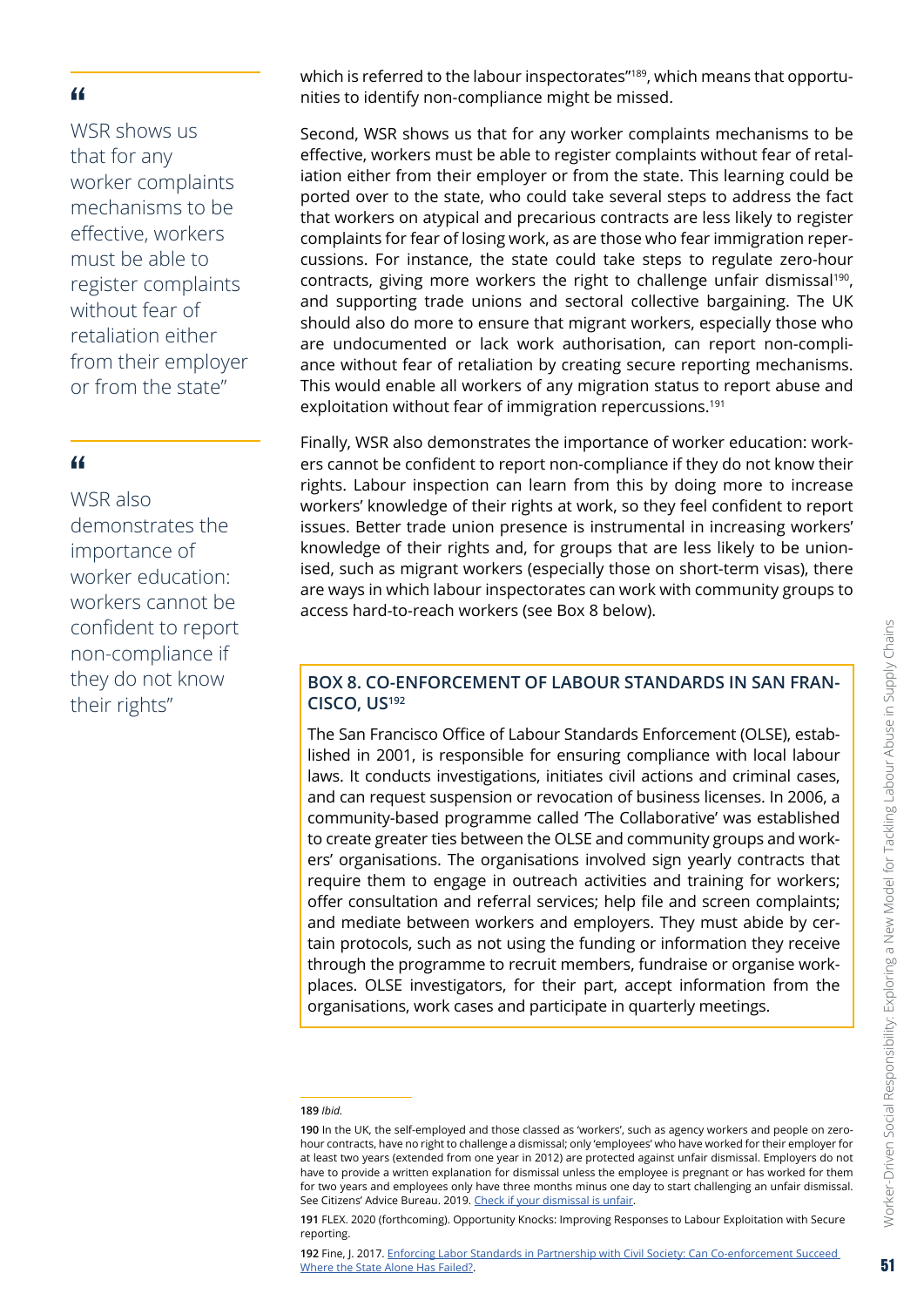WSR shows us that for any worker complaints mechanisms to be effective, workers must be able to register complaints without fear of retaliation either from their employer or from the state"

#### "

WSR also demonstrates the importance of worker education: workers cannot be confident to report non-compliance if they do not know their rights"

which is referred to the labour inspectorates"<sup>189</sup>, which means that opportunities to identify non-compliance might be missed.

Second, WSR shows us that for any worker complaints mechanisms to be effective, workers must be able to register complaints without fear of retaliation either from their employer or from the state. This learning could be ported over to the state, who could take several steps to address the fact that workers on atypical and precarious contracts are less likely to register complaints for fear of losing work, as are those who fear immigration repercussions. For instance, the state could take steps to regulate zero-hour contracts, giving more workers the right to challenge unfair dismissal<sup>190</sup>. and supporting trade unions and sectoral collective bargaining. The UK should also do more to ensure that migrant workers, especially those who are undocumented or lack work authorisation, can report non-compliance without fear of retaliation by creating secure reporting mechanisms. This would enable all workers of any migration status to report abuse and exploitation without fear of immigration repercussions.<sup>191</sup>

Finally, WSR also demonstrates the importance of worker education: workers cannot be confident to report non-compliance if they do not know their rights. Labour inspection can learn from this by doing more to increase workers' knowledge of their rights at work, so they feel confident to report issues. Better trade union presence is instrumental in increasing workers' knowledge of their rights and, for groups that are less likely to be unionised, such as migrant workers (especially those on short-term visas), there are ways in which labour inspectorates can work with community groups to access hard-to-reach workers (see Box 8 below).

#### **BOX 8. CO-ENFORCEMENT OF LABOUR STANDARDS IN SAN FRAN-CISCO, US192**

The San Francisco Office of Labour Standards Enforcement (OLSE), established in 2001, is responsible for ensuring compliance with local labour laws. It conducts investigations, initiates civil actions and criminal cases, and can request suspension or revocation of business licenses. In 2006, a community-based programme called 'The Collaborative' was established to create greater ties between the OLSE and community groups and workers' organisations. The organisations involved sign yearly contracts that require them to engage in outreach activities and training for workers; offer consultation and referral services; help file and screen complaints; and mediate between workers and employers. They must abide by certain protocols, such as not using the funding or information they receive through the programme to recruit members, fundraise or organise workplaces. OLSE investigators, for their part, accept information from the organisations, work cases and participate in quarterly meetings.

**<sup>189</sup>** *Ibid.*

**<sup>190</sup>** In the UK, the self-employed and those classed as 'workers', such as agency workers and people on zerohour contracts, have no right to challenge a dismissal; only 'employees' who have worked for their employer for at least two years (extended from one year in 2012) are protected against unfair dismissal. Employers do not have to provide a written explanation for dismissal unless the employee is pregnant or has worked for them for two years and employees only have three months minus one day to start challenging an unfair dismissal. See Citizens' Advice Bureau. 2019. Check if your [dismissal](https://www.citizensadvice.org.uk/work/leaving-a-job/dismissal/check-if-your-dismissal-is-fair/) is unfair.

**<sup>191</sup>** FLEX. 2020 (forthcoming). Opportunity Knocks: Improving Responses to Labour Exploitation with Secure reporting.

**<sup>192</sup>** Fine, J. 2017. Enforcing Labor Standards in Partnership with Civil Society: Can [Co-enforcement](https://journals.sagepub.com/doi/10.1177/0032329217702603) Succeed Where the State Alone Has [Failed?.](https://journals.sagepub.com/doi/10.1177/0032329217702603)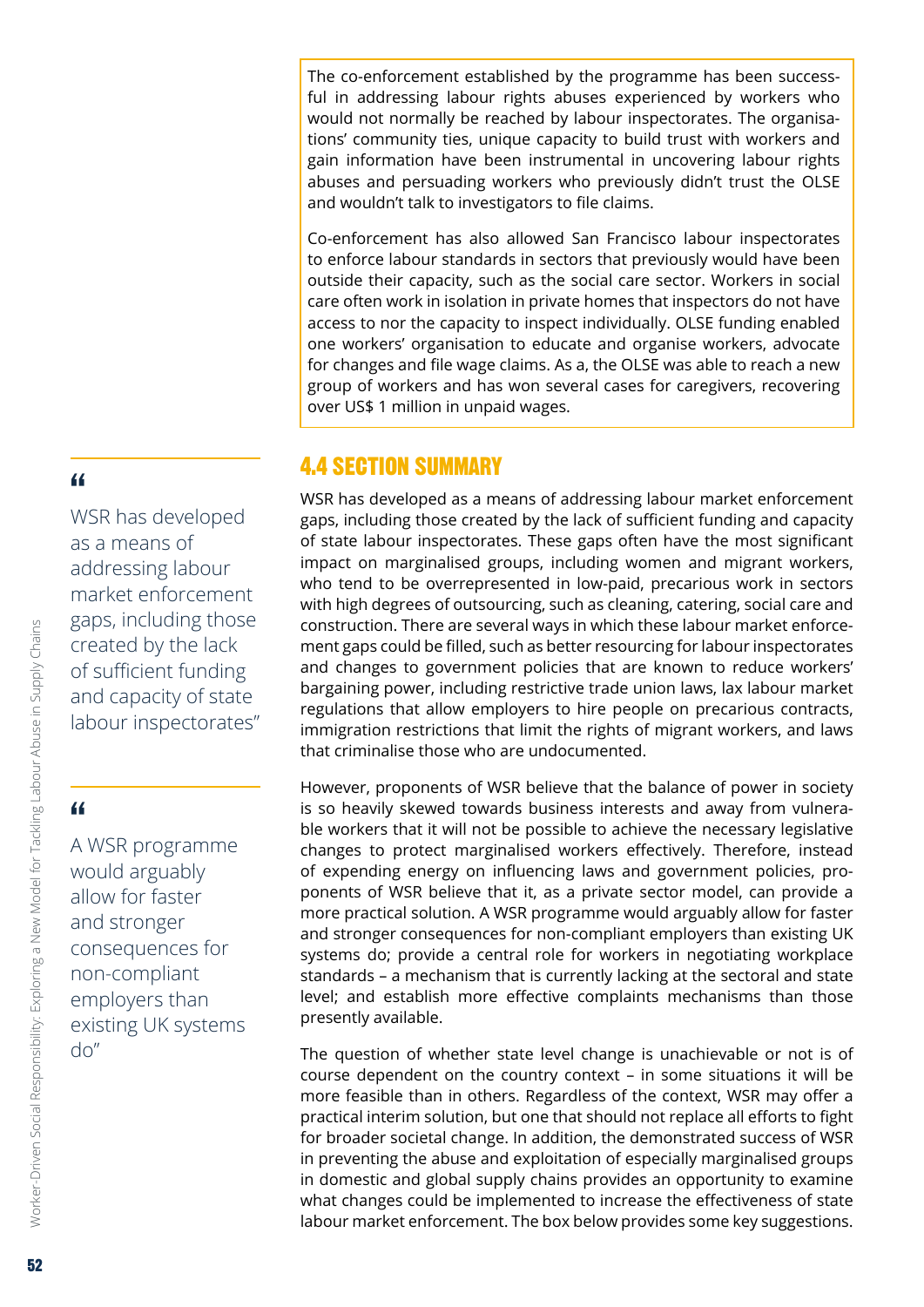<span id="page-51-0"></span>The co-enforcement established by the programme has been successful in addressing labour rights abuses experienced by workers who would not normally be reached by labour inspectorates. The organisations' community ties, unique capacity to build trust with workers and gain information have been instrumental in uncovering labour rights abuses and persuading workers who previously didn't trust the OLSE and wouldn't talk to investigators to file claims.

Co-enforcement has also allowed San Francisco labour inspectorates to enforce labour standards in sectors that previously would have been outside their capacity, such as the social care sector. Workers in social care often work in isolation in private homes that inspectors do not have access to nor the capacity to inspect individually. OLSE funding enabled one workers' organisation to educate and organise workers, advocate for changes and file wage claims. As a, the OLSE was able to reach a new group of workers and has won several cases for caregivers, recovering over US\$ 1 million in unpaid wages.

## 4.4 SECTION SUMMARY

WSR has developed as a means of addressing labour market enforcement gaps, including those created by the lack of sufficient funding and capacity of state labour inspectorates. These gaps often have the most significant impact on marginalised groups, including women and migrant workers, who tend to be overrepresented in low-paid, precarious work in sectors with high degrees of outsourcing, such as cleaning, catering, social care and construction. There are several ways in which these labour market enforcement gaps could be filled, such as better resourcing for labour inspectorates and changes to government policies that are known to reduce workers' bargaining power, including restrictive trade union laws, lax labour market regulations that allow employers to hire people on precarious contracts, immigration restrictions that limit the rights of migrant workers, and laws that criminalise those who are undocumented.

However, proponents of WSR believe that the balance of power in society is so heavily skewed towards business interests and away from vulnerable workers that it will not be possible to achieve the necessary legislative changes to protect marginalised workers effectively. Therefore, instead of expending energy on influencing laws and government policies, proponents of WSR believe that it, as a private sector model, can provide a more practical solution. A WSR programme would arguably allow for faster and stronger consequences for non-compliant employers than existing UK systems do; provide a central role for workers in negotiating workplace standards – a mechanism that is currently lacking at the sectoral and state level; and establish more effective complaints mechanisms than those presently available.

The question of whether state level change is unachievable or not is of course dependent on the country context – in some situations it will be more feasible than in others. Regardless of the context, WSR may offer a practical interim solution, but one that should not replace all efforts to fight for broader societal change. In addition, the demonstrated success of WSR in preventing the abuse and exploitation of especially marginalised groups in domestic and global supply chains provides an opportunity to examine what changes could be implemented to increase the effectiveness of state labour market enforcement. The box below provides some key suggestions.

#### "

WSR has developed as a means of addressing labour market enforcement gaps, including those created by the lack of sufficient funding and capacity of state labour inspectorates"

# "

A WSR programme would arguably allow for faster and stronger consequences for non-compliant employers than existing UK systems  $d_0$ "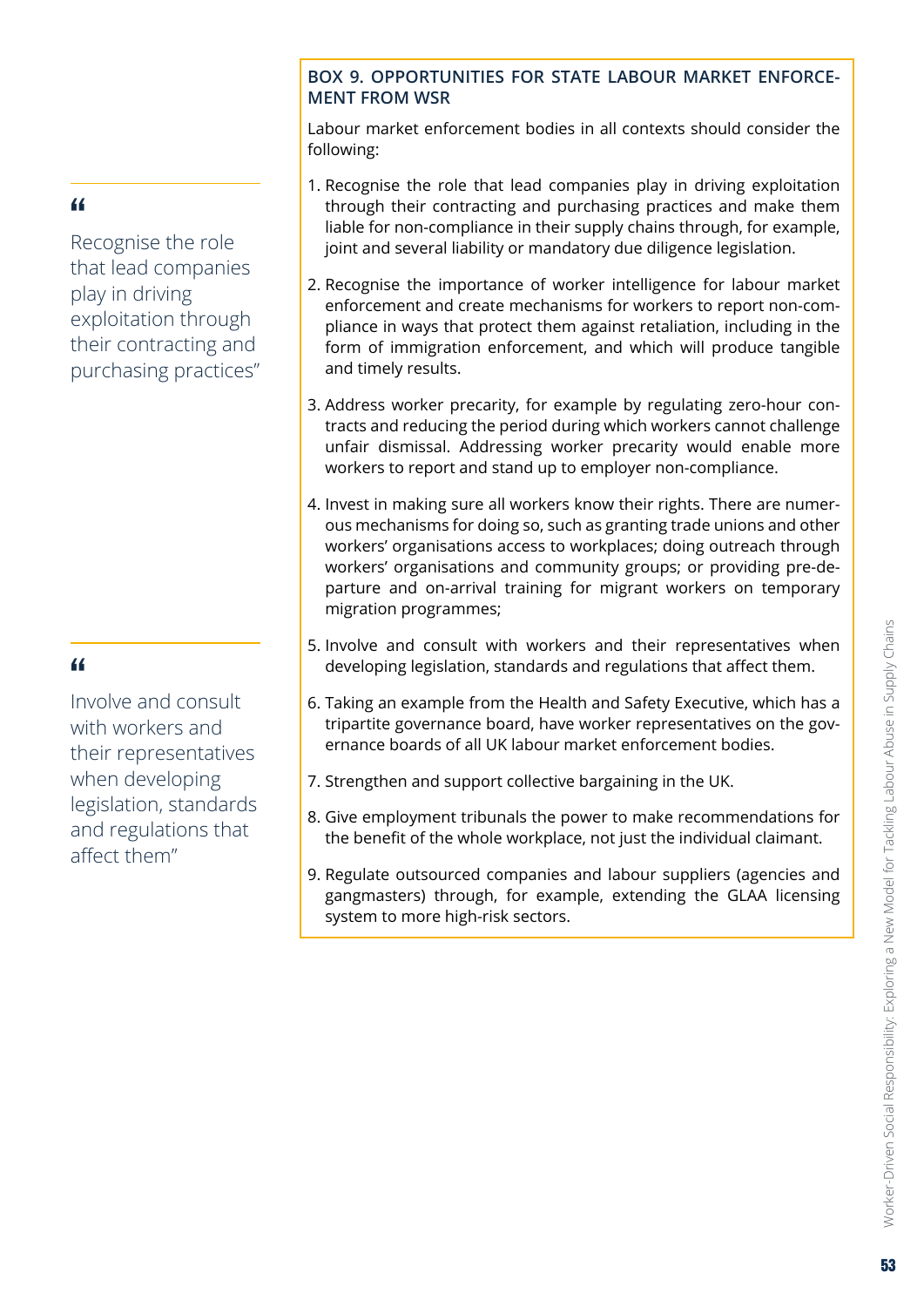#### **BOX 9. OPPORTUNITIES FOR STATE LABOUR MARKET ENFORCE-MENT FROM WSR**

Labour market enforcement bodies in all contexts should consider the following:

- 1. Recognise the role that lead companies play in driving exploitation through their contracting and purchasing practices and make them liable for non-compliance in their supply chains through, for example, joint and several liability or mandatory due diligence legislation.
- 2. Recognise the importance of worker intelligence for labour market enforcement and create mechanisms for workers to report non-compliance in ways that protect them against retaliation, including in the form of immigration enforcement, and which will produce tangible and timely results.
- 3. Address worker precarity, for example by regulating zero-hour contracts and reducing the period during which workers cannot challenge unfair dismissal. Addressing worker precarity would enable more workers to report and stand up to employer non-compliance.
- 4. Invest in making sure all workers know their rights. There are numerous mechanisms for doing so, such as granting trade unions and other workers' organisations access to workplaces; doing outreach through workers' organisations and community groups; or providing pre-departure and on-arrival training for migrant workers on temporary migration programmes;
- 5. Involve and consult with workers and their representatives when developing legislation, standards and regulations that affect them.
- 6. Taking an example from the Health and Safety Executive, which has a tripartite governance board, have worker representatives on the governance boards of all UK labour market enforcement bodies.
- 7. Strengthen and support collective bargaining in the UK.
- 8. Give employment tribunals the power to make recommendations for the benefit of the whole workplace, not just the individual claimant.
- 9. Regulate outsourced companies and labour suppliers (agencies and gangmasters) through, for example, extending the GLAA licensing system to more high-risk sectors.

# "

Recognise the role that lead companies play in driving exploitation through their contracting and purchasing practices"

# "

Involve and consult with workers and their representatives when developing legislation, standards and regulations that affect them"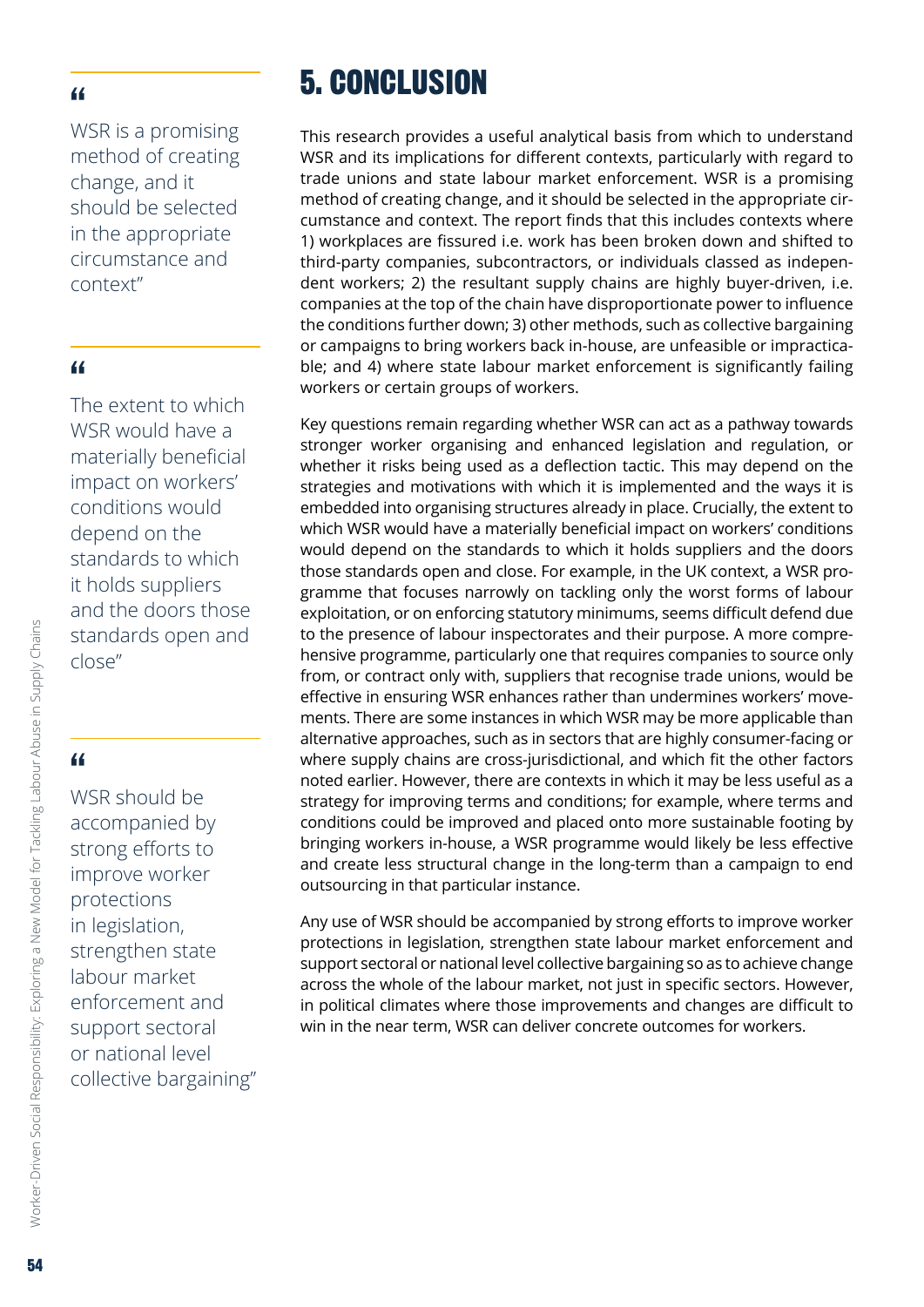<span id="page-53-0"></span>WSR is a promising method of creating change, and it should be selected in the appropriate circumstance and context"

## "

The extent to which WSR would have a materially beneficial impact on workers' conditions would depend on the standards to which it holds suppliers and the doors those standards open and close"

# "

WSR should be accompanied by strong efforts to improve worker protections in legislation, strengthen state labour market enforcement and support sectoral or national level collective bargaining"

# 5. CONCLUSION

This research provides a useful analytical basis from which to understand WSR and its implications for different contexts, particularly with regard to trade unions and state labour market enforcement. WSR is a promising method of creating change, and it should be selected in the appropriate circumstance and context. The report finds that this includes contexts where 1) workplaces are fissured i.e. work has been broken down and shifted to third-party companies, subcontractors, or individuals classed as independent workers; 2) the resultant supply chains are highly buyer-driven, i.e. companies at the top of the chain have disproportionate power to influence the conditions further down; 3) other methods, such as collective bargaining or campaigns to bring workers back in-house, are unfeasible or impracticable; and 4) where state labour market enforcement is significantly failing workers or certain groups of workers.

Key questions remain regarding whether WSR can act as a pathway towards stronger worker organising and enhanced legislation and regulation, or whether it risks being used as a deflection tactic. This may depend on the strategies and motivations with which it is implemented and the ways it is embedded into organising structures already in place. Crucially, the extent to which WSR would have a materially beneficial impact on workers' conditions would depend on the standards to which it holds suppliers and the doors those standards open and close. For example, in the UK context, a WSR programme that focuses narrowly on tackling only the worst forms of labour exploitation, or on enforcing statutory minimums, seems difficult defend due to the presence of labour inspectorates and their purpose. A more comprehensive programme, particularly one that requires companies to source only from, or contract only with, suppliers that recognise trade unions, would be effective in ensuring WSR enhances rather than undermines workers' movements. There are some instances in which WSR may be more applicable than alternative approaches, such as in sectors that are highly consumer-facing or where supply chains are cross-jurisdictional, and which fit the other factors noted earlier. However, there are contexts in which it may be less useful as a strategy for improving terms and conditions; for example, where terms and conditions could be improved and placed onto more sustainable footing by bringing workers in-house, a WSR programme would likely be less effective and create less structural change in the long-term than a campaign to end outsourcing in that particular instance.

Any use of WSR should be accompanied by strong efforts to improve worker protections in legislation, strengthen state labour market enforcement and support sectoral or national level collective bargaining so as to achieve change across the whole of the labour market, not just in specific sectors. However, in political climates where those improvements and changes are difficult to win in the near term, WSR can deliver concrete outcomes for workers.